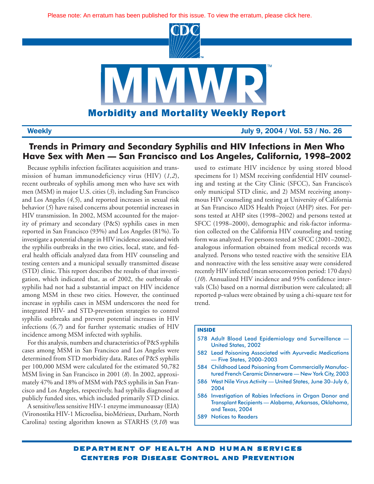

**Weekly July 9, 2004 / Vol. 53 / No. 26**

## **Trends in Primary and Secondary Syphilis and HIV Infections in Men Who Have Sex with Men — San Francisco and Los Angeles, California, 1998–2002**

Because syphilis infection facilitates acquisition and transmission of human immunodeficiency virus (HIV) (*1,2*), recent outbreaks of syphilis among men who have sex with men (MSM) in major U.S. cities (*3*), including San Francisco and Los Angeles (*4,5*), and reported increases in sexual risk behavior (*5*) have raised concerns about potential increases in HIV transmission. In 2002, MSM accounted for the majority of primary and secondary (P&S) syphilis cases in men reported in San Francisco (93%) and Los Angeles (81%). To investigate a potential change in HIV incidence associated with the syphilis outbreaks in the two cities, local, state, and federal health officials analyzed data from HIV counseling and testing centers and a municipal sexually transmitted disease (STD) clinic. This report describes the results of that investigation, which indicated that, as of 2002, the outbreaks of syphilis had not had a substantial impact on HIV incidence among MSM in these two cities. However, the continued increase in syphilis cases in MSM underscores the need for integrated HIV- and STD-prevention strategies to control syphilis outbreaks and prevent potential increases in HIV infections (*6,7*) and for further systematic studies of HIV incidence among MSM infected with syphilis.

For this analysis, numbers and characteristics of P&S syphilis cases among MSM in San Francisco and Los Angeles were determined from STD morbidity data. Rates of P&S syphilis per 100,000 MSM were calculated for the estimated 50,782 MSM living in San Francisco in 2001 (*8*). In 2002, approximately 47% and 18% of MSM with P&S syphilis in San Francisco and Los Angeles, respectively, had syphilis diagnosed at publicly funded sites, which included primarily STD clinics.

A sensitive/less sensitive HIV-1 enzyme immunoassay (EIA) (Vironostika HIV-1 Microelisa, bioMérieux, Durham, North Carolina) testing algorithm known as STARHS (*9,10*) was used to estimate HIV incidence by using stored blood specimens for 1) MSM receiving confidential HIV counseling and testing at the City Clinic (SFCC), San Francisco's only municipal STD clinic, and 2) MSM receiving anonymous HIV counseling and testing at University of California at San Francisco AIDS Health Project (AHP) sites. For persons tested at AHP sites (1998–2002) and persons tested at SFCC (1998–2000), demographic and risk-factor information collected on the California HIV counseling and testing form was analyzed. For persons tested at SFCC (2001–2002), analogous information obtained from medical records was analyzed. Persons who tested reactive with the sensitive EIA and nonreactive with the less sensitive assay were considered recently HIV infected (mean seroconversion period: 170 days) (*10*). Annualized HIV incidence and 95% confidence intervals (CIs) based on a normal distribution were calculated; all reported p-values were obtained by using a chi-square test for trend.

## **INSIDE**

- 578 [Adult Blood Lead Epidemiology and Surveillance —](#page-3-0) United States, 2002
- 582 [Lead Poisoning Associated with Ayurvedic Medications](#page-7-0) — Five States, 2000–2003
- 584 [Childhood Lead Poisoning from Commercially Manufac](#page-9-0)tured French Ceramic Dinnerware — New York City, 2003
- 586 [West Nile Virus Activity United States, June 30–July 6,](#page-11-0) 2004
- 586 Investigation of Rabies Infections in Organ Donor and [Transplant Recipients — Alabama, Arkansas, Oklahoma,](#page-11-0) and Texas, 2004
- 589 [Notices to Readers](#page-14-0)

department of health and human services Centers for Disease Control and Prevention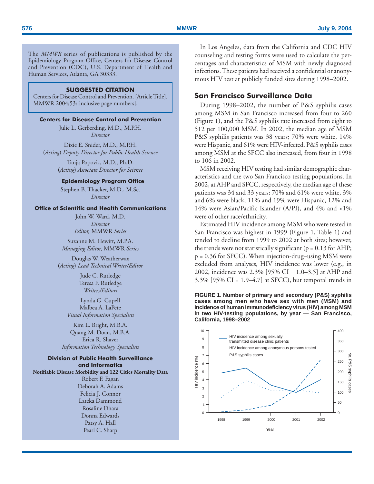The *MMWR* series of publications is published by the Epidemiology Program Office, Centers for Disease Control and Prevention (CDC), U.S. Department of Health and Human Services, Atlanta, GA 30333.

## **SUGGESTED CITATION**

Centers for Disease Control and Prevention. [Article Title]. MMWR 2004;53:[inclusive page numbers].

## **Centers for Disease Control and Prevention**

Julie L. Gerberding, M.D., M.P.H. *Director*

Dixie E. Snider, M.D., M.P.H. (*Acting*) *Deputy Director for Public Health Science*

> Tanja Popovic, M.D., Ph.D. (*Acting*) *Associate Director for Science*

## **Epidemiology Program Office**

Stephen B. Thacker, M.D., M.Sc. *Director*

## **Office of Scientific and Health Communications**

John W. Ward, M.D. *Director Editor,* MMWR *Series*

Suzanne M. Hewitt, M.P.A. *Managing Editor,* MMWR *Series*

Douglas W. Weatherwax (*Acting*) *Lead Technical Writer/Editor*

> Jude C. Rutledge Teresa F. Rutledge *Writers/Editors*

Lynda G. Cupell Malbea A. LaPete *Visual Information Specialists*

Kim L. Bright, M.B.A. Quang M. Doan, M.B.A. Erica R. Shaver *Information Technology Specialists*

## **Division of Public Health Surveillance and Informatics Notifiable Disease Morbidity and 122 Cities Mortality Data**

Robert F. Fagan Deborah A. Adams Felicia J. Connor Lateka Dammond Rosaline Dhara Donna Edwards Patsy A. Hall Pearl C. Sharp

In Los Angeles, data from the California and CDC HIV counseling and testing forms were used to calculate the percentages and characteristics of MSM with newly diagnosed infections. These patients had received a confidential or anonymous HIV test at publicly funded sites during 1998–2002.

## **San Francisco Surveillance Data**

During 1998–2002, the number of P&S syphilis cases among MSM in San Francisco increased from four to 260 (Figure 1), and the P&S syphilis rate increased from eight to 512 per 100,000 MSM. In 2002, the median age of MSM P&S syphilis patients was 38 years; 70% were white, 14% were Hispanic, and 61% were HIV-infected. P&S syphilis cases among MSM at the SFCC also increased, from four in 1998 to 106 in 2002.

MSM receiving HIV testing had similar demographic characteristics and the two San Francisco testing populations. In 2002, at AHP and SFCC, respectively, the median age of these patients was 34 and 33 years; 70% and 61% were white, 3% and 6% were black, 11% and 19% were Hispanic, 12% and 14% were Asian/Pacific Islander (A/PI), and 4% and <1% were of other race/ethnicity.

Estimated HIV incidence among MSM who were tested in San Francisco was highest in 1999 (Figure 1, Table 1) and tended to decline from 1999 to 2002 at both sites; however, the trends were not statistically significant ( $p = 0.13$  for AHP; p = 0.36 for SFCC). When injection-drug–using MSM were excluded from analyses, HIV incidence was lower (e.g., in 2002, incidence was 2.3% [95% CI = 1.0–3.5] at AHP and  $3.3\%$  [95% CI = 1.9–4.7] at SFCC), but temporal trends in

**FIGURE 1. Number of primary and secondary (P&S) syphilis cases among men who have sex with men (MSM) and incidence of human immunodeficiency virus (HIV) among MSM in two HIV-testing populations, by year — San Francisco, California, 1998–2002**

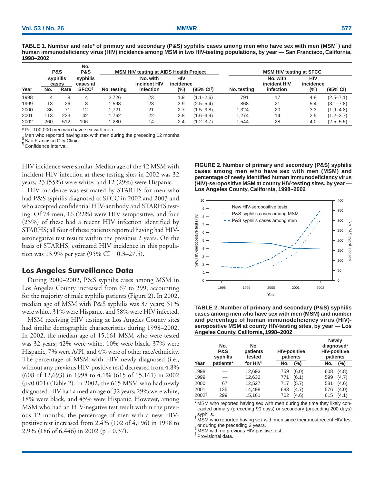|      | <b>P&amp;S</b> |                           | No.<br><b>P&amp;S</b>                           |             | <b>MSM HIV testing at AIDS Health Project</b> |                         |                        |             | <b>MSM HIV testing at SFCC</b>        |                                |               |  |
|------|----------------|---------------------------|-------------------------------------------------|-------------|-----------------------------------------------|-------------------------|------------------------|-------------|---------------------------------------|--------------------------------|---------------|--|
| Year | No.            | syphilis<br>cases<br>Rate | syphilis<br>cases at<br><b>SFCC<sup>§</sup></b> | No. testing | No. with<br>incident HIV<br>infection         | HIV<br>incidence<br>(%) | (95% CI <sup>T</sup> ) | No. testing | No. with<br>incident HIV<br>infection | <b>HIV</b><br>incidence<br>(%) | (95% CI)      |  |
| 1998 | 4              | 8                         | 4                                               | 2,726       | 23                                            | 1.9                     | $(1.1 - 2.6)$          | 791         | 17                                    | 4.8                            | $(2.5 - 7.1)$ |  |
| 1999 | 13             | 26                        | 8                                               | 1,598       | 28                                            | 3.9                     | $(2.5 - 5.4)$          | 868         | 21                                    | 5.4                            | $(3.1 - 7.8)$ |  |
| 2000 | 36             | 71                        | 12                                              | 1.721       | 21                                            | 2.7                     | $(1.5 - 3.8)$          | 1.324       | 20                                    | 3.3                            | $(1.9 - 4.8)$ |  |
| 2001 | 113            | 223                       | 42                                              | 1.762       | 22                                            | 2.8                     | $(1.6 - 3.9)$          | 1.274       | 14                                    | 2.5                            | $(1.2 - 3.7)$ |  |
| 2002 | 260            | 512                       | 106                                             | 1,280       | 14                                            | 2.4                     | $(1.2 - 3.7)$          | 1.544       | 28                                    | 4.0                            | $(2.5 - 5.5)$ |  |

**TABLE 1. Number and rate\* of primary and secondary (P&S) syphilis cases among men who have sex with men (MSM†) and human immunodeficiency virus (HIV) incidence among MSM in two HIV-testing populations, by year — San Francisco, California, 1998–2002**

\* Per 100,000 men who have sex with men.

Men who reported having sex with men during the preceding 12 months.

San Francisco City Clinic.

<sup>¶</sup>Confidence interval.

HIV incidence were similar. Median age of the 42 MSM with incident HIV infection at these testing sites in 2002 was 32 years; 23 (55%) were white, and 12 (29%) were Hispanic.

HIV incidence was estimated by STARHS for men who had P&S syphilis diagnosed at SFCC in 2002 and 2003 and who accepted confidential HIV-antibody and STARHS testing. Of 74 men, 16 (22%) were HIV seropositive, and four (25%) of these had a recent HIV infection identified by STARHS; all four of these patients reported having had HIVseronegative test results within the previous 2 years. On the basis of STARHS, estimated HIV incidence in this population was 13.9% per year  $(95\% \text{ CI} = 0.3-27.5)$ .

## **Los Angeles Surveillance Data**

During 2000–2002, P&S syphilis cases among MSM in Los Angeles County increased from 67 to 299, accounting for the majority of male syphilis patients (Figure 2). In 2002, median age of MSM with P&S syphilis was 37 years; 51% were white, 31% were Hispanic, and 58% were HIV infected.

MSM receiving HIV testing at Los Angeles County sites had similar demographic characteristics during 1998–2002. In 2002, the median age of 15,161 MSM who were tested was 32 years; 42% were white, 10% were black, 37% were Hispanic, 7% were A/PI, and 4% were of other race/ethnicity. The percentage of MSM with HIV newly diagnosed (i.e., without any previous HIV-positive test) decreased from 4.8% (608 of 12,693) in 1998 to 4.1% (615 of 15,161) in 2002 (p<0.001) (Table 2). In 2002, the 615 MSM who had newly diagnosed HIV had a median age of 32 years; 29% were white, 18% were black, and 45% were Hispanic. However, among MSM who had an HIV-negative test result within the previous 12 months, the percentage of men with a new HIVpositive test increased from 2.4% (102 of 4,196) in 1998 to 2.9% (186 of 6,446) in 2002 (p = 0.37).

**FIGURE 2. Number of primary and secondary (P&S) syphilis cases among men who have sex with men (MSM) and percentage of newly identified human immunodeficiency virus (HIV)-seropositive MSM at county HIV-testing sites, by year — Los Angeles County, California, 1998–2002**



**TABLE 2. Number of primary and secondary (P&S) syphilis cases among men who have sex with men (MSM) and number and percentage of human immunodeficiency virus (HIV) seropositive MSM at county HIV-testing sites, by year — Los Angeles County, California, 1998–2002**

|                   | No.<br><b>P&amp;S</b><br>syphilis | No.<br>patients<br>tested | <b>HIV-positive</b><br>patients |         |     | <b>Newly</b><br>diagnosed <sup>§</sup><br><b>HIV-positive</b><br>patients |
|-------------------|-----------------------------------|---------------------------|---------------------------------|---------|-----|---------------------------------------------------------------------------|
| Year              | patients*                         | for HIV <sup>+</sup>      | No.                             | $(\% )$ | No. | $(\% )$                                                                   |
| 1998              |                                   | 12,693                    | 759                             | (6.0)   | 608 | (4.8)                                                                     |
| 1999              |                                   | 12,632                    | 771                             | (6.1)   | 599 | (4.7)                                                                     |
| 2000              | 67                                | 12,527                    | 717                             | (5.7)   | 581 | (4.6)                                                                     |
| 2001              | 135                               | 14,498                    | 683                             | (4.7)   | 576 | (4.0)                                                                     |
| 2002 <sup>1</sup> | 299                               | 15.161                    | 702                             | (4.6)   | 615 | (4.1)                                                                     |

\* MSM who reported having sex with men during the time they likely contracted primary (preceding 90 days) or secondary (preceding 200 days) syphilis. †

**MSM** who reported having sex with men since their most recent HIV test or during the preceding 2 years.

**SOLUTE 112 PREVIOUS HIV-positive test.** 

Provisional data.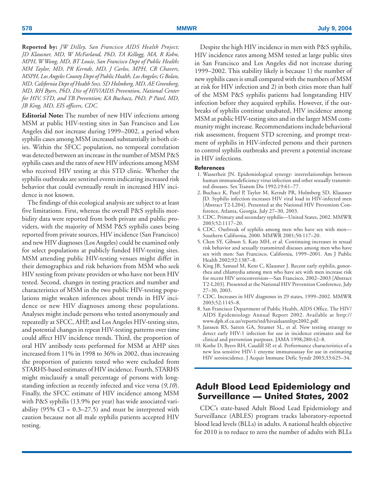**Reported by:** *JW Dilley, San Francisco AIDS Health Project; JD Klausner, MD, W McFarland, PhD, TA Kellogg, MA, R Kohn, MPH, W Wong, MD, BT Louie, San Francisco Dept of Public Health; MM Taylor, MD, PR Kerndt, MD, J Carlos, MPH, CR Chavers, MSPH, Los Angeles County Dept of Public Health, Los Angeles; G Bolan, MD, California Dept of Health Svcs. SD Holmberg, MD, AE Greenberg, MD, RH Byers, PhD, Div of HIV/AIDS Prevention, National Center for HIV, STD, and TB Prevention; KA Buchacz, PhD, P Patel, MD, JB King, MD, EIS officers, CDC.*

<span id="page-3-0"></span>**Editorial Note:** The number of new HIV infections among MSM at public HIV-testing sites in San Francisco and Los Angeles did not increase during 1999–2002, a period when syphilis cases among MSM increased substantially in both cities. Within the SFCC population, no temporal correlation was detected between an increase in the number of MSM P&S syphilis cases and the rates of new HIV infections among MSM who received HIV testing at this STD clinic. Whether the syphilis outbreaks are sentinel events indicating increased risk behavior that could eventually result in increased HIV incidence is not known.

The findings of this ecological analysis are subject to at least five limitations. First, whereas the overall P&S syphilis morbidity data were reported from both private and public providers, with the majority of MSM P&S syphilis cases being reported from private sources, HIV incidence (San Francisco) and new HIV diagnoses (Los Angeles) could be examined only for select populations at publicly funded HIV-testing sites. MSM attending public HIV-testing venues might differ in their demographics and risk behaviors from MSM who seek HIV testing from private providers or who have not been HIV tested. Second, changes in testing practices and number and characteristics of MSM in the two public HIV-testing populations might weaken inferences about trends in HIV incidence or new HIV diagnoses among these populations. Analyses might include persons who tested anonymously and repeatedly at SFCC, AHP, and Los Angeles HIV-testing sites, and potential changes in repeat HIV-testing patterns over time could affect HIV incidence trends. Third, the proportion of oral HIV antibody tests performed for MSM at AHP sites increased from 11% in 1998 to 36% in 2002, thus increasing the proportion of patients tested who were excluded from STARHS-based estimates of HIV incidence. Fourth, STARHS might misclassify a small percentage of persons with longstanding infection as recently infected and vice versa (*9,10*). Finally, the SFCC estimate of HIV incidence among MSM with P&S syphilis (13.9% per year) has wide associated variability (95% CI =  $0.3-27.5$ ) and must be interpreted with caution because not all male syphilis patients accepted HIV testing.

Despite the high HIV incidence in men with P&S syphilis, HIV incidence rates among MSM tested at large public sites in San Francisco and Los Angeles did not increase during 1999–2002. This stability likely is because 1) the number of new syphilis cases is small compared with the numbers of MSM at risk for HIV infection and 2) in both cities more than half of the MSM P&S syphilis patients had longstanding HIV infection before they acquired syphilis. However, if the outbreaks of syphilis continue unabated, HIV incidence among MSM at public HIV-testing sites and in the larger MSM community might increase. Recommendations include behavioral risk assessment, frequent STD screening, and prompt treatment of syphilis in HIV-infected persons and their partners to control syphilis outbreaks and prevent a potential increase in HIV infections.

## **References**

- 1. Wasserheit JN. Epidemiological synergy: interrelationships between human immunodeficiency virus infection and other sexually transmitted diseases. Sex Transm Dis 1992;19:61–77.
- 2. Buchacz K, Patel P, Taylor M, Kerndt PR, Holmberg SD, Klausner JD. Syphilis infection increases HIV viral load in HIV-infected men [Abstract T2-L204]. Presented at the National HIV Prevention Conference, Atlanta, Georgia, July 27–30, 2003.
- 3. CDC. Primary and secondary syphilis—United States, 2002. MMWR 2003;52:1117–20.
- 4. CDC. Outbreak of syphilis among men who have sex with men— Southern California, 2000. MMWR 2001;50:117–20.
- 5. Chen SY, Gibson S, Katz MH, et al. Continuing increases in sexual risk behavior and sexually transmitted diseases among men who have sex with men: San Francisco, California, 1999–2001. Am J Public Health 2002;92:1387–8.
- 6. King JB, Samuel M, Kent C, Klausner J. Recent early syphilis, gonorrhea and chlamydia among men who have sex with men increase risk for recent HIV seroconversion—San Francisco, 2002–2003 [Abstract T2-L203]. Presented at the National HIV Prevention Conference, July 27–30, 2003.
- 7. CDC. Increases in HIV diagnoses in 29 states, 1999–2002. MMWR 2003;52:1145–8.
- 8. San Francisco Department of Public Health, AIDS Office. The HIV/ AIDS Epidemiology Annual Report 2002. Available at [http://](http://www.dph.sf.ca.us/reports/std/hivaidsannlrpt2002.pdf) [www.dph.sf.ca.us/reports/std/hivaidsannlrpt2002.pdf.](http://www.dph.sf.ca.us/reports/std/hivaidsannlrpt2002.pdf)
- 9. Janssen RS, Satten GA, Stramer SL, et al. New testing strategy to detect early HIV-1 infection for use in incidence estimates and for clinical and prevention purposes. JAMA 1998;280:42–8.
- 10. Kothe D, Byers RH, Caudill SP, et al. Performance characteristics of a new less sensitive HIV-1 enzyme immunoassay for use in estimating HIV seroincidence. J Acquir Immune Defic Syndr 2003;33:625–34.

## **Adult Blood Lead Epidemiology and Surveillance — United States, 2002**

CDC's state-based Adult Blood Lead Epidemiology and Surveillance (ABLES) program tracks laboratory-reported blood lead levels (BLLs) in adults. A national health objective for 2010 is to reduce to zero the number of adults with BLLs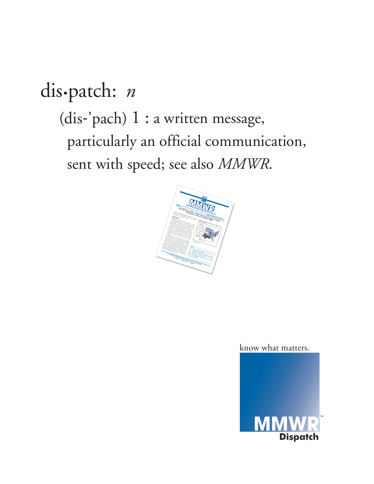## dis•patch: *n* (dis-'pach) 1 : a written message, particularly an official communication, sent with speed; see also *MMWR*.



know what matters.

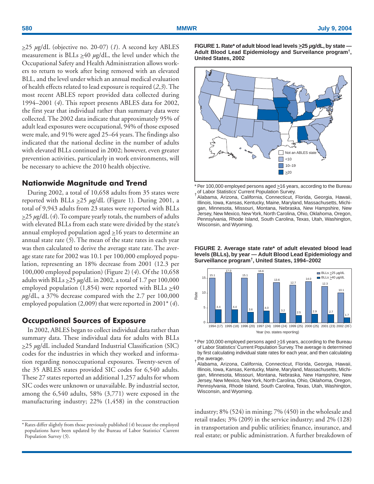>25 *µ*g/dL (objective no. 20-07) (*1*). A second key ABLES measurement is BLLs  $\geq 40 \mu g/dL$ , the level under which the Occupational Safety and Health Administration allows workers to return to work after being removed with an elevated BLL, and the level under which an annual medical evaluation of health effects related to lead exposure is required (*2,3*). The most recent ABLES report provided data collected during 1994–2001 (*4*). This report presents ABLES data for 2002, the first year that individual rather than summary data were collected. The 2002 data indicate that approximately 95% of adult lead exposures were occupational, 94% of those exposed were male, and 91% were aged 25–64 years. The findings also indicated that the national decline in the number of adults with elevated BLLs continued in 2002; however, even greater prevention activities, particularly in work environments, will be necessary to achieve the 2010 health objective.

## **Nationwide Magnitude and Trend**

During 2002, a total of 10,658 adults from 35 states were reported with BLLs >25 *µ*g/dL (Figure 1). During 2001, a total of 9,943 adults from 23 states were reported with BLLs  $\geq$ 25  $\mu$ g/dL (4). To compare yearly totals, the numbers of adults with elevated BLLs from each state were divided by the state's annual employed population aged  $\geq$ 16 years to determine an annual state rate (*5*). The mean of the state rates in each year was then calculated to derive the average state rate. The average state rate for 2002 was 10.1 per 100,000 employed population, representing an 18% decrease from 2001 (12.3 per 100,000 employed population) (Figure 2) (*4*). Of the 10,658 adults with BLLs >25 *µ*g/dL in 2002, a total of 1.7 per 100,000 employed population (1,854) were reported with BLLs  $\geq 40$ *µ*g/dL, a 37% decrease compared with the 2.7 per 100,000 employed population (2,009) that were reported in 2001\* (*4*).

## **Occupational Sources of Exposure**

In 2002, ABLES began to collect individual data rather than summary data. These individual data for adults with BLLs >25 *µ*g/dL included Standard Industrial Classification (SIC) codes for the industries in which they worked and information regarding nonoccupational exposures. Twenty-seven of the 35 ABLES states provided SIC codes for 6,540 adults. These 27 states reported an additional 1,257 adults for whom SIC codes were unknown or unavailable. By industrial sector, among the 6,540 adults, 58% (3,771) were exposed in the manufacturing industry; 22% (1,458) in the construction

**FIGURE 1. Rate\* of adult blood lead levels >25 µg/dL, by state — Adult Blood Lead Epidemiology and Surveilance program†, United States, 2002**



<sup>\*</sup> Per 100,000 employed persons aged > 16 years, according to the Bureau of Labor Statistics' Current Population Survey. †

Alabama, Arizona, California, Connecticut, Florida, Georgia, Hawaii, Illinois, Iowa, Kansas, Kentucky, Maine, Maryland, Massachusetts, Michigan, Minnesota, Missouri, Montana, Nebraska, New Hampshire, New Jersey, New Mexico, New York, North Carolina, Ohio, Oklahoma, Oregon, Pennsylvania, Rhode Island, South Carolina, Texas, Utah, Washington, Wisconsin, and Wyoming.





<sup>\*</sup> Per 100,000 employed persons aged > 16 years, according to the Bureau of Labor Statistics' Current Population Survey. The average is determined by first calculating individual state rates for each year, and then calculating

industry; 8% (524) in mining; 7% (450) in the wholesale and retail trades; 3% (209) in the service industry; and 2% (128) in transportation and public utilities; finance, insurance, and real estate; or public administration. A further breakdown of

<sup>\*</sup> Rates differ slightly from those previously published (*4*) because the employed populations have been updated by the Bureau of Labor Statistics' Current Population Survey (*5*).

<sup>&</sup>lt;sub>,</sub> the average.<br><sup>†</sup> Alabama, Arizona, California, Connecticut, Florida, Georgia, Hawaii, Illinois, Iowa, Kansas, Kentucky, Maine, Maryland, Massachusetts, Michigan, Minnesota, Missouri, Montana, Nebraska, New Hampshire, New Jersey, New Mexico, New York, North Carolina, Ohio, Oklahoma, Oregon, Pennsylvania, Rhode Island, South Carolina, Texas, Utah, Washington, Wisconsin, and Wyoming.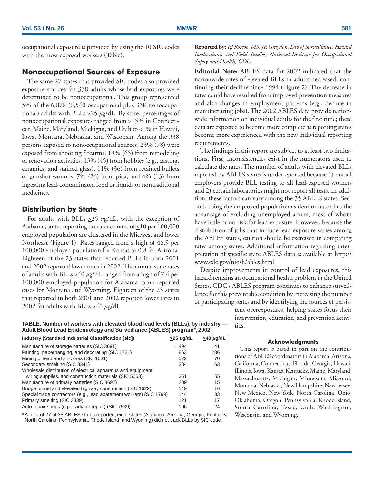## **Nonoccupational Sources of Exposure**

The same 27 states that provided SIC codes also provided exposure sources for 338 adults whose lead exposures were determined to be nonoccupational. This group represented 5% of the 6,878 (6,540 occupational plus 338 nonoccupational) adults with BLLs >25 *µ*g/dL. By state, percentages of nonoccupational exposures ranged from  $\geq$ 15% in Connecticut, Maine, Maryland, Michigan, and Utah to <1% in Hawaii, Iowa, Montana, Nebraska, and Wisconsin. Among the 338 persons exposed to nonoccupational sources, 23% (78) were exposed from shooting firearms, 19% (65) from remodeling or renovation activities, 13% (45) from hobbies (e.g., casting, ceramics, and stained glass), 11% (36) from retained bullets or gunshot wounds, 7% (26) from pica, and 4% (13) from ingesting lead-contaminated food or liquids or nontraditional medicines.

## **Distribution by State**

For adults with BLLs  $\geq$ 25  $\mu$ g/dL, with the exception of Alabama, states reporting prevalence rates of  $\geq 10$  per 100,000 employed population are clustered in the Midwest and lower Northeast (Figure 1). Rates ranged from a high of 46.9 per 100,000 employed population for Kansas to 0.8 for Arizona. Eighteen of the 23 states that reported BLLs in both 2001 and 2002 reported lower rates in 2002. The annual state rates of adults with BLLs  $\geq$ 40  $\mu$ g/dL ranged from a high of 7.4 per 100,000 employed population for Alabama to no reported cases for Montana and Wyoming. Eighteen of the 23 states that reported in both 2001 and 2002 reported lower rates in 2002 for adults with BLLs  $\geq 40 \mu g/dL$ .

**TABLE. Number of workers with elevated blood lead levels (BLLs), by industry — Adult Blood Lead Epidemiology and Surveillance (ABLES) program\*, 2002**

| <b>Industry (Standard Industrial Classification [sic])</b>          | $\geq$ 25 µg/dL | $\geq$ 40 µg/dL |
|---------------------------------------------------------------------|-----------------|-----------------|
| Manufacture of storage batteries (SIC 3691)                         | 1.494           | 141             |
| Painting, paperhanging, and decorating (SIC 1721)                   | 863             | 236             |
| Mining of lead and zinc ores (SIC 1031)                             | 522             | 70              |
| Secondary smelting (SIC 3341)                                       | 384             | 63              |
| Wholesale distribution of electrical apparatus and equipment,       |                 |                 |
| wiring supplies, and construction materials (SIC 5063)              | 351             | 55              |
| Manufacture of primary batteries (SIC 3692)                         | 209             | 15              |
| Bridge tunnel and elevated highway construction (SIC 1622)          | 149             | 16              |
| Special trade contractors (e.g., lead abatement workers) (SIC 1799) | 144             | 33              |
| Primary smelting (SIC 3339)                                         | 121             | 17              |
| Auto repair shops (e.g., radiator repair) (SIC 7539)                | 106             | 24              |

\* A total of 27 of 35 ABLES states reported; eight states (Alabama, Arizona, Georgia, Kentucky, North Carolina, Pennsylvania, Rhode Island, and Wyoming) did not track BLLs by SIC code.

**Reported by:** *RJ Roscoe, MS, JR Graydon, Div of Surveillance, Hazard Evaluations, and Field Studies, National Institute for Occupational Safety and Health, CDC.*

**Editorial Note:** ABLES data for 2002 indicated that the nationwide rates of elevated BLLs in adults decreased, continuing their decline since 1994 (Figure 2). The decrease in rates could have resulted from improved prevention measures and also changes in employment patterns (e.g., decline in manufacturing jobs). The 2002 ABLES data provide nationwide information on individual adults for the first time; these data are expected to become more complete as reporting states become more experienced with the new individual reporting requirements.

The findings in this report are subject to at least two limitations. First, inconsistencies exist in the numerators used to calculate the rates. The number of adults with elevated BLLs reported by ABLES states is underreported because 1) not all employers provide BLL testing to all lead-exposed workers and 2) certain laboratories might not report all tests. In addition, these factors can vary among the 35 ABLES states. Second, using the employed population as denominator has the advantage of excluding unemployed adults, most of whom have little or no risk for lead exposure. However, because the distribution of jobs that include lead exposure varies among the ABLES states, caution should be exercised in comparing rates among states. Additional information regarding interpretation of specific state ABLES data is available at [http://](http://www.cdc.gov/niosh/ables.html) [www.cdc.gov/niosh/ables.html.](http://www.cdc.gov/niosh/ables.html)

Despite improvements in control of lead exposures, this hazard remains an occupational health problem in the United States. CDC's ABLES program continues to enhance surveillance for this preventable condition by increasing the number of participating states and by identifying the sources of persis-

> tent overexposures, helping states focus their intervention, education, and prevention activities.

### **Acknowledgments**

This report is based in part on the contributions of ABLES coordinators in Alabama, Arizona, California, Connecticut, Florida, Georgia, Hawaii, Illinois, Iowa, Kansas, Kentucky, Maine, Maryland, Massachusetts, Michigan, Minnesota, Missouri, Montana, Nebraska, New Hampshire, New Jersey, New Mexico, New York, North Carolina, Ohio, Oklahoma, Oregon, Pennsylvania, Rhode Island, South Carolina, Texas, Utah, Washington, Wisconsin, and Wyoming.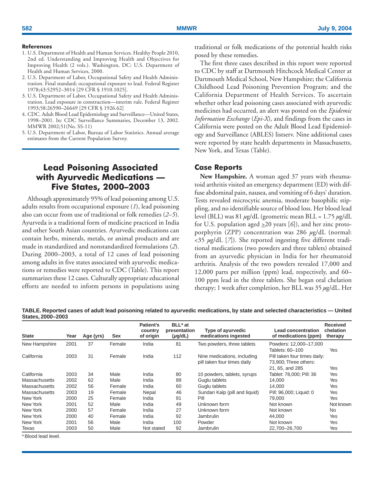## <span id="page-7-0"></span>**References**

- 1. U.S. Department of Health and Human Services. Healthy People 2010, 2nd ed. Understanding and Improving Health and Objectives for Improving Health (2 vols.). Washington, DC: U.S. Department of Health and Human Services, 2000.
- 2. U.S. Department of Labor, Occupational Safety and Health Administration. Final standard; occupational exposure to lead. Federal Register 1978;43:52952–3014 [29 CFR § 1910.1025].
- 3. U.S. Department of Labor, Occupational Safety and Health Administration. Lead exposure in construction—interim rule. Federal Register 1993;58:26590–26649 [29 CFR § 1926.62]
- 4. CDC. Adult Blood Lead Epidemiology and Surveillance—United States, 1998–2001. In: CDC Surveillance Summaries, December 13, 2002. MMWR 2002;51(No. SS-11)
- 5. U.S. Department of Labor, Bureau of Labor Statistics. Annual average estimates from the Current Population Survey.

## **Lead Poisoning Associated with Ayurvedic Medications — Five States, 2000–2003**

Although approximately 95% of lead poisoning among U.S. adults results from occupational exposure (*1*), lead poisoning also can occur from use of traditional or folk remedies (*2–5*). Ayurveda is a traditional form of medicine practiced in India and other South Asian countries. Ayurvedic medications can contain herbs, minerals, metals, or animal products and are made in standardized and nonstandardized formulations (*2*). During 2000–2003, a total of 12 cases of lead poisoning among adults in five states associated with ayurvedic medications or remedies were reported to CDC (Table). This report summarizes these 12 cases. Culturally appropriate educational efforts are needed to inform persons in populations using traditional or folk medications of the potential health risks posed by these remedies.

The first three cases described in this report were reported to CDC by staff at Dartmouth Hitchcock Medical Center at Dartmouth Medical School, New Hampshire; the California Childhood Lead Poisoning Prevention Program; and the California Department of Health Services. To ascertain whether other lead poisoning cases associated with ayurvedic medicines had occurred, an alert was posted on the *Epidemic Information Exchange* (*Epi-X*), and findings from the cases in California were posted on the Adult Blood Lead Epidemiology and Surveillance (ABLES) listserv. Nine additional cases were reported by state health departments in Massachusetts, New York, and Texas (Table).

## **Case Reports**

**New Hampshire.** A woman aged 37 years with rheumatoid arthritis visited an emergency department (ED) with diffuse abdominal pain, nausea, and vomiting of 6 days' duration. Tests revealed microcytic anemia, moderate basophilic stippling, and no identifiable source of blood loss. Her blood lead level (BLL) was 81 *µ*g/dL (geometric mean BLL = 1.75 *µ*g/dL for U.S. population aged  $\geq$  20 years [6]), and her zinc protoporphyrin (ZPP) concentration was 286 *µ*g/dL (normal: <35 *µ*g/dL [*7*]). She reported ingesting five different traditional medications (two powders and three tablets) obtained from an ayurvedic physician in India for her rheumatoid arthritis. Analysis of the two powders revealed 17,000 and 12,000 parts per million (ppm) lead, respectively, and 60– 100 ppm lead in the three tablets. She began oral chelation therapy; 1 week after completion, her BLL was 35 *µ*g/dL. Her

**TABLE. Reported cases of adult lead poisoning related to ayurvedic medications, by state and selected characteristics — United States, 2000–2003**

| <b>State</b>         | Year | Age (yrs) | Sex    | Patient's<br>country<br>of origin | BLL* at<br>presentation<br>$(\mu g/dL)$ | Type of ayurvedic<br>medications ingested                  | <b>Lead concentration</b><br>of medications (ppm)                        | <b>Received</b><br>chelation<br>therapy |
|----------------------|------|-----------|--------|-----------------------------------|-----------------------------------------|------------------------------------------------------------|--------------------------------------------------------------------------|-----------------------------------------|
| New Hampshire        | 2001 | 37        | Female | India                             | 81                                      | Two powders, three tablets                                 | Powders: 12.000-17.000<br>Tablets: 60-100                                | Yes                                     |
| California           | 2003 | 31        | Female | India                             | 112                                     | Nine medications, including<br>pill taken four times daily | Pill taken four times daily:<br>73.900: Three others:<br>21, 65, and 285 | Yes                                     |
| California           | 2003 | 34        | Male   | India                             | 80                                      | 10 powders, tablets, syrups                                | Tablet: 78,000; Pill: 36                                                 | Yes                                     |
| <b>Massachusetts</b> | 2002 | 62        | Male   | India                             | 89                                      | Guglu tablets                                              | 14.000                                                                   | Yes                                     |
| <b>Massachusetts</b> | 2002 | 56        | Female | India                             | 60                                      | Guglu tablets                                              | 14.000                                                                   | Yes                                     |
| <b>Massachusetts</b> | 2003 | 19        | Female | Nepal                             | 46                                      | Sundari Kalp (pill and liquid)                             | Pill: 96,000; Liquid: 0                                                  | Yes                                     |
| New York             | 2000 | 25        | Female | India                             | 91                                      | Pill                                                       | 79.000                                                                   | Yes                                     |
| New York             | 2001 | 52        | Male   | India                             | 49                                      | Unknown form                                               | Not known                                                                | Not known                               |
| New York             | 2000 | 57        | Female | India                             | 27                                      | Unknown form                                               | Not known                                                                | <b>No</b>                               |
| New York             | 2000 | 40        | Female | India                             | 92                                      | Jambrulin                                                  | 44.000                                                                   | Yes                                     |
| New York             | 2001 | 56        | Male   | India                             | 100                                     | Powder                                                     | Not known                                                                | Yes                                     |
| Texas                | 2003 | 50        | Male   | Not stated                        | 92                                      | Jambrulin                                                  | 22.700-26.700                                                            | Yes                                     |

\* Blood lead level.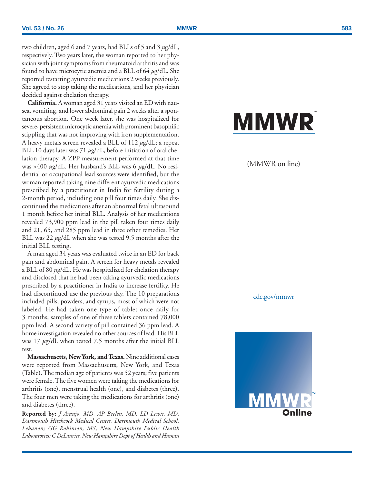two children, aged 6 and 7 years, had BLLs of 5 and 3 *µ*g/dL, respectively. Two years later, the woman reported to her physician with joint symptoms from rheumatoid arthritis and was found to have microcytic anemia and a BLL of 64 *µ*g/dL. She reported restarting ayurvedic medications 2 weeks previously. She agreed to stop taking the medications, and her physician decided against chelation therapy.

**California.** A woman aged 31 years visited an ED with nausea, vomiting, and lower abdominal pain 2 weeks after a spontaneous abortion. One week later, she was hospitalized for severe, persistent microcytic anemia with prominent basophilic stippling that was not improving with iron supplementation. A heavy metals screen revealed a BLL of 112 *µ*g/dL; a repeat BLL 10 days later was 71  $\mu$ g/dL, before initiation of oral chelation therapy. A ZPP measurement performed at that time was >400 *µ*g/dL. Her husband's BLL was 6 *µ*g/dL. No residential or occupational lead sources were identified, but the woman reported taking nine different ayurvedic medications prescribed by a practitioner in India for fertility during a 2-month period, including one pill four times daily. She discontinued the medications after an abnormal fetal ultrasound 1 month before her initial BLL. Analysis of her medications revealed 73,900 ppm lead in the pill taken four times daily and 21, 65, and 285 ppm lead in three other remedies. Her BLL was 22 *µ*g/dL when she was tested 9.5 months after the initial BLL testing.

A man aged 34 years was evaluated twice in an ED for back pain and abdominal pain. A screen for heavy metals revealed a BLL of 80 *µ*g/dL. He was hospitalized for chelation therapy and disclosed that he had been taking ayurvedic medications prescribed by a practitioner in India to increase fertility. He had discontinued use the previous day. The 10 preparations included pills, powders, and syrups, most of which were not labeled. He had taken one type of tablet once daily for 3 months; samples of one of these tablets contained 78,000 ppm lead. A second variety of pill contained 36 ppm lead. A home investigation revealed no other sources of lead. His BLL was 17 *µ*g/dL when tested 7.5 months after the initial BLL test.

**Massachusetts, New York, and Texas.** Nine additional cases were reported from Massachusetts, New York, and Texas (Table). The median age of patients was 52 years; five patients were female. The five women were taking the medications for arthritis (one), menstrual health (one), and diabetes (three). The four men were taking the medications for arthritis (one) and diabetes (three).

**Reported by:** *J Araujo, MD, AP Beelen, MD, LD Lewis, MD, Dartmouth Hitchcock Medical Center, Dartmouth Medical School, Lebanon; GG Robinson, MS, New Hampshire Public Health Laboratories; C DeLaurier, New Hampshire Dept of Health and Human*

# **MMWR**

## (MMWR on line)

cdc.gov/mmwr

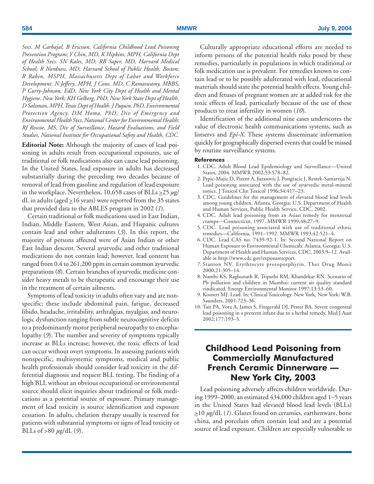<span id="page-9-0"></span>*Svcs. M Carbajal, B Ericsson, California Childhood Lead Poisoning Prevention Program; Y Chin, MD, K Hipkins, MPH, California Dept of Health Svcs. SN Kales, MD, RB Saper, MD, Harvard Medical School; R Nordness, MD, Harvard School of Public Health, Boston; R Rabin, MSPH, Massachusetts Dept of Labor and Workforce Development. N Jeffery, MPH, J Cone, MD, C Ramaswamy, MBBS, P Curry-Johnson, EdD, New York City Dept of Health and Mental Hygiene, New York; KH Gelberg, PhD, New York State Dept of Health. D Salzman, MPH, Texas Dept of Health. J Paquin, PhD, Environmental Protection Agency. DM Homa, PhD, Div of Emergency and Environmental Health Svcs, National Center for Environmental Health; RJ Roscoe, MS, Div of Surveillance, Hazard Evaluations, and Field Studies, National Institute for Occupational Safety and Health, CDC.*

**Editorial Note:** Although the majority of cases of lead poisoning in adults result from occupational exposures, use of traditional or folk medications also can cause lead poisoning. In the United States, lead exposure in adults has decreased substantially during the preceding two decades because of removal of lead from gasoline and regulation of lead exposure in the workplace. Nevertheless, 10,658 cases of BLLs  $\geq$ 25  $\mu$ g/ dL in adults (aged  $\geq$ 16 years) were reported from the 35 states that provided data to the ABLES program in 2002 (*1*).

Certain traditional or folk medications used in East Indian, Indian, Middle Eastern, West Asian, and Hispanic cultures contain lead and other adulterants (*3*). In this report, the majority of persons affected were of Asian Indian or other East Indian descent. Several ayurvedic and other traditional medications do not contain lead; however, lead content has ranged from 0.4 to 261,200 ppm in certain common ayurvedic preparations (*8*). Certain branches of ayurvedic medicine consider heavy metals to be therapeutic and encourage their use in the treatment of certain ailments.

Symptoms of lead toxicity in adults often vary and are nonspecific; these include abdominal pain, fatigue, decreased libido, headache, irritability, arthralgias, myalgias, and neurologic dysfunction ranging from subtle neurocognitive deficits to a predominantly motor peripheral neuropathy to encephalopathy (*9*). The number and severity of symptoms typically increase as BLLs increase; however, the toxic effects of lead can occur without overt symptoms. In assessing patients with nonspecific, multisystemic symptoms, medical and public health professionals should consider lead toxicity in the differential diagnosis and request BLL testing. The finding of a high BLL without an obvious occupational or environmental source should elicit inquiries about traditional or folk medications as a potential source of exposure. Primary management of lead toxicity is source identification and exposure cessation. In adults, chelation therapy usually is reserved for patients with substantial symptoms or signs of lead toxicity or BLLs of >80 *µ*g/dL (*9*).

Culturally appropriate educational efforts are needed to inform persons of the potential health risks posed by these remedies, particularly in populations in which traditional or folk medication use is prevalent. For remedies known to contain lead or to be possibly adulterated with lead, educational materials should state the potential health effects. Young children and fetuses of pregnant women are at added risk for the toxic effects of lead, particularly because of the use of these products to treat infertility in women (*10*).

Identification of the additional nine cases underscores the value of electronic health communications systems, such as listservs and *Epi-X*. These systems disseminate information quickly for geographically dispersed events that could be missed by routine surveillance systems.

## **References**

- 1. CDC. Adult Blood Lead Epidemiology and Surveillance—United States, 2004. MMWR 2002;53:578–82.
- 2. Prpic-Majic D, Pizent A, Jurasovic J, Pongracic J, Restek-Samarzija N. Lead poisoning associated with the use of ayurvedic metal-mineral tonics. J Toxicol Clin Toxicol 1996;34:417–23.
- 3. CDC. Guidelines for the management of elevated blood lead levels among young children. Atlanta, Georgia: U.S. Department of Health and Human Services, Public Health Service, CDC, 2002.
- 4. CDC. Adult lead poisoning from an Asian remedy for menstrual cramps—Connecticut, 1997. MMWR 1999;48:27–9.
- 5. CDC. Lead poisoning associated with use of traditional ethnic remedies—California, 1991–1992. MMWR 1993;42:521–4.
- 6. CDC. Lead CAS no. 7439-92-1. In: Second National Report on Human Exposure to Environmental Chemicals. Atlanta, Georgia: U.S. Department of Health and Human Services, CDC, 2003:9–12. Available at [http://www.cdc.gov/exposurereport.](http://www.cdc.gov/exposurereport)
- 7. Stanton NV. Erythrocyte protoporphyrin. Ther Drug Monit 2000;21:305–14.
- 8. Nambi KS, Raghunath R, Tripathi RM, Khandekar RN. Scenario of Pb pollution and children in Mumbai: current air quality standard vindicated. Energy Environmental Monitor 1997;13:53–60.
- 9. Kosnett MJ. Lead. In: Clinical Toxicology. New York, New York: W.B. Saunders, 2001:723–36.
- 10. Tait PA, Vora A, James S, Fitzgerald DJ, Pester BA. Severe congenital lead poisoning in a preterm infant due to a herbal remedy. Med J Aust 2002;177:193–5.

## **Childhood Lead Poisoning from Commercially Manufactured French Ceramic Dinnerware — New York City, 2003**

Lead poisoning adversely affects children worldwide. During 1999–2000, an estimated 434,000 children aged 1–5 years in the United States had elevated blood lead levels (BLLs) >10 *µ*g/dL (*1*). Glazes found on ceramics, earthenware, bone china, and porcelain often contain lead and are a potential source of lead exposure. Children are especially vulnerable to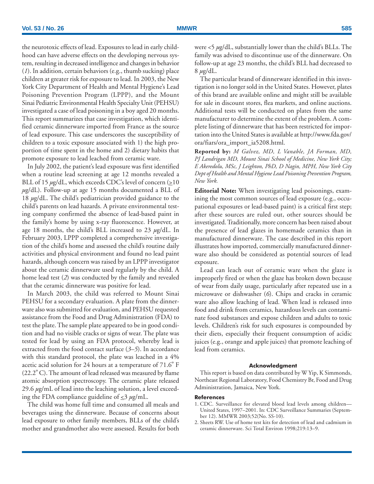the neurotoxic effects of lead. Exposures to lead in early childhood can have adverse effects on the developing nervous system, resulting in decreased intelligence and changes in behavior (*1*). In addition, certain behaviors (e.g., thumb sucking) place children at greater risk for exposure to lead. In 2003, the New York City Department of Health and Mental Hygiene's Lead Poisoning Prevention Program (LPPP), and the Mount Sinai Pediatric Environmental Health Specialty Unit (PEHSU) investigated a case of lead poisoning in a boy aged 20 months. This report summarizes that case investigation, which identified ceramic dinnerware imported from France as the source of lead exposure. This case underscores the susceptibility of children to a toxic exposure associated with 1) the high proportion of time spent in the home and 2) dietary habits that promote exposure to lead leached from ceramic ware.

In July 2002, the patient's lead exposure was first identified when a routine lead screening at age 12 months revealed a BLL of 15  $\mu$ g/dL, which exceeds CDC's level of concern ( $\geq$ 10 *µ*g/dL). Follow-up at age 15 months documented a BLL of 18 *µ*g/dL. The child's pediatrician provided guidance to the child's parents on lead hazards. A private environmental testing company confirmed the absence of lead-based paint in the family's home by using x-ray fluorescence. However, at age 18 months, the child's BLL increased to 23 *µ*g/dL. In February 2003, LPPP completed a comprehensive investigation of the child's home and assessed the child's routine daily activities and physical environment and found no lead paint hazards, although concern was raised by an LPPP investigator about the ceramic dinnerware used regularly by the child. A home lead test (*2*) was conducted by the family and revealed that the ceramic dinnerware was positive for lead.

In March 2003, the child was referred to Mount Sinai PEHSU for a secondary evaluation. A plate from the dinnerware also was submitted for evaluation, and PEHSU requested assistance from the Food and Drug Administration (FDA) to test the plate. The sample plate appeared to be in good condition and had no visible cracks or signs of wear. The plate was tested for lead by using an FDA protocol, whereby lead is extracted from the food contact surface (*3–5*). In accordance with this standard protocol, the plate was leached in a 4% acetic acid solution for 24 hours at a temperature of 71.6<sup>º</sup> F (22.2º C). The amount of lead released was measured by flame atomic absorption spectroscopy. The ceramic plate released 29.6 *µ*g/mL of lead into the leaching solution, a level exceeding the FDA compliance guideline of <3 *µ*g/mL.

The child was home full time and consumed all meals and beverages using the dinnerware. Because of concerns about lead exposure to other family members, BLLs of the child's mother and grandmother also were assessed. Results for both were <5 *µ*g/dL, substantially lower than the child's BLLs. The family was advised to discontinue use of the dinnerware. On follow-up at age 23 months, the child's BLL had decreased to  $8 \mu g/dL$ .

The particular brand of dinnerware identified in this investigation is no longer sold in the United States. However, plates of this brand are available online and might still be available for sale in discount stores, flea markets, and online auctions. Additional tests will be conducted on plates from the same manufacturer to determine the extent of the problem. A complete listing of dinnerware that has been restricted for importation into the United States is available at [http://www.fda.gov/](http://www.fda.gov/ora/fiars/ora_import_ia5208.html) [ora/fiars/ora\\_import\\_ia5208.html.](http://www.fda.gov/ora/fiars/ora_import_ia5208.html)

**Reported by:** *M Galvez, MD, L Vanable, JA Forman, MD, PJ Landrigan MD, Mount Sinai School of Medicine, New York City; E Akeredolu, MSc, J Leighton, PhD, D Nagin, MPH, New York City Dept of Health and Mental Hygiene Lead Poisoning Prevention Program, New York.*

**Editorial Note:** When investigating lead poisonings, examining the most common sources of lead exposure (e.g., occupational exposures or lead-based paint) is a critical first step; after these sources are ruled out, other sources should be investigated. Traditionally, more concern has been raised about the presence of lead glazes in homemade ceramics than in manufactured dinnerware. The case described in this report illustrates how imported, commercially manufactured dinnerware also should be considered as potential sources of lead exposure.

Lead can leach out of ceramic ware when the glaze is improperly fired or when the glaze has broken down because of wear from daily usage, particularly after repeated use in a microwave or dishwasher (*6*). Chips and cracks in ceramic ware also allow leaching of lead. When lead is released into food and drink from ceramics, hazardous levels can contaminate food substances and expose children and adults to toxic levels. Children's risk for such exposures is compounded by their diets, especially their frequent consumption of acidic juices (e.g., orange and apple juices) that promote leaching of lead from ceramics.

## **Acknowledgment**

This report is based on data contributed by W Yip, K Simmonds, Northeast Regional Laboratory, Food Chemistry Br, Food and Drug Administration, Jamaica, New York.

#### **References**

- 1. CDC. Surveillance for elevated blood lead levels among children— United States, 1997–2001. In: CDC Surveillance Summaries (September 12). MMWR 2003;52(No. SS-10).
- 2. Sheets RW. Use of home test kits for detection of lead and cadmium in ceramic dinnerware. Sci Total Environ 1998;219:13–9.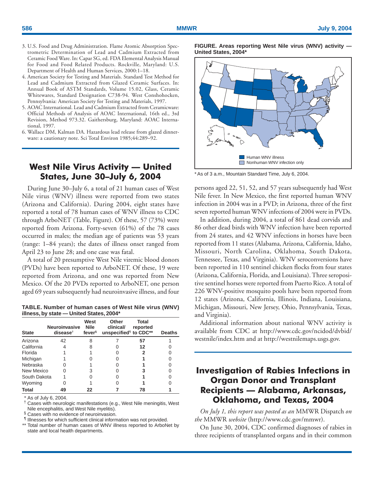- <span id="page-11-0"></span>3. U.S. Food and Drug Administration. Flame Atomic Absorption Spectrometric Determination of Lead and Cadmium Extracted from Ceramic Food Ware. In: Capar SG, ed. FDA Elemental Analysis Manual for Food and Food Related Products. Rockville, Maryland: U.S. Department of Health and Human Services, 2000:1–18.
- 4. American Society for Testing and Materials. Standard Test Method for Lead and Cadmium Extracted from Glazed Ceramic Surfaces. In: Annual Book of ASTM Standards, Volume 15.02, Glass, Ceramic Whitewares, Standard Designation C738-94. West Conshohocken, Pennsylvania: American Society for Testing and Materials, 1997.
- 5. AOAC International. Lead and Cadmium Extracted from Ceramicware: Official Methods of Analysis of AOAC International, 16th ed., 3rd Revision, Method 973.32. Gaithersburg, Maryland: AOAC International, 1997.
- 6. Wallace DM, Kalman DA. Hazardous lead release from glazed dinnerware: a cautionary note. Sci Total Environ 1985;44:289–92.

## **West Nile Virus Activity — United States, June 30–July 6, 2004**

During June 30–July 6, a total of 21 human cases of West Nile virus (WNV) illness were reported from two states (Arizona and California). During 2004, eight states have reported a total of 78 human cases of WNV illness to CDC through ArboNET (Table, Figure). Of these, 57 (73%) were reported from Arizona. Forty-seven (61%) of the 78 cases occurred in males; the median age of patients was 53 years (range: 1–84 years); the dates of illness onset ranged from April 23 to June 28; and one case was fatal.

A total of 20 presumptive West Nile viremic blood donors (PVDs) have been reported to ArboNET. Of these, 19 were reported from Arizona, and one was reported from New Mexico. Of the 20 PVDs reported to ArboNET, one person aged 69 years subsequently had neuroinvasive illness, and four

| TABLE. Number of human cases of West Nile virus (WNV) |  |
|-------------------------------------------------------|--|
| illness, by state - United States, 2004*              |  |

| <b>State</b> | <b>Neuroinvasive</b><br>$discate^{\dagger}$ | West<br><b>Nile</b><br>fever <sup>§</sup> | Other<br>clinical/<br>unspecified <sup>®</sup> to CDC** | Total<br>reported | <b>Deaths</b> |
|--------------|---------------------------------------------|-------------------------------------------|---------------------------------------------------------|-------------------|---------------|
| Arizona      | 42                                          | 8                                         |                                                         | 57                |               |
| California   |                                             | 8                                         |                                                         | 12                |               |
| Florida      |                                             |                                           |                                                         |                   |               |
| Michigan     |                                             |                                           |                                                         |                   |               |
| Nebraska     |                                             |                                           |                                                         |                   |               |
| New Mexico   |                                             | 3                                         |                                                         |                   |               |
| South Dakota |                                             |                                           |                                                         |                   |               |
| Wyoming      |                                             |                                           |                                                         |                   |               |
| Total        | 49                                          | 22                                        |                                                         | 78                |               |

As of July 6, 2004.

† Cases with neurologic manifestations (e.g., West Nile meningitis, West Nile encephalitis, and West Nile myelitis).

§ Cases with no evidence of neuroinvasion.

¶ Illnesses for which sufficient clinical information was not provided.

\*\* Total number of human cases of WNV illness reported to ArboNet by state and local health departments.

**FIGURE. Areas reporting West Nile virus (WNV) activity — United States, 2004\***



\* As of 3 a.m., Mountain Standard Time, July 6, 2004.

persons aged 22, 51, 52, and 57 years subsequently had West Nile fever. In New Mexico, the first reported human WNV infection in 2004 was in a PVD; in Arizona, three of the first seven reported human WNV infections of 2004 were in PVDs.

In addition, during 2004, a total of 861 dead corvids and 86 other dead birds with WNV infection have been reported from 24 states, and 42 WNV infections in horses have been reported from 11 states (Alabama, Arizona, California, Idaho, Missouri, North Carolina, Oklahoma, South Dakota, Tennessee, Texas, and Virginia). WNV seroconversions have been reported in 110 sentinel chicken flocks from four states (Arizona, California, Florida, and Louisiana). Three seropositive sentinel horses were reported from Puerto Rico. A total of 226 WNV-positive mosquito pools have been reported from 12 states (Arizona, California, Illinois, Indiana, Louisiana, Michigan, Missouri, New Jersey, Ohio, Pennsylvania, Texas, and Virginia).

Additional information about national WNV activity is available from CDC at [http://www.cdc.gov/ncidod/dvbid/](http://www.cdc.gov/ncidod/dvbid/westnile/index.htm) [westnile/index.htm](http://www.cdc.gov/ncidod/dvbid/westnile/index.htm) and at [http://westnilemaps.usgs.gov.](http://westnilemaps.usgs.gov)

## **Investigation of Rabies Infections in Organ Donor and Transplant Recipients — Alabama, Arkansas, Oklahoma, and Texas, 2004**

*On July 1, this report was posted as an* MMWR Dispatch *on the* MMWR *website* [\(http://www.cdc.gov/mmwr\)](http://www.cdc.gov/mmwr).

On June 30, 2004, CDC confirmed diagnoses of rabies in three recipients of transplanted organs and in their common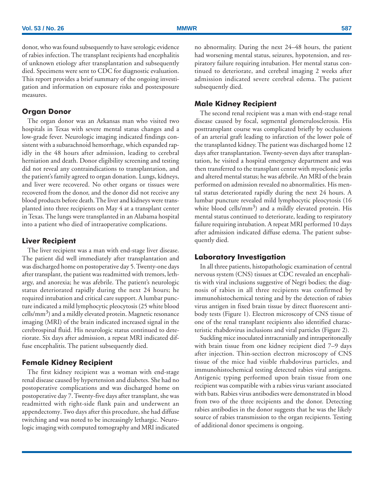donor, who was found subsequently to have serologic evidence of rabies infection. The transplant recipients had encephalitis of unknown etiology after transplantation and subsequently died. Specimens were sent to CDC for diagnostic evaluation. This report provides a brief summary of the ongoing investigation and information on exposure risks and postexposure measures.

## **Organ Donor**

The organ donor was an Arkansas man who visited two hospitals in Texas with severe mental status changes and a low-grade fever. Neurologic imaging indicated findings consistent with a subarachnoid hemorrhage, which expanded rapidly in the 48 hours after admission, leading to cerebral herniation and death. Donor eligibility screening and testing did not reveal any contraindications to transplantation, and the patient's family agreed to organ donation. Lungs, kidneys, and liver were recovered. No other organs or tissues were recovered from the donor, and the donor did not receive any blood products before death. The liver and kidneys were transplanted into three recipients on May 4 at a transplant center in Texas. The lungs were transplanted in an Alabama hospital into a patient who died of intraoperative complications.

## **Liver Recipient**

The liver recipient was a man with end-stage liver disease. The patient did well immediately after transplantation and was discharged home on postoperative day 5. Twenty-one days after transplant, the patient was readmitted with tremors, lethargy, and anorexia; he was afebrile. The patient's neurologic status deteriorated rapidly during the next 24 hours; he required intubation and critical care support. A lumbar puncture indicated a mild lymphocytic pleocytosis (25 white blood  $cells/mm<sup>3</sup>$ ) and a mildly elevated protein. Magnetic resonance imaging (MRI) of the brain indicated increased signal in the cerebrospinal fluid. His neurologic status continued to deteriorate. Six days after admission, a repeat MRI indicated diffuse encephalitis. The patient subsequently died.

## **Female Kidney Recipient**

The first kidney recipient was a woman with end-stage renal disease caused by hypertension and diabetes. She had no postoperative complications and was discharged home on postoperative day 7. Twenty-five days after transplant, she was readmitted with right-side flank pain and underwent an appendectomy. Two days after this procedure, she had diffuse twitching and was noted to be increasingly lethargic. Neurologic imaging with computed tomography and MRI indicated no abnormality. During the next 24–48 hours, the patient had worsening mental status, seizures, hypotension, and respiratory failure requiring intubation. Her mental status continued to deteriorate, and cerebral imaging 2 weeks after admission indicated severe cerebral edema. The patient subsequently died.

## **Male Kidney Recipient**

The second renal recipient was a man with end-stage renal disease caused by focal, segmental glomerulosclerosis. His posttransplant course was complicated briefly by occlusions of an arterial graft leading to infarction of the lower pole of the transplanted kidney. The patient was discharged home 12 days after transplantation. Twenty-seven days after transplantation, he visited a hospital emergency department and was then transferred to the transplant center with myoclonic jerks and altered mental status; he was afebrile. An MRI of the brain performed on admission revealed no abnormalities. His mental status deteriorated rapidly during the next 24 hours. A lumbar puncture revealed mild lymphocytic pleocytosis (16 white blood cells/ $mm<sup>3</sup>$ ) and a mildly elevated protein. His mental status continued to deteriorate, leading to respiratory failure requiring intubation. A repeat MRI performed 10 days after admission indicated diffuse edema. The patient subsequently died.

## **Laboratory Investigation**

In all three patients, histopathologic examination of central nervous system (CNS) tissues at CDC revealed an encephalitis with viral inclusions suggestive of Negri bodies; the diagnosis of rabies in all three recipients was confirmed by immunohistochemical testing and by the detection of rabies virus antigen in fixed brain tissue by direct fluorescent antibody tests (Figure 1). Electron microscopy of CNS tissue of one of the renal transplant recipients also identified characteristic rhabdovirus inclusions and viral particles (Figure 2).

Suckling mice inoculated intracranially and intraperitoneally with brain tissue from one kidney recipient died 7–9 days after injection. Thin-section electron microscopy of CNS tissue of the mice had visible rhabdovirus particles, and immunohistochemical testing detected rabies viral antigens. Antigenic typing performed upon brain tissue from one recipient was compatible with a rabies virus variant associated with bats. Rabies virus antibodies were demonstrated in blood from two of the three recipients and the donor. Detecting rabies antibodies in the donor suggests that he was the likely source of rabies transmission to the organ recipients. Testing of additional donor specimens is ongoing.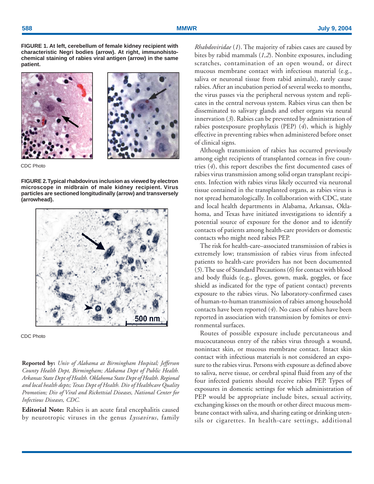**FIGURE 1. At left, cerebellum of female kidney recipient with characteristic Negri bodies (arrow). At right, immunohistochemical staining of rabies viral antigen (arrow) in the same patient.**





CDC Photo

**FIGURE 2. Typical rhabdovirus inclusion as viewed by electron microscope in midbrain of male kidney recipient. Virus particles are sectioned longitudinally (arrow) and transversely (arrowhead).**



CDC Photo

**Reported by:** *Univ of Alabama at Birmingham Hospital; Jefferson County Health Dept, Birmingham; Alabama Dept of Public Health. Arkansas State Dept of Health. Oklahoma State Dept of Health. Regional and local health depts; Texas Dept of Health. Div of Healthcare Quality Promotion; Div of Viral and Rickettsial Diseases, National Center for Infectious Diseases, CDC.*

**Editorial Note:** Rabies is an acute fatal encephalitis caused by neurotropic viruses in the genus *Lyssavirus*, family *Rhabdoviridae* (*1*). The majority of rabies cases are caused by bites by rabid mammals (*1,2*). Nonbite exposures, including scratches, contamination of an open wound, or direct mucous membrane contact with infectious material (e.g., saliva or neuronal tissue from rabid animals), rarely cause rabies. After an incubation period of several weeks to months, the virus passes via the peripheral nervous system and replicates in the central nervous system. Rabies virus can then be disseminated to salivary glands and other organs via neural innervation (*3*). Rabies can be prevented by administration of rabies postexposure prophylaxis (PEP) (*4*), which is highly effective in preventing rabies when administered before onset of clinical signs.

Although transmission of rabies has occurred previously among eight recipients of transplanted corneas in five countries (*4*), this report describes the first documented cases of rabies virus transmission among solid organ transplant recipients. Infection with rabies virus likely occurred via neuronal tissue contained in the transplanted organs, as rabies virus is not spread hematologically. In collaboration with CDC, state and local health departments in Alabama, Arkansas, Oklahoma, and Texas have initiated investigations to identify a potential source of exposure for the donor and to identify contacts of patients among health-care providers or domestic contacts who might need rabies PEP.

The risk for health-care–associated transmission of rabies is extremely low; transmission of rabies virus from infected patients to health-care providers has not been documented (*5*). The use of Standard Precautions (*6*) for contact with blood and body fluids (e.g., gloves, gown, mask, goggles, or face shield as indicated for the type of patient contact) prevents exposure to the rabies virus. No laboratory-confirmed cases of human-to-human transmission of rabies among household contacts have been reported (*4*). No cases of rabies have been reported in association with transmission by fomites or environmental surfaces.

Routes of possible exposure include percutaneous and mucocutaneous entry of the rabies virus through a wound, nonintact skin, or mucous membrane contact. Intact skin contact with infectious materials is not considered an exposure to the rabies virus. Persons with exposure as defined above to saliva, nerve tissue, or cerebral spinal fluid from any of the four infected patients should receive rabies PEP. Types of exposures in domestic settings for which administration of PEP would be appropriate include bites, sexual activity, exchanging kisses on the mouth or other direct mucous membrane contact with saliva, and sharing eating or drinking utensils or cigarettes. In health-care settings, additional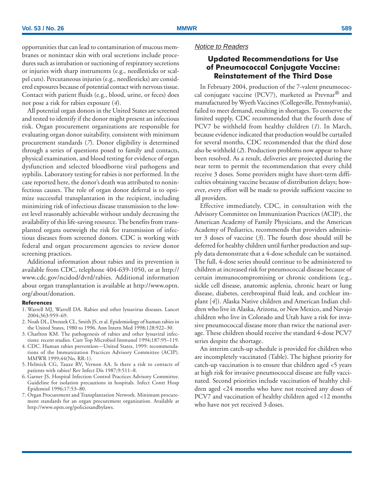<span id="page-14-0"></span>opportunities that can lead to contamination of mucous membranes or nonintact skin with oral secretions include procedures such as intubation or suctioning of respiratory secretions or injuries with sharp instruments (e.g., needlesticks or scalpel cuts). Percutaneous injuries (e.g., needlesticks) are considered exposures because of potential contact with nervous tissue. Contact with patient fluids (e.g., blood, urine, or feces) does not pose a risk for rabies exposure (*4*).

All potential organ donors in the United States are screened and tested to identify if the donor might present an infectious risk. Organ procurement organizations are responsible for evaluating organ donor suitability, consistent with minimum procurement standards (*7*). Donor eligibility is determined through a series of questions posed to family and contacts, physical examination, and blood testing for evidence of organ dysfunction and selected bloodborne viral pathogens and syphilis. Laboratory testing for rabies is not performed. In the case reported here, the donor's death was attributed to noninfectious causes. The role of organ donor deferral is to optimize successful transplantation in the recipient, including minimizing risk of infectious disease transmission to the lowest level reasonably achievable without unduly decreasing the availability of this life-saving resource. The benefits from transplanted organs outweigh the risk for transmission of infectious diseases from screened donors. CDC is working with federal and organ procurement agencies to review donor screening practices.

Additional information about rabies and its prevention is available from CDC, telephone 404-639-1050, or at [http://](http://www.cdc.gov/ncidod/dvrd/rabies) [www.cdc.gov/ncidod/dvrd/rabies.](http://www.cdc.gov/ncidod/dvrd/rabies) Additional information about organ transplantation is available at [http://www.optn.](http://www.optn.org/about/donation) [org/about/donation.](http://www.optn.org/about/donation)

## **References**

- 1. Warrell MJ, Warrell DA. Rabies and other lyssavirus diseases. Lancet 2004;363:959–69.
- 2. Noah DL, Drenzek CL, Smith JS, et al. Epidemiology of human rabies in the United States, 1980 to 1996. Ann Intern Med 1998;128:922–30.
- 3. Charlton KM. The pathogenesis of rabies and other lyssaviral infections: recent studies. Curr Top Microbiol Immunol 1994;187:95–119.
- 4. CDC. Human rabies prevention—United States, 1999: recommendations of the Immunization Practices Advisory Committee (ACIP). MMWR 1999;44(No. RR-1).
- 5. Helmick CG, Tauxe RV, Vernon AA. Is there a risk to contacts of patients with rabies? Rev Infect Dis 1987;9:511–8.
- 6. Garner JS, Hospital Infection Control Practices Advisory Committee. Guideline for isolation precautions in hospitals. Infect Contr Hosp Epidemiol 1996;17:53–80.
- 7. Organ Procurement and Transplantation Network. Minimum procurement standards for an organ procurement organization. Available at [http://www.optn.org/policiesandbylaws.](http://www.optn.org/policiesandbylaws)

## Notice to Readers

## **Updated Recommendations for Use of Pneumococcal Conjugate Vaccine: Reinstatement of the Third Dose**

In February 2004, production of the 7-valent pneumococcal conjugate vaccine (PCV7), marketed as Prevnar® and manufactured by Wyeth Vaccines (Collegeville, Pennsylvania), failed to meet demand, resulting in shortages. To conserve the limited supply, CDC recommended that the fourth dose of PCV7 be withheld from healthy children (*1*). In March, because evidence indicated that production would be curtailed for several months, CDC recommended that the third dose also be withheld (*2*). Production problems now appear to have been resolved. As a result, deliveries are projected during the near term to permit the recommendation that every child receive 3 doses. Some providers might have short-term difficulties obtaining vaccine because of distribution delays; however, every effort will be made to provide sufficient vaccine to all providers.

Effective immediately, CDC, in consultation with the Advisory Committee on Immunization Practices (ACIP), the American Academy of Family Physicians, and the American Academy of Pediatrics, recommends that providers administer 3 doses of vaccine (*3*). The fourth dose should still be deferred for healthy children until further production and supply data demonstrate that a 4-dose schedule can be sustained. The full, 4-dose series should continue to be administered to children at increased risk for pneumococcal disease because of certain immunocompromising or chronic conditions (e.g., sickle cell disease, anatomic asplenia, chronic heart or lung disease, diabetes, cerebrospinal fluid leak, and cochlear implant [*4*]). Alaska Native children and American Indian children who live in Alaska, Arizona, or New Mexico, and Navajo children who live in Colorado and Utah have a risk for invasive pneumococcal disease more than twice the national average. These children should receive the standard 4-dose PCV7 series despite the shortage.

An interim catch-up schedule is provided for children who are incompletely vaccinated (Table). The highest priority for catch-up vaccination is to ensure that children aged <5 years at high risk for invasive pneumococcal disease are fully vaccinated. Second priorities include vaccination of healthy children aged <24 months who have not received any doses of PCV7 and vaccination of healthy children aged <12 months who have not yet received 3 doses.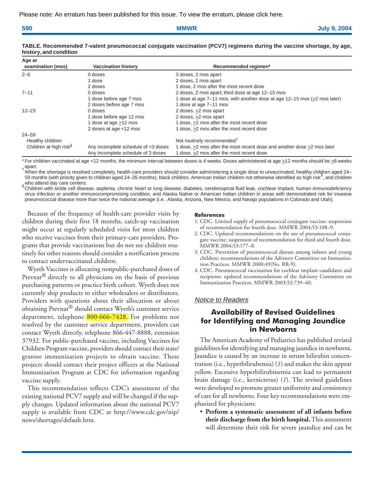| 590 | -------<br>NA NA VAL |  |
|-----|----------------------|--|
|     |                      |  |

| Age at<br>examination (mos)        | <b>Vaccination history</b>          | Recommended regimen*                                                      |
|------------------------------------|-------------------------------------|---------------------------------------------------------------------------|
| $2 - 6$                            | 0 doses                             | 3 doses, 2 mos apart                                                      |
|                                    | 1 dose                              | 2 doses, 2 mos apart                                                      |
|                                    | 2 doses                             | 1 dose, 2 mos after the most recent dose                                  |
| $7 - 11$                           | $0$ doses                           | 2 doses, 2 mos apart; third dose at age 12-15 mos                         |
|                                    | 1 dose before age 7 mos             | 1 dose at age 7–11 mos, with another dose at age 12–15 mos (>2 mos later) |
|                                    | 2 doses before age 7 mos            | 1 dose at age 7-11 mos                                                    |
| $12 - 23$                          | $0$ doses                           | 2 doses, >2 mos apart                                                     |
|                                    | 1 dose before age 12 mos            | 2 doses, >2 mos apart                                                     |
|                                    | 1 dose at age >12 mos               | 1 dose, >2 mos after the most recent dose                                 |
|                                    | 2 doses at age <12 mos              | 1 dose, >2 mos after the most recent dose                                 |
| $24 - 59$                          |                                     |                                                                           |
| Healthy children                   |                                     | Not routinely recommended <sup>†</sup>                                    |
| Children at high risk <sup>§</sup> | Any incomplete schedule of <3 doses | 1 dose, >2 mos after the most recent dose and another dose >2 mos later   |
|                                    | Any incomplete schedule of 3 doses  | 1 dose, >2 mos after the most recent dose                                 |

## **TABLE. Recommended 7-valent pneumococcal conjugate vaccination (PCV7) regimens during the vaccine shortage, by age, history, and condition**

\* For children vaccinated at age <12 months, the minimum interval between doses is 4 weeks. Doses administered at age ≥12 months should be ≥8 weeks

, apart.<br><sup>†</sup> When the shortage is resolved completely, health-care providers should consider administering a single dose to unvaccinated, healthy children aged 24– of the children and children aged 24–35 months), black children, American Indian children not otherwise identified as high risk§, and children for all the children not otherwise identified as high risk§, and children not who attend day care centers.

Since allern bij zie zeneen.<br>Schildren with sickle cell disease, asplenia, chronic heart or lung disease, diabetes, cerebrospinal fluid leak, cochlear implant, human immunodeficiency virus infection or another immunocompromising condition, and Alaska Native or American Indian children in areas with demonstrated risk for invasive pneumococcal disease more than twice the national average (i.e., Alaska, Arizona, New Mexico, and Navajo populations in Colorado and Utah).

Because of the frequency of health-care provider visits by children during their first 18 months, catch-up vaccination might occur at regularly scheduled visits for most children who receive vaccines from their primary-care providers. Programs that provide vaccinations but do not see children routinely for other reasons should consider a notification process to contact undervaccinated children.

Wyeth Vaccines is allocating nonpublic-purchased doses of Prevnar® directly to all physicians on the basis of previous purchasing patterns or practice birth cohort. Wyeth does not currently ship products to either wholesalers or distributors. Providers with questions about their allocation or about obtaining Prevnar® should contact Wyeth's customer service department, telephone [800-666-7428.](http://www.cdc.gov/mmwr/PDF/wk/mm5327.pdf) For problems not resolved by the customer service department, providers can contact Wyeth directly, telephone 866-447-8888, extension 37932. For public-purchased vaccine, including Vaccines for Children Program vaccine, providers should contact their state/ grantee immunization projects to obtain vaccine. These projects should contact their project officers at the National Immunization Program at CDC for information regarding vaccine supply.

This recommendation reflects CDC's assessment of the existing national PCV7 supply and will be changed if the supply changes. Updated information about the national PCV7 supply is available from CDC at [http://www.cdc.gov/nip/](http://www.cdc.gov/nip/news/shortages/default.htm) [news/shortages/default.htm.](http://www.cdc.gov/nip/news/shortages/default.htm)

## **References**

- 1. CDC. Limited supply of pneumococcal conjugate vaccine: suspension of recommendation for fourth dose. MMWR 2004;53:108–9.
- 2. CDC. Updated recommendations on the use of pneumococcal conjugate vaccine: suspension of recommendation for third and fourth dose. MMWR 2004;53:177–8.
- 3. CDC. Prevention of pneumococcal disease among infants and young children: recommendations of the Advisory Committee on Immunization Practices. MMWR 2000;49(No. RR-9).
- 4. CDC. Pneumococcal vaccination for cochlear implant candidates and recipients: updated recommendations of the Advisory Committee on Immunization Practices. MMWR 2003;52:739–40.

## Notice to Readers

## **Availability of Revised Guidelines for Identifying and Managing Jaundice in Newborns**

The American Academy of Pediatrics has published revised guidelines for identifying and managing jaundice in newborns. Jaundice is caused by an increase in serum bilirubin concentration (i.e., hyperbilirubemia) (*1*) and makes the skin appear yellow. Excessive hyperbilirubinemia can lead to permanent brain damage (i.e., kernicterus) (*1*). The revised guidelines were developed to promote greater uniformity and consistency of care for all newborns. Four key recommendations were emphasized for physicians:

• **Perform a systematic assessment of all infants before their discharge from the birth hospital.** This assessment will determine their risk for severe jaundice and can be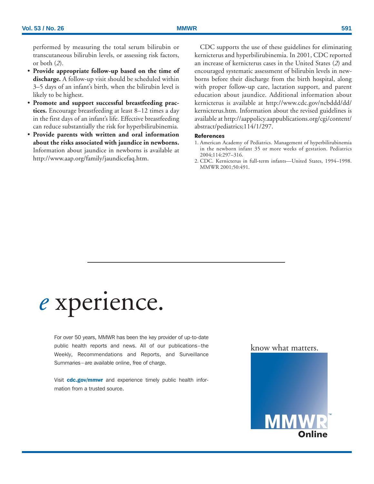performed by measuring the total serum bilirubin or transcutaneous bilirubin levels, or assessing risk factors, or both (*2*).

- **Provide appropriate follow-up based on the time of discharge.** A follow-up visit should be scheduled within 3–5 days of an infant's birth, when the bilirubin level is likely to be highest.
- **Promote and support successful breastfeeding practices.** Encourage breastfeeding at least 8–12 times a day in the first days of an infant's life. Effective breastfeeding can reduce substantially the risk for hyperbilirubinemia.
- **Provide parents with written and oral information about the risks associated with jaundice in newborns.** Information about jaundice in newborns is available at [http://www.aap.org/family/jaundicefaq.htm.](http://www.aap.org/family/jaundicefaq.htm)

CDC supports the use of these guidelines for eliminating kernicterus and hyperbilirubinemia. In 2001, CDC reported an increase of kernicterus cases in the United States (*2*) and encouraged systematic assessment of bilirubin levels in newborns before their discharge from the birth hospital, along with proper follow-up care, lactation support, and parent education about jaundice. Additional information about kernicterus is available at [http://www.cdc.gov/ncbddd/dd/](http://www.cdc.gov/ncbddd/dd/kernicterus.htm) [kernicterus.htm.](http://www.cdc.gov/ncbddd/dd/kernicterus.htm) Information about the revised guidelines is available at [http://aappolicy.aappublications.org/cgi/content/](http://aappolicy.aappublications.org/cgi/content/abstract/pediatrics;114/1/297) [abstract/pediatrics;114/1/297.](http://aappolicy.aappublications.org/cgi/content/abstract/pediatrics;114/1/297)

## **References**

- 1. American Academy of Pediatrics. Management of hyperbilirubinemia in the newborn infant 35 or more weeks of gestation. Pediatrics 2004;114:297–316.
- 2. CDC. Kernicterus in full-term infants—United States, 1994–1998. MMWR 2001;50:491.

# *e* xperience.

For over 50 years, MMWR has been the key provider of up-to-date public health reports and news. All of our publications–the Weekly, Recommendations and Reports, and Surveillance Summaries–are available online, free of charge.

Visit cdc.gov/mmwr and experience timely public health information from a trusted source.

know what matters.

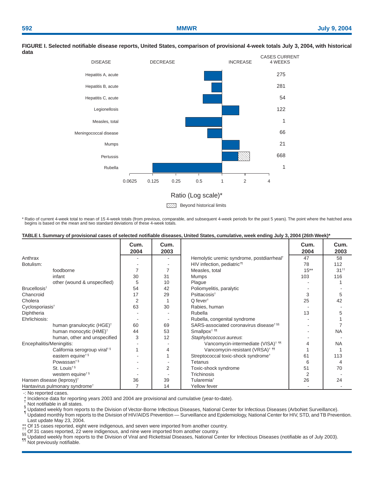

#### **FIGURE I. Selected notifiable disease reports, United States, comparison of provisional 4-week totals July 3, 2004, with historical data**

**Beyond historical limits** 

\* Ratio of current 4-week total to mean of 15 4-week totals (from previous, comparable, and subsequent 4-week periods for the past 5 years). The point where the hatched area begins is based on the mean and two standard deviations of these 4-week totals.

## **TABLE I. Summary of provisional cases of selected notifiable diseases, United States, cumulative, week ending July 3, 2004 (26th Week)\***

|                                            | Cum.<br>2004   | Cum.<br>2003   |                                                       | Cum.<br>2004 | Cum.<br>2003 |
|--------------------------------------------|----------------|----------------|-------------------------------------------------------|--------------|--------------|
| Anthrax                                    |                |                | Hemolytic uremic syndrome, postdiarrheal <sup>†</sup> | 47           | 58           |
| Botulism:                                  |                |                | HIV infection, pediatric <sup>t¶</sup>                | 78           | 112          |
| foodborne                                  |                |                | Measles, total                                        | $15***$      | $31^{++}$    |
| infant                                     | 30             | 31             | <b>Mumps</b>                                          | 103          | 116          |
| other (wound & unspecified)                | 5              | 10             | Plague                                                |              |              |
| Brucellosis <sup>t</sup>                   | 54             | 42             | Poliomyelitis, paralytic                              |              |              |
| Chancroid                                  | 17             | 29             | Psittacosis <sup>t</sup>                              | 3            | 5            |
| Cholera                                    | $\overline{2}$ |                | $Q$ fever <sup>t</sup>                                | 25           | 42           |
| Cyclosporiasis <sup>+</sup>                | 63             | 30             | Rabies, human                                         |              |              |
| Diphtheria                                 |                |                | Rubella                                               | 13           |              |
| Ehrlichiosis:                              |                |                | Rubella, congenital syndrome                          |              |              |
| human granulocytic (HGE) <sup>†</sup>      | 60             | 69             | SARS-associated coronavirus disease <sup>t §§</sup>   |              |              |
| human monocytic (HME) <sup>†</sup>         | 44             | 53             | Smallpox <sup>+</sup> 11                              |              | <b>NA</b>    |
| human, other and unspecified               | 3              | 12             | Staphylococcus aureus:                                |              |              |
| Encephalitis/Meningitis:                   |                |                | Vancomycin-intermediate (VISA) <sup>†</sup> 11        |              | <b>NA</b>    |
| California serogroup viral <sup>+§</sup>   |                | 4              | Vancomycin-resistant (VRSA) <sup>† 11</sup>           |              |              |
| eastern equine <sup>t §</sup>              |                |                | Streptococcal toxic-shock syndrome <sup>+</sup>       | 61           | 113          |
| Powassan <sup>t§</sup>                     |                |                | Tetanus                                               | 6            | 4            |
| St. Louis <sup>t§</sup>                    |                | $\overline{2}$ | Toxic-shock syndrome                                  | 51           | 70           |
| western equine <sup>t §</sup>              |                |                | Trichinosis                                           | 2            |              |
| Hansen disease (leprosy) <sup>†</sup>      | 36             | 39             | Tularemia <sup>+</sup>                                | 26           | 24           |
| Hantavirus pulmonary syndrome <sup>+</sup> | 7              | 14             | Yellow fever                                          |              |              |

-: No reported cases.<br>\* Incidence data for reporting years 2003 and 2004 are provisional and cumulative (year-to-date).

√ Not notifiable in all states.<br>§ Updated weekly from reports to the Division of Vector-Borne Infectious Diseases, National Center for Infectious Diseases (ArboNet Surveillance).<br>¶ Updated monthly from reports to the Divi Last update May 23, 2004.<br>Of 15 cases reported, eight were indigenous, and seven were imported from another country.

If Of 15 cases reported, 22 were indigenous, and seven were imported from another country.<br>
Simple as the profect of the Division of Viral and Rickettsial Diseases, National Center for Infectious Diseases (notifiable as of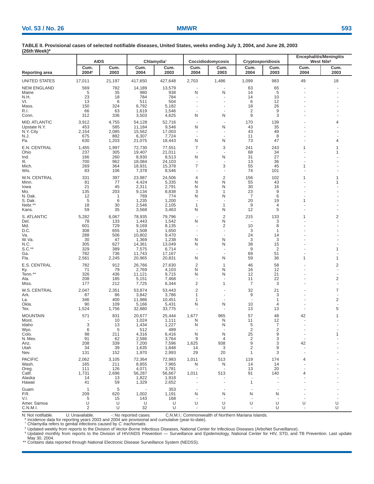| (26th Week)*            |                           |                     |                  |                        |                               |                          |                          |              |                          |                                                          |
|-------------------------|---------------------------|---------------------|------------------|------------------------|-------------------------------|--------------------------|--------------------------|--------------|--------------------------|----------------------------------------------------------|
|                         |                           | <b>AIDS</b>         |                  | Chlamydia <sup>†</sup> |                               | Coccidiodomycosis        | <b>Cryptosporidiosis</b> |              |                          | <b>Encephalitis/Meningitis</b><br>West Nile <sup>§</sup> |
| Reporting area          | Cum.<br>2004 <sup>1</sup> | Cum.<br>2003        | Cum.<br>2004     | Cum.<br>2003           | Cum.<br>2004                  | Cum.<br>2003             | Cum.<br>2004             | Cum.<br>2003 | Cum.<br>2004             | Cum.<br>2003                                             |
| UNITED STATES           | 17,011                    | 21,197              | 417,650          | 427,648                | 2,703                         | 1,486                    | 1,099                    | 983          | 49                       | 18                                                       |
| <b>NEW ENGLAND</b>      | 569                       | 782                 | 14,189           | 13,579                 | $\overline{\phantom{a}}$      |                          | 63                       | 65           |                          |                                                          |
| Maine                   | 5                         | 35                  | 980              | 938                    | N                             | N                        | 14                       | 5            |                          |                                                          |
| N.H.                    | 23                        | 18                  | 784              | 784                    |                               |                          | 14                       | 10           |                          |                                                          |
| Vt.                     | 13                        | 6                   | 511              | 504                    |                               |                          | 6                        | 12           |                          |                                                          |
| Mass.<br>R.I.           | 150<br>66                 | 324<br>63           | 6,792<br>1,619   | 5,182<br>1,546         |                               |                          | 18<br>2                  | 26<br>9      |                          |                                                          |
| Conn.                   | 312                       | 336                 | 3,503            | 4,625                  | N                             | N                        | 9                        | 3            |                          |                                                          |
| <b>MID. ATLANTIC</b>    | 3,912                     | 4,755               | 54,128           | 52,716                 | $\overline{\phantom{a}}$      | ÷                        | 170                      | 139          |                          | 4                                                        |
| Upstate N.Y.            | 453                       | 585                 | 11,184           | 9,546                  | N                             | N                        | 43                       | 35           |                          |                                                          |
| N.Y. City               | 2,154                     | 2,085               | 15,562           | 17,003                 | $\overline{\phantom{a}}$      | ٠                        | 43                       | 49           |                          |                                                          |
| N.J.<br>Pa.             | 675<br>630                | 882<br>1,203        | 6,307<br>21,075  | 7,724<br>18,443        | $\overline{a}$<br>N           | $\sim$<br>N              | 11<br>73                 | 8<br>47      |                          | 4                                                        |
| E.N. CENTRAL            | 1,455                     | 1,997               | 72,730           | 77,551                 | $\overline{7}$                | 3                        | 241                      | 243          | 1                        | 1                                                        |
| Ohio                    | 237                       | 305                 | 19,407           | 21,011                 |                               |                          | 68                       | 34           |                          | 1                                                        |
| Ind.                    | 166                       | 260                 | 8,930            | 8,513                  | N                             | N                        | 31                       | 27           |                          |                                                          |
| III.<br>Mich.           | 700<br>269                | 962<br>364          | 18,084<br>18,931 | 24,103<br>15,378       | J.<br>$\overline{7}$          | 3                        | 13<br>55                 | 36<br>45     | 1                        |                                                          |
| Wis.                    | 83                        | 106                 | 7,378            | 8,546                  |                               |                          | 74                       | 101          |                          |                                                          |
| W.N. CENTRAL            | 331                       | 397                 | 23,987           | 24,506                 | 4                             | $\overline{2}$           | 156                      | 102          | 1                        | 1                                                        |
| Minn.                   | 81                        | 77                  | 4,424            | 5,335                  | N                             | N                        | 55                       | 43           |                          | 1                                                        |
| lowa                    | 21                        | 45                  | 2,311            | 2,791                  | N                             | N                        | 30                       | 16           |                          |                                                          |
| Mo.<br>N. Dak.          | 135<br>12                 | 203<br>$\mathbf{1}$ | 9,134<br>769     | 8,838<br>774           | 3<br>N                        | 1<br>N                   | 23<br>$\overline{7}$     | 9<br>6       |                          |                                                          |
| S. Dak.                 | 5                         | 6                   | 1,235            | 1,200                  | $\overline{\phantom{a}}$      |                          | 20                       | 19           | 1                        |                                                          |
| Nebr.*'                 | 18                        | 30                  | 2,546            | 2,105                  | $\mathbf{1}$                  | $\mathbf{1}$             | 9                        | 4            |                          |                                                          |
| Kans.                   | 59                        | 35                  | 3,568            | 3,463                  | N                             | N                        | 12                       | 5            |                          |                                                          |
| S. ATLANTIC             | 5,282                     | 6,067               | 78,935           | 79,796                 | $\overline{\phantom{a}}$      | $\overline{2}$           | 215                      | 133          | 1                        | 2                                                        |
| Del.<br>Md.             | 78<br>601                 | 133<br>729          | 1,443<br>9,169   | 1,542<br>8,135         | N<br>$\overline{\phantom{a}}$ | N<br>2                   | ÷<br>10                  | 3<br>8       |                          |                                                          |
| D.C.                    | 308                       | 655                 | 1,508            | 1,650                  |                               | $\overline{\phantom{a}}$ | 3                        | 1            |                          |                                                          |
| Va.                     | 288                       | 506                 | 10,802           | 9,470                  |                               | ٠                        | 24                       | 14           |                          |                                                          |
| W. Va.<br>N.C.          | 30<br>305                 | 47<br>627           | 1,369<br>14,361  | 1,238<br>13,049        | N<br>N                        | N<br>N                   | 3<br>38                  | 3<br>15      |                          |                                                          |
| S.C.**                  | 329                       | 389                 | 7,575            | 6,714                  | $\overline{\phantom{a}}$      | ÷                        | 9                        | 2            |                          | 1                                                        |
| Ga.                     | 782                       | 736                 | 11,743           | 17,167                 | $\overline{a}$                |                          | 69                       | 51           |                          |                                                          |
| Fla.                    | 2,561                     | 2,245               | 20,965           | 20,831                 | N                             | N                        | 59                       | 36           | 1                        | $\mathbf{1}$                                             |
| E.S. CENTRAL            | 782                       | 912                 | 26,766           | 27,630                 | $\overline{2}$                | -1                       | 46                       | 58           |                          | $\overline{c}$                                           |
| Ky.<br>Tenn.**          | 71<br>326                 | 79<br>436           | 2,769<br>11,121  | 4,103<br>9,715         | N<br>N                        | N<br>N                   | 16<br>12                 | 12<br>21     |                          |                                                          |
| Ala.                    | 208                       | 185                 | 5,151            | 7,468                  |                               |                          | 11                       | 22           |                          | $\overline{2}$                                           |
| Miss.                   | 177                       | 212                 | 7,725            | 6,344                  | $\overline{2}$                | 1                        | 7                        | 3            |                          |                                                          |
| W.S. CENTRAL            | 2,047                     | 2,351               | 53,874           | 53,443                 | 2                             |                          | 32                       | 21           |                          | $\overline{7}$                                           |
| Ark.                    | 87                        | 86                  | 3,842            | 3,786                  | 1                             |                          | 9                        | 3            |                          |                                                          |
| La.<br>Okla.            | 346<br>90                 | 400<br>109          | 11,986<br>5,166  | 10,451<br>5,431        | 1<br>N                        | N                        | ÷,<br>10                 | 1<br>4       |                          | $\overline{2}$                                           |
| Tex.                    | 1,524                     | 1,756               | 32,880           | 33,775                 | $\overline{\phantom{a}}$      |                          | 13                       | 13           |                          | 5                                                        |
| MOUNTAIN                | 571                       | 831                 | 20,677           | 25,444                 | 1,677                         | 965                      | 57                       | 48           | 42                       | 1                                                        |
| Mont.                   |                           | 10                  | 1,024            | 1,111                  | N                             | N                        | 11                       | 12           | $\overline{\phantom{a}}$ | $\overline{\phantom{a}}$                                 |
| Idaho                   | 3                         | 13                  | 1,434            | 1,227                  | N                             | N                        | 5                        |              |                          |                                                          |
| Wyo.<br>Colo.           | 6<br>98                   | 5<br>211            | 512<br>4,316     | 489<br>6,416           | N                             | $\sim$<br>N              | 2<br>25                  | 2<br>9       |                          |                                                          |
| N. Mex.                 | 91                        | 62                  | 2,586            | 3,764                  | 9                             | $\overline{4}$           | 2                        | 3            |                          |                                                          |
| Ariz.                   | 208                       | 339                 | 7,200            | 7,596                  | 1,625                         | 938                      | 9                        | 3            | 42                       |                                                          |
| Utah<br>Nev.            | 34<br>131                 | 39<br>152           | 1,635<br>1,970   | 1,848<br>2,993         | 14<br>29                      | 3<br>20                  | 2<br>1                   | 9<br>3       |                          |                                                          |
| <b>PACIFIC</b>          | 2,062                     | 3,105               | 72,364           | 72,983                 | 1,011                         | 513                      | 119                      | 174          | 4                        |                                                          |
| Wash.                   | 165                       | 211                 | 8,855            | 7,965                  | N                             | N                        | 14                       | 14           |                          |                                                          |
| Oreg.                   | 111                       | 126                 | 4,071            | 3,781                  |                               |                          | 13                       | 20           |                          |                                                          |
| Calif.                  | 1,731                     | 2,696               | 56,287           | 56,667                 | 1,011                         | 513                      | 91                       | 140          |                          |                                                          |
| Alaska<br>Hawaii        | 14<br>41                  | 13<br>59            | 1,822<br>1,329   | 1,918<br>2,652         |                               |                          | 1                        |              |                          |                                                          |
| Guam                    | $\overline{1}$            | 5                   |                  | 353                    |                               |                          |                          |              |                          |                                                          |
| P.R.                    | 209                       | 620                 | 1,002            | 1,191                  | N                             | N                        | N                        | N            |                          |                                                          |
| V.I.                    | 5                         | 15                  | 143              | 168                    |                               |                          |                          |              |                          |                                                          |
| Amer. Samoa<br>C.N.M.I. | U<br>2                    | U<br>U              | U<br>32          | U<br>U                 | U                             | U<br>U                   | U                        | U<br>U       | U                        | U<br>U                                                   |

**TABLE II. Provisional cases of selected notifiable diseases, United States, weeks ending July 3, 2004, and June 28, 2003**

N: Not notifiable. U: Unavailable. (1) -: No reported cases. C.N.M.I.: Commonwealth of Northern Mariana Islands.<br>\* Incidence data for reporting years 2003 and 2004 are provisional and cumulative (year-to-date).<br>\* Chlamydia

§ Updated weekly from reports to the Division of Vector-Borne Infectious Diseases, National Center for Infectious Diseases (ArboNet Surveillance).

¶ Updated monthly from reports to the Division of HIV/AIDS Prevention — Surveillance and Epidemiology, National Center for HIV, STD, and TB Prevention. Last update May 30, 2004.

\*\* Contains data reported through National Electronic Disease Surveillance System (NEDSS).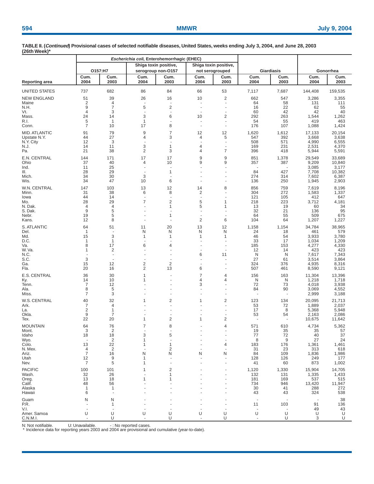| $-0.0011100001$         |                      |                          | Escherichia coli, Enterohemorrhagic (EHEC) |                       |                      |                       |              |              |                |                 |
|-------------------------|----------------------|--------------------------|--------------------------------------------|-----------------------|----------------------|-----------------------|--------------|--------------|----------------|-----------------|
|                         |                      |                          |                                            | Shiga toxin positive, |                      | Shiga toxin positive, |              |              |                |                 |
|                         |                      | O157:H7                  |                                            | serogroup non-O157    |                      | not serogrouped       |              | Giardiasis   |                | Gonorrhea       |
| <b>Reporting area</b>   | Cum.<br>2004         | Cum.<br>2003             | Cum.<br>2004                               | Cum.<br>2003          | Cum.<br>2004         | Cum.<br>2003          | Cum.<br>2004 | Cum.<br>2003 | Cum.<br>2004   | Cum.<br>2003    |
| UNITED STATES           | 737                  | 682                      | 86                                         | 84                    | 66                   | 53                    | 7,117        | 7,687        | 144,408        | 159,535         |
| <b>NEW ENGLAND</b>      | 51                   | 39                       | 26                                         | 16                    | 10                   | 2                     | 662          | 547          | 3,286          | 3,355           |
| Maine                   | $\overline{2}$       | 4                        |                                            |                       |                      |                       | 64           | 58           | 131            | 111             |
| N.H.<br>Vt.             | 9<br>4               | $\overline{7}$<br>3      | 5                                          | $\overline{2}$        |                      |                       | 16<br>60     | 22<br>42     | 62<br>42       | 55<br>40        |
| Mass.                   | 24                   | 14                       | 3                                          | 6                     | 10                   | 2                     | 292          | 263          | 1,544          | 1,262           |
| R.I.<br>Conn.           | 5<br>$\overline{7}$  | $\mathbf{1}$<br>10       | $\mathbf{1}$<br>17                         | 8                     |                      |                       | 54<br>176    | 55<br>107    | 419<br>1,088   | 463<br>1,424    |
| MID. ATLANTIC           | 91                   | 79                       | 9                                          | $\overline{7}$        | 12                   | 12                    | 1,620        | 1,612        | 17,133         | 20,154          |
| Upstate N.Y.            | 44                   | 27                       | 4                                          | 3                     | 4                    | 5                     | 547          | 392          | 3,668          | 3,638           |
| N.Y. City               | 12<br>14             | 3<br>11                  | 3                                          | $\mathbf{1}$          | 4                    |                       | 508<br>169   | 571<br>231   | 4,990          | 6,555<br>4,370  |
| N.J.<br>Pa.             | 21                   | 38                       | $\overline{2}$                             | 3                     | 4                    | 7                     | 396          | 418          | 2,531<br>5,944 | 5,591           |
| E.N. CENTRAL            | 144                  | 171                      | 17                                         | 17                    | 9                    | 9                     | 851          | 1,378        | 29,549         | 33,689          |
| Ohio<br>Ind.            | 37<br>11             | 40<br>25                 | 4                                          | 10                    | 9                    | 9                     | 357          | 387          | 9,209<br>3,085 | 10,840<br>3,177 |
| III.                    | 28                   | 29                       |                                            | $\overline{1}$        |                      |                       | 84           | 427          | 7,708          | 10,382          |
| Mich.                   | 34                   | 30                       | 3                                          |                       |                      |                       | 274          | 314          | 7,602          | 6,387           |
| Wis.                    | 34                   | 47                       | 10                                         | 6                     |                      |                       | 136          | 250          | 1,945          | 2,903           |
| W.N. CENTRAL<br>Minn.   | 147<br>31            | 103<br>38                | 13<br>6                                    | 12<br>8               | 14<br>$\overline{2}$ | 8                     | 856<br>304   | 759<br>272   | 7,619<br>1,583 | 8,196<br>1,337  |
| lowa                    | 44                   | 14                       | $\overline{\phantom{a}}$                   |                       | ÷,                   |                       | 121          | 105          | 412            | 647             |
| Mo.                     | 28<br>$\overline{4}$ | 29                       | $\overline{7}$                             | $\overline{2}$        | 5                    | 1<br>-1               | 218          | 223          | 3,712          | 4,181           |
| N. Dak.<br>S. Dak.      | 9                    | $\overline{4}$<br>5      |                                            | 1                     | 5                    |                       | 13<br>32     | 19<br>21     | 60<br>136      | 34<br>95        |
| Nebr.                   | 19                   | 5                        |                                            | 1                     |                      |                       | 64           | 55           | 509            | 675             |
| Kans.                   | 12                   | 8                        |                                            |                       | $\overline{c}$       | 6                     | 104          | 64           | 1,207          | 1,227           |
| S. ATLANTIC             | 64<br>$\mathbf{1}$   | 51                       | 11<br>N                                    | 20<br>N               | 13<br>N              | 12<br>N               | 1,158<br>24  | 1,154        | 34,784         | 38,965<br>579   |
| Del.<br>Md.             | 15                   | 3                        | 1                                          | $\mathbf{1}$          | 1                    | 1                     | 46           | 18<br>54     | 461<br>3,933   | 3,780           |
| D.C.                    | 1                    | 1                        | $\overline{\phantom{a}}$                   |                       |                      |                       | 33           | 17           | 1,034          | 1,209           |
| Va.<br>W.Va.            | 8<br>1               | 17<br>$\overline{2}$     | 6                                          | 4                     |                      |                       | 185<br>12    | 153<br>14    | 4,277<br>423   | 4,330<br>423    |
| N.C.                    |                      | $\overline{\phantom{a}}$ |                                            |                       | 6                    | 11                    | N            | N            | 7,617          | 7,343           |
| S.C.                    | 3                    |                          |                                            |                       |                      |                       | 27           | 61           | 3,514          | 3,864           |
| Ga.<br>Fla.             | 15<br>20             | 12<br>16                 | 2<br>2                                     | $\overline{2}$<br>13  | 6                    |                       | 324<br>507   | 376<br>461   | 4,935<br>8,590 | 8,316<br>9,121  |
| E.S. CENTRAL            | 36                   | 30                       | 1                                          |                       | $\overline{7}$       | 4                     | 156          | 163          | 11,304         | 13,396          |
| Ky.                     | 14                   | 10                       | 1                                          |                       | 4                    | 4                     | N            | N            | 1,218          | 1,718           |
| Tenn.                   | 7<br>8               | 12<br>5                  |                                            |                       | 3                    |                       | 72<br>84     | 73<br>90     | 4,018          | 3,938           |
| Ala.<br>Miss.           | 7                    | 3                        |                                            |                       |                      |                       |              |              | 3,069<br>2,999 | 4,552<br>3,188  |
| W.S. CENTRAL            | 40                   | 32                       | 1                                          | $\overline{c}$        | 1                    | 2                     | 123          | 134          | 20,095         | 21,713          |
| Ark.                    | 7                    | 4<br>1                   |                                            |                       |                      |                       | 53           | 72           | 1,889          | 2,037           |
| La.<br>Okla.            | 2<br>9               | 7                        |                                            |                       |                      |                       | 17<br>53     | 8<br>54      | 5,368<br>2,163 | 5,948<br>2,086  |
| Tex.                    | 22                   | 20                       | 1                                          | $\overline{c}$        | 1                    | $\overline{c}$        |              |              | 10,675         | 11,642          |
| <b>MOUNTAIN</b>         | 64                   | 76                       | 7                                          | 8                     |                      | 4                     | 571          | 610          | 4,734          | 5,362           |
| Mont.<br>Idaho          | 3<br>18              | $\overline{2}$<br>18     | 3                                          | 5                     |                      |                       | 19<br>77     | 35<br>72     | 35<br>40       | 57<br>37        |
| Wyo.                    |                      | 2                        |                                            |                       |                      |                       | 8            | 9            | 27             | 24              |
| Colo.                   | 13                   | 22                       |                                            | 1                     |                      | 4                     | 183          | 176          | 1,361          | 1,461           |
| N. Mex.<br>Ariz.        | 4<br>$\overline{7}$  | 2<br>16                  | N                                          | $\overline{2}$<br>N   | Ν                    | N                     | 31<br>84     | 23<br>109    | 313<br>1,836   | 618<br>1,986    |
| Utah                    | 12                   | 9                        |                                            |                       |                      |                       | 128          | 126          | 249            | 177             |
| Nev.                    | 7                    | 5                        |                                            |                       |                      |                       | 41           | 60           | 873            | 1,002           |
| <b>PACIFIC</b>          | 100                  | 101                      |                                            | 2                     |                      |                       | 1,120        | 1,330        | 15,904         | 14,705          |
| Wash.<br>Oreg.          | 32<br>13             | 26<br>18                 |                                            | 1<br>1                |                      |                       | 132<br>181   | 131<br>169   | 1,335<br>537   | 1,433<br>515    |
| Calif.                  | 48                   | 56                       |                                            |                       |                      |                       | 734          | 946          | 13,420         | 11,947          |
| Alaska                  | 1                    | 1                        |                                            |                       |                      |                       | 30           | 41           | 288            | 272             |
| Hawaii                  | 6                    |                          |                                            |                       |                      |                       | 43           | 43           | 324            | 538             |
| Guam<br>P.R.            | N                    | N<br>1                   |                                            |                       |                      |                       | 11           | 103          | 91             | 38<br>136       |
| V.I.                    |                      |                          |                                            |                       |                      |                       |              |              | 49             | 43              |
| Amer. Samoa<br>C.N.M.I. | U                    | U<br>U                   | U                                          | U<br>U                | U                    | U<br>U                | U            | U<br>U       | U<br>3         | U<br>U          |

N: Not notifiable. U: Unavailable. The reported cases.<br>\* Incidence data for reporting years 2003 and 2004 are provisional and cumulative (year-to-date).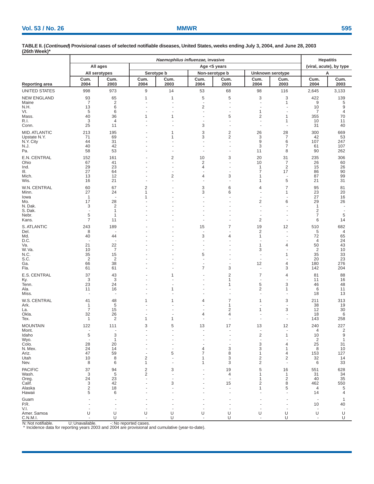|                          |                                 | Haemophilus influenzae, invasive |                     |                      |                                            |                                |                                |                          |                                             |                          |  |
|--------------------------|---------------------------------|----------------------------------|---------------------|----------------------|--------------------------------------------|--------------------------------|--------------------------------|--------------------------|---------------------------------------------|--------------------------|--|
|                          |                                 | All ages                         |                     |                      | Age <5 years                               |                                |                                |                          | <b>Hepatitis</b><br>(viral, acute), by type |                          |  |
|                          |                                 | All serotypes                    |                     | Serotype b           | Non-serotype b                             |                                |                                | Unknown serotype         |                                             | А                        |  |
| Reporting area           | Cum.<br>2004                    | Cum.<br>2003                     | Cum.<br>2004        | Cum.<br>2003         | Cum.<br>2004                               | Cum.<br>2003                   | Cum.<br>2004                   | Cum.<br>2003             | Cum.<br>2004                                | Cum.<br>2003             |  |
| UNITED STATES            | 998                             | 973                              | 9                   | 14                   | 53                                         | 68                             | 98                             | 116                      | 2,645                                       | 3,133                    |  |
| NEW ENGLAND              | 93                              | 65                               | 1                   | 1                    | 5                                          | 5                              | 3                              | 3                        | 422                                         | 139                      |  |
| Maine                    | $\overline{7}$                  | $\overline{c}$                   |                     |                      | $\overline{\phantom{a}}$<br>$\overline{2}$ | ٠                              | $\overline{\phantom{a}}$       | 1                        | 9                                           | 5                        |  |
| N.H.<br>Vt.              | 13<br>5                         | 6<br>6                           |                     |                      | ÷,                                         | ٠                              | 1                              |                          | 10<br>7                                     | 9<br>$\overline{4}$      |  |
| Mass.                    | 40                              | 36                               | 1                   | 1                    |                                            | 5                              | 2                              | 1                        | 355                                         | 70                       |  |
| R.I.<br>Conn.            | 3<br>25                         | 4<br>11                          |                     |                      | $\overline{\phantom{a}}$<br>3              | ÷,<br>÷,                       | $\sim$<br>$\sim$               | 1                        | 10<br>31                                    | 11<br>40                 |  |
| MID. ATLANTIC            | 213                             | 195                              |                     | 1                    | 3                                          | $\overline{2}$                 | 26                             | 28                       | 300                                         | 669                      |  |
| Upstate N.Y.             | 71                              | 69                               |                     | 1                    | 3                                          | $\overline{c}$                 | 3                              | $\overline{7}$           | 42                                          | 53                       |  |
| N.Y. City<br>N.J.        | 44<br>40                        | 31<br>42                         |                     |                      | ÷,                                         | $\overline{\phantom{a}}$       | 9<br>3                         | 6<br>7                   | 107<br>61                                   | 247<br>107               |  |
| Pa.                      | 58                              | 53                               |                     |                      | ÷,                                         |                                | 11                             | 8                        | 90                                          | 262                      |  |
| E.N. CENTRAL             | 152<br>67                       | 161<br>41                        |                     | 2<br>٠.              | 10<br>$\overline{\mathbf{c}}$              | 3<br>$\sim$                    | 20<br>10                       | 31<br>$\overline{7}$     | 235<br>26                                   | 306<br>60                |  |
| Ohio<br>Ind.             | 29                              | 23                               |                     |                      | 4                                          |                                | $\mathbf{1}$                   | $\overline{2}$           | 15                                          | 26                       |  |
| III.                     | 27                              | 64                               |                     |                      |                                            |                                | 7                              | 17                       | 86                                          | 90                       |  |
| Mich.<br>Wis.            | 13<br>16                        | 12<br>21                         |                     | $\overline{c}$<br>÷, | 4                                          | 3<br>÷,                        | 1<br>1                         | ÷,<br>5                  | 87<br>21                                    | 99<br>31                 |  |
| W.N. CENTRAL             | 60                              | 67                               | $\overline{2}$      |                      | 3                                          | 6                              | 4                              | 7                        | 95                                          | 81                       |  |
| Minn.                    | 27                              | 24                               | 1                   |                      | 3                                          | 6                              |                                | 1                        | 23                                          | 20                       |  |
| lowa                     | 1<br>17                         | $\ddot{\phantom{1}}$             | 1                   |                      |                                            |                                | 2                              | 6                        | 27<br>29                                    | 16                       |  |
| Mo.<br>N. Dak.           | 3                               | 28<br>2                          |                     |                      |                                            |                                |                                |                          | 1                                           | 26                       |  |
| S. Dak.                  | $\sim$                          | 1                                |                     |                      |                                            |                                |                                |                          | 2                                           | $\overline{\phantom{a}}$ |  |
| Nebr.<br>Kans.           | 5<br>7                          | 1<br>11                          |                     |                      |                                            |                                | $\overline{c}$                 |                          | 7<br>6                                      | 5<br>14                  |  |
| S. ATLANTIC              | 243                             | 189                              |                     |                      | 15                                         | 7                              | 19                             | 12                       | 510                                         | 682                      |  |
| Del.                     | 8                               |                                  |                     |                      | ä,                                         |                                | $\overline{2}$                 |                          | 5                                           | $\overline{4}$           |  |
| Md.<br>D.C.              | 40                              | 44                               |                     |                      | 3                                          | 4                              | $\mathbf{1}$                   |                          | 72<br>4                                     | 65<br>24                 |  |
| Va.                      | 21                              | 22                               |                     |                      | ä,                                         |                                | 1                              | 4                        | 50                                          | 43                       |  |
| W. Va.<br>N.C.           | 10<br>35                        | $\overline{7}$<br>15             |                     |                      | ÷,<br>5                                    |                                | 3<br>$\overline{\phantom{a}}$  | 1                        | 2<br>35                                     | 10<br>33                 |  |
| S.C.                     | $\overline{2}$                  | $\overline{2}$                   |                     |                      |                                            |                                | ä,                             |                          | 20                                          | 23                       |  |
| Ga.<br>Fla.              | 66<br>61                        | 38<br>61                         |                     |                      | $\overline{\phantom{a}}$<br>$\overline{7}$ | ÷,<br>3                        | 12<br>÷,                       | 4<br>3                   | 180<br>142                                  | 276<br>204               |  |
| E.S. CENTRAL             | 37                              | 43                               |                     | 1                    |                                            | $\overline{c}$                 | $\overline{7}$                 | 4                        | 81                                          | 88                       |  |
| Ky.                      | 3                               | 3                                |                     |                      |                                            | 1                              | $\overline{\phantom{a}}$       |                          | 11                                          | 16                       |  |
| Tenn.<br>Ala.            | 23<br>11                        | 24<br>16                         |                     | 1                    |                                            | 1                              | 5<br>2                         | 3<br>1                   | 46<br>6                                     | 48<br>11                 |  |
| Miss.                    | $\overline{\phantom{a}}$        | $\sim$                           |                     |                      |                                            | ÷,                             | $\overline{a}$                 |                          | 18                                          | 13                       |  |
| W.S. CENTRAL             | 41                              | 48                               | 1                   | 1                    | 4                                          | 7                              | 1                              | 3                        | 211                                         | 313                      |  |
| Ark.<br>La.              | 1<br>7                          | 5<br>15                          |                     |                      |                                            | 1<br>$\overline{2}$            | 1                              | 3                        | 38<br>12                                    | 19<br>30                 |  |
| Okla.                    | 32                              | 26                               |                     |                      | 4                                          | 4                              |                                |                          | 18                                          | 6                        |  |
| Tex.                     | 1                               | $\overline{2}$                   | 1                   | 1                    | ÷                                          |                                |                                |                          | 143                                         | 258                      |  |
| <b>MOUNTAIN</b><br>Mont. | 122<br>$\overline{\phantom{a}}$ | 111<br>$\overline{\phantom{a}}$  | 3                   | 5                    | 13                                         | 17                             | 13<br>$\overline{\phantom{a}}$ | 12                       | 240<br>4                                    | 227<br>$\overline{2}$    |  |
| ldaho                    | 5                               | 3                                |                     |                      |                                            |                                | $\overline{\mathbf{c}}$        | 1                        | 10                                          | 9                        |  |
| Wyo.<br>Colo.            | $\overline{\phantom{a}}$<br>28  | 1<br>20                          |                     |                      |                                            | ÷                              | 3                              | 4                        | 2<br>25                                     | $\mathbf{1}$<br>31       |  |
| N. Mex.                  | 24                              | 14                               |                     |                      | 4                                          | 3                              | 3                              | 1                        | 8                                           | 10                       |  |
| Ariz.                    | 47                              | 59                               |                     | 5                    | $\overline{7}$                             | 8                              | $\mathbf{1}$                   | 4                        | 153                                         | 127                      |  |
| Utah<br>Nev.             | 10<br>8                         | 8<br>6                           | $\overline{c}$<br>1 |                      | 1<br>1                                     | 3<br>3                         | 2<br>2                         | 2                        | 32<br>6                                     | 14<br>33                 |  |
| PACIFIC                  | 37                              | 94                               | 2                   | 3                    |                                            | 19                             | 5                              | 16                       | 551                                         | 628                      |  |
| Wash.                    | 3                               | 5                                | $\overline{c}$      |                      | ÷,                                         | 4                              | 1                              | 1                        | 31                                          | 34                       |  |
| Oreg.<br>Calif.          | 24<br>3                         | 23<br>42                         |                     | 3                    |                                            | $\overline{\phantom{a}}$<br>15 | 1<br>2                         | $\overline{c}$<br>8      | 40<br>462                                   | 35<br>550                |  |
| Alaska                   | $\overline{c}$                  | 18                               |                     |                      |                                            | $\sim$                         | 1                              | 5                        | 4                                           | 5                        |  |
| Hawaii                   | 5                               | 6                                |                     |                      |                                            |                                |                                |                          | 14                                          | 4                        |  |
| Guam<br>P.R.             |                                 | $\sim$                           |                     |                      |                                            |                                |                                |                          | 10                                          | -1<br>40                 |  |
| V.I.                     |                                 | $\sim$                           |                     |                      | $\sim$                                     | ÷,                             |                                | $\overline{\phantom{a}}$ | $\overline{\phantom{a}}$                    | $\sim$                   |  |
| Amer. Samoa<br>C.N.M.I.  | U                               | U<br>U                           | U<br>÷,             | U<br>U               | U<br>÷,                                    | U<br>U                         | U                              | U<br>U                   | U<br>÷.                                     | U<br>U                   |  |

N: Not notifiable. U: Unavailable.  $\cdot$ : No reported cases.<br>\* Incidence data for reporting years 2003 and 2004 are provisional and cumulative (year-to-date).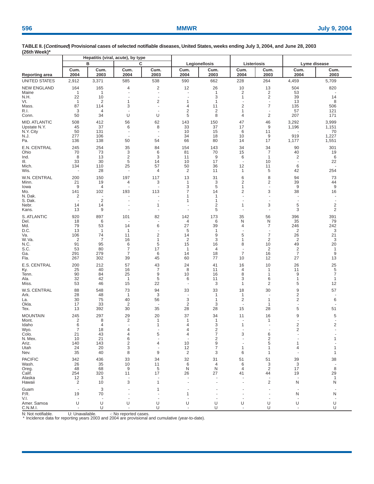|                                                                                        |                                                                          |                                                                                             | Hepatitis (viral, acute), by type                                                            |                                                                              |                                                                               |                                                                    |                                                                        |                                                                              |                                                                             |                                                        |  |  |
|----------------------------------------------------------------------------------------|--------------------------------------------------------------------------|---------------------------------------------------------------------------------------------|----------------------------------------------------------------------------------------------|------------------------------------------------------------------------------|-------------------------------------------------------------------------------|--------------------------------------------------------------------|------------------------------------------------------------------------|------------------------------------------------------------------------------|-----------------------------------------------------------------------------|--------------------------------------------------------|--|--|
|                                                                                        |                                                                          | в                                                                                           | C                                                                                            |                                                                              |                                                                               | Legionellosis                                                      | Listeriosis                                                            |                                                                              | Lyme disease                                                                |                                                        |  |  |
| <b>Reporting area</b>                                                                  | Cum.<br>2004                                                             | Cum.<br>2003                                                                                | Cum.<br>2004                                                                                 | Cum.<br>2003                                                                 | Cum.<br>2004                                                                  | Cum.<br>2003                                                       | Cum.<br>2004                                                           | Cum.<br>2003                                                                 | Cum.<br>2004                                                                | Cum.<br>2003                                           |  |  |
| <b>UNITED STATES</b>                                                                   | 2,912                                                                    | 3,371                                                                                       | 585                                                                                          | 538                                                                          | 590                                                                           | 662                                                                | 228                                                                    | 264                                                                          | 4,459                                                                       | 5,709                                                  |  |  |
| <b>NEW ENGLAND</b><br>Maine<br>N.H.<br>Vt.<br>Mass.<br>R.I.<br>Conn.                   | 164<br>$\overline{1}$<br>22<br>$\overline{1}$<br>87<br>3<br>50           | 165<br>$\mathbf{1}$<br>10<br>$\overline{2}$<br>114<br>$\overline{4}$<br>34                  | 4<br>$\ddot{\phantom{1}}$<br>$\ddot{\phantom{1}}$<br>1<br>3<br>$\overline{\phantom{a}}$<br>U | $\overline{\mathbf{c}}$<br>$\sim$<br>$\overline{a}$<br>2<br>$\sim$<br>÷<br>U | 12<br>$\overline{a}$<br>$\overline{a}$<br>1<br>4<br>$\overline{2}$<br>5       | 26<br>$\overline{1}$<br>3<br>$\overline{1}$<br>11<br>2<br>8        | 10<br>$\overline{2}$<br>$\mathbf{1}$<br>2<br>$\mathbf{1}$<br>4         | 13<br>$\overline{2}$<br>$\overline{c}$<br>$\sim$<br>7<br>٠<br>$\overline{c}$ | 504<br>53<br>39<br>13<br>135<br>57<br>207                                   | 820<br>14<br>8<br>506<br>121<br>171                    |  |  |
| <b>MID. ATLANTIC</b><br>Upstate N.Y.<br>N.Y. City<br>N.J.<br>Pa.                       | 508<br>45<br>50<br>277<br>136                                            | 412<br>37<br>131<br>106<br>138                                                              | 56<br>6<br>$\overline{\phantom{a}}$<br>$\overline{\phantom{a}}$<br>50                        | 62<br>8<br>÷<br>54                                                           | 143<br>33<br>10<br>34<br>66                                                   | 150<br>37<br>15<br>18<br>80                                        | 47<br>17<br>6<br>10<br>14                                              | 46<br>9<br>11<br>9<br>17                                                     | 3,292<br>1,196<br>919<br>1,177                                              | 3,999<br>1,151<br>70<br>1,227<br>1,551                 |  |  |
| E.N. CENTRAL<br>Ohio<br>Ind.<br>Ш.<br>Mich.<br>Wis.                                    | 245<br>70<br>8<br>33<br>134<br>$\overline{\phantom{a}}$                  | 254<br>73<br>13<br>30<br>110<br>28                                                          | 35<br>3<br>$\overline{2}$<br>5<br>25<br>÷,                                                   | 84<br>6<br>3<br>14<br>57<br>4                                                | 154<br>81<br>11<br>10<br>50<br>$\overline{2}$                                 | 143<br>70<br>9<br>17<br>36<br>11                                   | 34<br>15<br>6<br>$\overline{\phantom{a}}$<br>12<br>1                   | 34<br>$\overline{7}$<br>$\mathbf{1}$<br>10<br>11<br>5                        | 90<br>40<br>2<br>$\overline{\phantom{a}}$<br>6<br>42                        | 301<br>19<br>6<br>22<br>254                            |  |  |
| W.N. CENTRAL<br>Minn.<br>lowa<br>Mo.<br>N. Dak.<br>S. Dak.<br>Nebr.<br>Kans.           | 200<br>21<br>9<br>141<br>2<br>$\ddot{\phantom{1}}$<br>14<br>13           | 150<br>19<br>$\overline{4}$<br>102<br>$\overline{\phantom{a}}$<br>$\overline{2}$<br>14<br>9 | 197<br>4<br>$\ddot{\phantom{1}}$<br>193<br>$\ddot{\phantom{1}}$<br>÷,<br>÷,                  | 117<br>3<br>÷<br>113<br>÷,<br>1<br>÷                                         | 13<br>$\mathbf{1}$<br>3<br>$\overline{7}$<br>1<br>1<br>÷.<br>$\overline{a}$   | 31<br>3<br>5<br>14<br>$\mathbf{1}$<br>$\mathbf{1}$<br>2<br>5       | 6<br>2<br>1<br>2<br>$\sim$<br>÷.<br>1<br>÷.                            | 8<br>$\overline{c}$<br>$\sim$<br>3<br>$\sim$<br>٠<br>3<br>$\overline{a}$     | 94<br>39<br>9<br>38<br>$\overline{a}$<br>$\overline{\phantom{a}}$<br>5<br>3 | 73<br>44<br>9<br>16<br>2<br>2                          |  |  |
| S. ATLANTIC<br>Del.<br>Md.<br>D.C.<br>Va.<br>W. Va.<br>N.C.<br>S.C.<br>Ga.<br>Fla.     | 920<br>18<br>79<br>13<br>106<br>$\overline{2}$<br>91<br>53<br>291<br>267 | 897<br>6<br>53<br>$\mathbf{1}$<br>74<br>$\overline{7}$<br>95<br>80<br>279<br>302            | 101<br>14<br>1<br>11<br>16<br>6<br>7<br>7<br>39                                              | 82<br>6<br>$\overline{2}$<br>1<br>5<br>17<br>6<br>45                         | 142<br>4<br>27<br>5<br>14<br>$\overline{2}$<br>15<br>$\mathbf{1}$<br>14<br>60 | 173<br>6<br>39<br>$\mathbf 1$<br>9<br>3<br>16<br>4<br>18<br>77     | 35<br>N<br>4<br>5<br>1<br>8<br>$\blacksquare$<br>$\overline{7}$<br>10  | 56<br>N<br>7<br>٠<br>$\overline{7}$<br>2<br>10<br>2<br>16<br>12              | 396<br>35<br>246<br>2<br>26<br>2<br>49<br>2<br>7<br>27                      | 391<br>79<br>242<br>3<br>21<br>3<br>20<br>1<br>9<br>13 |  |  |
| E.S. CENTRAL<br>Ky.<br>Tenn.<br>Ala.<br>Miss.                                          | 200<br>25<br>90<br>32<br>53                                              | 212<br>40<br>84<br>42<br>46                                                                 | 57<br>16<br>25<br>$\overline{1}$<br>15                                                       | 43<br>$\overline{7}$<br>9<br>5<br>22                                         | 24<br>8<br>10<br>6<br>$\sim$                                                  | 41<br>11<br>16<br>11<br>3                                          | 16<br>4<br>8<br>3<br>$\mathbf{1}$                                      | 10<br>1<br>1<br>6<br>$\overline{2}$                                          | 26<br>11<br>9<br>1<br>5                                                     | 25<br>5<br>7<br>1<br>12                                |  |  |
| W.S. CENTRAL<br>Ark.<br>La.<br>Okla.<br>Tex.                                           | 88<br>28<br>30<br>17<br>13                                               | 548<br>48<br>75<br>33<br>392                                                                | 73<br>1<br>40<br>$\overline{2}$<br>30                                                        | 94<br>3<br>56<br>35                                                          | 33<br>÷.<br>3<br>2<br>28                                                      | 33<br>$\mathbf{1}$<br>$\mathbf{1}$<br>3<br>28                      | 18<br>$\mathbf{1}$<br>$\overline{2}$<br>$\overline{\phantom{a}}$<br>15 | 30<br>÷<br>1<br>1<br>28                                                      | 9<br>2<br>2<br>5                                                            | 57<br>6<br>51                                          |  |  |
| <b>MOUNTAIN</b><br>Mont.<br>Idaho<br>Wyo.<br>Colo.<br>N. Mex.<br>Ariz.<br>Utah<br>Nev. | 245<br>2<br>6<br>21<br>10<br>140<br>24<br>35                             | 297<br>8<br>$\overline{4}$<br>18<br>43<br>21<br>143<br>20<br>40                             | 29<br>2<br>$\sim$<br>4<br>6<br>$\overline{2}$<br>3<br>8                                      | 20<br>1<br>$\mathbf{1}$<br>5<br>4<br>9                                       | 37<br>$\mathbf{1}$<br>$\overline{4}$<br>4<br>4<br>10<br>12<br>$\overline{2}$  | 34<br>$\mathbf{1}$<br>3<br>2<br>7<br>$\overline{c}$<br>9<br>7<br>3 | 11<br>$\mathbf{1}$<br>3<br>1<br>6                                      | 16<br>1<br>÷<br>6<br>$\overline{c}$<br>5<br>1<br>1                           | 9<br>٠<br>$\overline{2}$<br>2<br>1<br>4                                     | 5<br>$\overline{2}$<br>1<br>1                          |  |  |
| <b>PACIFIC</b><br>Wash.<br>Oreg.<br>Calif.<br>Alaska<br>Hawaii                         | 342<br>26<br>48<br>254<br>12<br>$\overline{2}$                           | 436<br>35<br>68<br>320<br>3<br>10                                                           | 33<br>10<br>9<br>11<br>÷,<br>3                                                               | 34<br>11<br>5<br>17<br>1                                                     | 32<br>6<br>N<br>26                                                            | 31<br>4<br>N<br>27                                                 | 51<br>6<br>4<br>41                                                     | 51<br>3<br>$\overline{2}$<br>44<br>$\overline{\mathbf{c}}$                   | 39<br>3<br>17<br>19<br>N                                                    | 38<br>8<br>29<br>1<br>N                                |  |  |
| Guam<br>P.R.<br>V.I.                                                                   | $\overline{\phantom{a}}$<br>19<br>٠.                                     | 3<br>70<br>$\overline{\phantom{a}}$                                                         |                                                                                              | 1<br>÷                                                                       | 1                                                                             |                                                                    | ÷.                                                                     |                                                                              | ٠<br>N<br>÷                                                                 | N                                                      |  |  |
| Amer. Samoa<br>C.N.M.I.                                                                | U                                                                        | U<br>U                                                                                      | U<br>÷,                                                                                      | U<br>U                                                                       | U                                                                             | U<br>U                                                             | U                                                                      | U<br>U                                                                       | U                                                                           | U<br>U                                                 |  |  |

N: Not notifiable. U: Unavailable. For exported cases.<br>\* Incidence data for reporting years 2003 and 2004 are provisional and cumulative (year-to-date).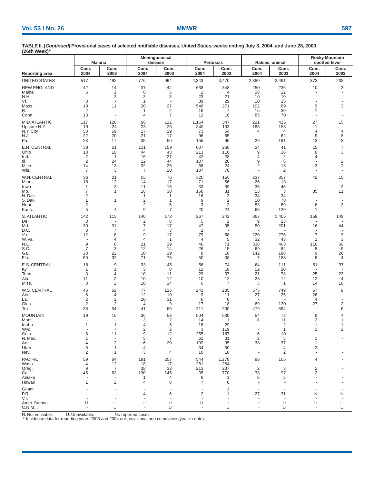| <b>Rocky Mountain</b><br>Meningococcal<br><b>Pertussis</b><br>Rabies, animal<br><b>Malaria</b><br>disease<br>spotted fever<br>Cum.<br>Cum.<br>Cum.<br>Cum.<br>Cum.<br>Cum.<br>Cum.<br>Cum.<br>Cum.<br>Cum.<br>2003<br>2003<br>2003<br>Reporting area<br>2004<br>2004<br>2003<br>2004<br>2004<br>2003<br>2004<br><b>UNITED STATES</b><br>517<br>492<br>776<br>994<br>4,343<br>3,470<br>373<br>238<br>2,380<br>3,491<br><b>NEW ENGLAND</b><br>42<br>37<br>638<br>348<br>250<br>236<br>10<br>3<br>14<br>44<br>5<br>8<br>5<br>$\overline{2}$<br>$\mathbf{1}$<br>28<br>22<br>$\overline{4}$<br>$\overline{c}$<br>3<br>3<br>23<br>21<br>N.H.<br>10<br>10<br>3<br>39<br>29<br>$\mathbf{1}$<br>10<br>15<br>$\sim$<br>÷,<br>20<br>27<br>271<br>102<br>9<br>3<br>19<br>11<br>546<br>89<br>R.I.<br>$\overline{2}$<br>$\overline{c}$<br>16<br>30<br>7<br>15<br>1<br>-1<br>$\sim$<br>$\overline{7}$<br>85<br>70<br>13<br>12<br>16<br>4<br>$\sim$<br>÷,<br>27<br>117<br>120<br>96<br>121<br>1,164<br>347<br>221<br>415<br>15<br>133<br>19<br>24<br>23<br>25<br>840<br>188<br>158<br>$\mathbf{1}$<br>$\overline{\phantom{a}}$<br>59<br>29<br>N.Y. City<br>53<br>17<br>73<br>54<br>4<br>4<br>4<br>4<br>22<br>21<br>9<br>20<br>17<br>96<br>65<br>62<br>8<br>$\sim$<br>23<br>17<br>35<br>50<br>155<br>95<br>29<br>191<br>13<br>3<br>E.N. CENTRAL<br>7<br>38<br>51<br>607<br>260<br>24<br>15<br>111<br>159<br>41<br>9<br>3<br>13<br>10<br>213<br>8<br>Ohio<br>44<br>43<br>110<br>16<br>$\overline{\mathbf{c}}$<br>2<br>16<br>27<br>4<br>42<br>28<br>4<br>-1<br>$\overline{2}$<br>$\mathbf 2$<br>24<br>107<br>9<br>6<br>12<br>20<br>44<br>÷,<br>$\overline{c}$<br>2<br>3<br>13<br>32<br>25<br>58<br>24<br>15<br>Mich.<br>14<br>$\overline{7}$<br>7<br>3<br>20<br>187<br>78<br>2<br>$\sim$<br>$\sim$<br>$\sim$<br>36<br>21<br>55<br>76<br>320<br>237<br>42<br>15<br>156<br>357<br>18<br>12<br>14<br>17<br>71<br>56<br>26<br>Minn.<br>13<br>÷,<br>$\overline{2}$<br>3<br>33<br>39<br>11<br>15<br>36<br>45<br>lowa<br>1<br>÷,<br>30<br>168<br>31<br>3<br>35<br>7<br>$\mathbf{1}$<br>16<br>13<br>11<br>$\overline{2}$<br>N. Dak.<br>2<br>16<br>34<br>34<br>1<br>$\mathbf{1}$<br>$\overline{2}$<br>9<br>$\overline{2}$<br>73<br>S. Dak.<br>1<br>$\mathbf{1}$<br>10<br>1<br>÷,<br>$\overline{2}$<br>$\overline{2}$<br>5<br>6<br>$\overline{2}$<br>3<br>2<br>53<br>69<br>$9\,$<br>$\overline{7}$<br>5<br>20<br>4<br>24<br>65<br>120<br>Kans.<br>1<br>$\sim$<br><b>S. ATLANTIC</b><br>142<br>140<br>267<br>242<br>1,405<br>149<br>115<br>173<br>867<br>159<br>3<br>2<br>8<br>5<br>2<br>9<br>23<br>30<br>$\overline{7}$<br>31<br>17<br>47<br>35<br>50<br>201<br>16<br>44<br>D.C.<br>8<br>7<br>3<br>2<br>4<br>9<br>12<br>8<br>17<br>79<br>58<br>220<br>275<br>7<br>3<br>4<br>4<br>$\overline{4}$<br>5<br>32<br>43<br>3<br>$\mathbf{1}$<br>1<br>$\overline{\phantom{a}}$<br>9<br>8<br>N.C.<br>21<br>19<br>46<br>71<br>338<br>403<br>110<br>60<br>$\overline{7}$<br>3<br>12<br>14<br>26<br>15<br>69<br>84<br>8<br>9<br>23<br>22<br>19<br>9<br>10<br>8<br>18<br>142<br>188<br>26<br>32<br>75<br>Fla.<br>50<br>71<br>50<br>38<br>7<br>188<br>8<br>4<br>E.S. CENTRAL<br>18<br>9<br>33<br>45<br>56<br>74<br>37<br>64<br>51<br>111<br>3<br>8<br>11<br>12<br>20<br>1<br>1<br>18<br>÷,<br>3<br>23<br>29<br>37<br>21<br>78<br>25<br>Tenn.<br>4<br>10<br>11<br>2<br>10<br>28<br>11<br>10<br>12<br>12<br>12<br>12<br>4<br>2<br>3<br>10<br>14<br>6<br>7<br>3<br>10<br>1<br>14<br>46<br>62<br>243<br>235<br>575<br>57<br>8<br>77<br>116<br>749<br>27<br>6<br>12<br>10<br>9<br>25<br>26<br>Ark.<br>4<br>11<br>$\overline{2}$<br>$\overline{2}$<br>20<br>31<br>6<br>6<br>$\overline{4}$<br>$\overline{\phantom{a}}$<br>÷,<br>$\overline{2}$<br>$\overline{2}$<br>69<br>27<br>$\overline{c}$<br>9<br>17<br>130<br>$\overline{4}$<br>18<br>6<br>36<br>54<br>66<br>211<br>200<br>479<br>594<br>Tex.<br>41<br>÷,<br><b>MOUNTAIN</b><br>19<br>53<br>504<br>530<br>54<br>16<br>36<br>72<br>8<br>4<br>$\overline{2}$<br>3<br>2<br>14<br>8<br>1<br>11<br>1<br>$\overline{\phantom{a}}$<br>÷.<br>29<br>1<br>18<br>6<br>∠<br>$\overline{2}$<br>$\overline{2}$<br>Wyo.<br>3<br>2<br>119<br>1<br>1<br>6<br>11<br>9<br>12<br>255<br>187<br>6<br>10<br>$\overline{2}$<br>N. Mex.<br>5<br>7<br>61<br>31<br>5<br>1<br>1<br>$\overline{\phantom{a}}$<br>$\overline{2}$<br>6<br>20<br>109<br>95<br>38<br>37<br>Ariz.<br>4<br>1<br>5<br>1<br>34<br>50<br>2<br>4<br>4<br>$\sim$<br>$\sim$<br>$\overline{2}$<br>3<br>4<br>10<br>18<br>2<br>Nev.<br>1<br><b>PACIFIC</b><br>1,278<br>59<br>84<br>191<br>207<br>544<br>88<br>105<br>4<br>12<br>4<br>18<br>17<br>281<br>264<br>$\overline{\phantom{a}}$<br>$\overline{\phantom{a}}$<br>$\overline{2}$<br>3<br>$\overline{c}$<br>9<br>7<br>38<br>33<br>213<br>237<br>2<br>Calif.<br>45<br>63<br>130<br>145<br>35<br>770<br>78<br>97<br>8<br>4<br>8<br>5<br>-1<br>1<br>2<br>8<br>1<br>7<br>4<br>6<br>$\overline{\phantom{a}}$<br>1<br>$\overline{2}$<br>27<br>P.R.<br>6<br>31<br>N<br>4<br>N<br>1<br>Amer. Samoa<br>U<br>U<br>U<br>U<br>U<br>U<br>U<br>U<br>U<br>U<br>÷.<br>$\overline{\phantom{a}}$<br>$\overline{\phantom{a}}$<br>$\sim$ | (26th Week)*         |   |   |   |   |   |  |  |
|-------------------------------------------------------------------------------------------------------------------------------------------------------------------------------------------------------------------------------------------------------------------------------------------------------------------------------------------------------------------------------------------------------------------------------------------------------------------------------------------------------------------------------------------------------------------------------------------------------------------------------------------------------------------------------------------------------------------------------------------------------------------------------------------------------------------------------------------------------------------------------------------------------------------------------------------------------------------------------------------------------------------------------------------------------------------------------------------------------------------------------------------------------------------------------------------------------------------------------------------------------------------------------------------------------------------------------------------------------------------------------------------------------------------------------------------------------------------------------------------------------------------------------------------------------------------------------------------------------------------------------------------------------------------------------------------------------------------------------------------------------------------------------------------------------------------------------------------------------------------------------------------------------------------------------------------------------------------------------------------------------------------------------------------------------------------------------------------------------------------------------------------------------------------------------------------------------------------------------------------------------------------------------------------------------------------------------------------------------------------------------------------------------------------------------------------------------------------------------------------------------------------------------------------------------------------------------------------------------------------------------------------------------------------------------------------------------------------------------------------------------------------------------------------------------------------------------------------------------------------------------------------------------------------------------------------------------------------------------------------------------------------------------------------------------------------------------------------------------------------------------------------------------------------------------------------------------------------------------------------------------------------------------------------------------------------------------------------------------------------------------------------------------------------------------------------------------------------------------------------------------------------------------------------------------------------------------------------------------------------------------------------------------------------------------------------------------------------------------------------------------------------------------------------------------------------------------------------------------------------------------------------------------------------------------------------------------------------------------------------------------------------------------------------------------------------------------------------------------------------------------------------------------------------------------------------------------------------------------------------------------------------------------------------------------------------------------------------------------------------------------------------------------------------------------------------------------------------------------------------------------------------------------------------------------------------------------------------------------------------------------------------------------------------------------------------------------------------------------------------------------------------------------------------------------------------------------------------------------------------------------------------------------------------------------------------------------------------------------------------------------------------------------------------------------------------------------------------------------------------|----------------------|---|---|---|---|---|--|--|
|                                                                                                                                                                                                                                                                                                                                                                                                                                                                                                                                                                                                                                                                                                                                                                                                                                                                                                                                                                                                                                                                                                                                                                                                                                                                                                                                                                                                                                                                                                                                                                                                                                                                                                                                                                                                                                                                                                                                                                                                                                                                                                                                                                                                                                                                                                                                                                                                                                                                                                                                                                                                                                                                                                                                                                                                                                                                                                                                                                                                                                                                                                                                                                                                                                                                                                                                                                                                                                                                                                                                                                                                                                                                                                                                                                                                                                                                                                                                                                                                                                                                                                                                                                                                                                                                                                                                                                                                                                                                                                                                                                                                                                                                                                                                                                                                                                                                                                                                                                                                                                                                                                                   |                      |   |   |   |   |   |  |  |
|                                                                                                                                                                                                                                                                                                                                                                                                                                                                                                                                                                                                                                                                                                                                                                                                                                                                                                                                                                                                                                                                                                                                                                                                                                                                                                                                                                                                                                                                                                                                                                                                                                                                                                                                                                                                                                                                                                                                                                                                                                                                                                                                                                                                                                                                                                                                                                                                                                                                                                                                                                                                                                                                                                                                                                                                                                                                                                                                                                                                                                                                                                                                                                                                                                                                                                                                                                                                                                                                                                                                                                                                                                                                                                                                                                                                                                                                                                                                                                                                                                                                                                                                                                                                                                                                                                                                                                                                                                                                                                                                                                                                                                                                                                                                                                                                                                                                                                                                                                                                                                                                                                                   |                      |   |   |   |   |   |  |  |
|                                                                                                                                                                                                                                                                                                                                                                                                                                                                                                                                                                                                                                                                                                                                                                                                                                                                                                                                                                                                                                                                                                                                                                                                                                                                                                                                                                                                                                                                                                                                                                                                                                                                                                                                                                                                                                                                                                                                                                                                                                                                                                                                                                                                                                                                                                                                                                                                                                                                                                                                                                                                                                                                                                                                                                                                                                                                                                                                                                                                                                                                                                                                                                                                                                                                                                                                                                                                                                                                                                                                                                                                                                                                                                                                                                                                                                                                                                                                                                                                                                                                                                                                                                                                                                                                                                                                                                                                                                                                                                                                                                                                                                                                                                                                                                                                                                                                                                                                                                                                                                                                                                                   |                      |   |   |   |   |   |  |  |
|                                                                                                                                                                                                                                                                                                                                                                                                                                                                                                                                                                                                                                                                                                                                                                                                                                                                                                                                                                                                                                                                                                                                                                                                                                                                                                                                                                                                                                                                                                                                                                                                                                                                                                                                                                                                                                                                                                                                                                                                                                                                                                                                                                                                                                                                                                                                                                                                                                                                                                                                                                                                                                                                                                                                                                                                                                                                                                                                                                                                                                                                                                                                                                                                                                                                                                                                                                                                                                                                                                                                                                                                                                                                                                                                                                                                                                                                                                                                                                                                                                                                                                                                                                                                                                                                                                                                                                                                                                                                                                                                                                                                                                                                                                                                                                                                                                                                                                                                                                                                                                                                                                                   |                      |   |   |   |   |   |  |  |
|                                                                                                                                                                                                                                                                                                                                                                                                                                                                                                                                                                                                                                                                                                                                                                                                                                                                                                                                                                                                                                                                                                                                                                                                                                                                                                                                                                                                                                                                                                                                                                                                                                                                                                                                                                                                                                                                                                                                                                                                                                                                                                                                                                                                                                                                                                                                                                                                                                                                                                                                                                                                                                                                                                                                                                                                                                                                                                                                                                                                                                                                                                                                                                                                                                                                                                                                                                                                                                                                                                                                                                                                                                                                                                                                                                                                                                                                                                                                                                                                                                                                                                                                                                                                                                                                                                                                                                                                                                                                                                                                                                                                                                                                                                                                                                                                                                                                                                                                                                                                                                                                                                                   | Maine                |   |   |   |   |   |  |  |
|                                                                                                                                                                                                                                                                                                                                                                                                                                                                                                                                                                                                                                                                                                                                                                                                                                                                                                                                                                                                                                                                                                                                                                                                                                                                                                                                                                                                                                                                                                                                                                                                                                                                                                                                                                                                                                                                                                                                                                                                                                                                                                                                                                                                                                                                                                                                                                                                                                                                                                                                                                                                                                                                                                                                                                                                                                                                                                                                                                                                                                                                                                                                                                                                                                                                                                                                                                                                                                                                                                                                                                                                                                                                                                                                                                                                                                                                                                                                                                                                                                                                                                                                                                                                                                                                                                                                                                                                                                                                                                                                                                                                                                                                                                                                                                                                                                                                                                                                                                                                                                                                                                                   | Vt.                  |   |   |   |   |   |  |  |
|                                                                                                                                                                                                                                                                                                                                                                                                                                                                                                                                                                                                                                                                                                                                                                                                                                                                                                                                                                                                                                                                                                                                                                                                                                                                                                                                                                                                                                                                                                                                                                                                                                                                                                                                                                                                                                                                                                                                                                                                                                                                                                                                                                                                                                                                                                                                                                                                                                                                                                                                                                                                                                                                                                                                                                                                                                                                                                                                                                                                                                                                                                                                                                                                                                                                                                                                                                                                                                                                                                                                                                                                                                                                                                                                                                                                                                                                                                                                                                                                                                                                                                                                                                                                                                                                                                                                                                                                                                                                                                                                                                                                                                                                                                                                                                                                                                                                                                                                                                                                                                                                                                                   | Mass.                |   |   |   |   |   |  |  |
|                                                                                                                                                                                                                                                                                                                                                                                                                                                                                                                                                                                                                                                                                                                                                                                                                                                                                                                                                                                                                                                                                                                                                                                                                                                                                                                                                                                                                                                                                                                                                                                                                                                                                                                                                                                                                                                                                                                                                                                                                                                                                                                                                                                                                                                                                                                                                                                                                                                                                                                                                                                                                                                                                                                                                                                                                                                                                                                                                                                                                                                                                                                                                                                                                                                                                                                                                                                                                                                                                                                                                                                                                                                                                                                                                                                                                                                                                                                                                                                                                                                                                                                                                                                                                                                                                                                                                                                                                                                                                                                                                                                                                                                                                                                                                                                                                                                                                                                                                                                                                                                                                                                   | Conn.                |   |   |   |   |   |  |  |
|                                                                                                                                                                                                                                                                                                                                                                                                                                                                                                                                                                                                                                                                                                                                                                                                                                                                                                                                                                                                                                                                                                                                                                                                                                                                                                                                                                                                                                                                                                                                                                                                                                                                                                                                                                                                                                                                                                                                                                                                                                                                                                                                                                                                                                                                                                                                                                                                                                                                                                                                                                                                                                                                                                                                                                                                                                                                                                                                                                                                                                                                                                                                                                                                                                                                                                                                                                                                                                                                                                                                                                                                                                                                                                                                                                                                                                                                                                                                                                                                                                                                                                                                                                                                                                                                                                                                                                                                                                                                                                                                                                                                                                                                                                                                                                                                                                                                                                                                                                                                                                                                                                                   | <b>MID. ATLANTIC</b> |   |   |   |   |   |  |  |
|                                                                                                                                                                                                                                                                                                                                                                                                                                                                                                                                                                                                                                                                                                                                                                                                                                                                                                                                                                                                                                                                                                                                                                                                                                                                                                                                                                                                                                                                                                                                                                                                                                                                                                                                                                                                                                                                                                                                                                                                                                                                                                                                                                                                                                                                                                                                                                                                                                                                                                                                                                                                                                                                                                                                                                                                                                                                                                                                                                                                                                                                                                                                                                                                                                                                                                                                                                                                                                                                                                                                                                                                                                                                                                                                                                                                                                                                                                                                                                                                                                                                                                                                                                                                                                                                                                                                                                                                                                                                                                                                                                                                                                                                                                                                                                                                                                                                                                                                                                                                                                                                                                                   | Upstate N.Y.         |   |   |   |   |   |  |  |
|                                                                                                                                                                                                                                                                                                                                                                                                                                                                                                                                                                                                                                                                                                                                                                                                                                                                                                                                                                                                                                                                                                                                                                                                                                                                                                                                                                                                                                                                                                                                                                                                                                                                                                                                                                                                                                                                                                                                                                                                                                                                                                                                                                                                                                                                                                                                                                                                                                                                                                                                                                                                                                                                                                                                                                                                                                                                                                                                                                                                                                                                                                                                                                                                                                                                                                                                                                                                                                                                                                                                                                                                                                                                                                                                                                                                                                                                                                                                                                                                                                                                                                                                                                                                                                                                                                                                                                                                                                                                                                                                                                                                                                                                                                                                                                                                                                                                                                                                                                                                                                                                                                                   | N.J.                 |   |   |   |   |   |  |  |
|                                                                                                                                                                                                                                                                                                                                                                                                                                                                                                                                                                                                                                                                                                                                                                                                                                                                                                                                                                                                                                                                                                                                                                                                                                                                                                                                                                                                                                                                                                                                                                                                                                                                                                                                                                                                                                                                                                                                                                                                                                                                                                                                                                                                                                                                                                                                                                                                                                                                                                                                                                                                                                                                                                                                                                                                                                                                                                                                                                                                                                                                                                                                                                                                                                                                                                                                                                                                                                                                                                                                                                                                                                                                                                                                                                                                                                                                                                                                                                                                                                                                                                                                                                                                                                                                                                                                                                                                                                                                                                                                                                                                                                                                                                                                                                                                                                                                                                                                                                                                                                                                                                                   | Pa.                  |   |   |   |   |   |  |  |
|                                                                                                                                                                                                                                                                                                                                                                                                                                                                                                                                                                                                                                                                                                                                                                                                                                                                                                                                                                                                                                                                                                                                                                                                                                                                                                                                                                                                                                                                                                                                                                                                                                                                                                                                                                                                                                                                                                                                                                                                                                                                                                                                                                                                                                                                                                                                                                                                                                                                                                                                                                                                                                                                                                                                                                                                                                                                                                                                                                                                                                                                                                                                                                                                                                                                                                                                                                                                                                                                                                                                                                                                                                                                                                                                                                                                                                                                                                                                                                                                                                                                                                                                                                                                                                                                                                                                                                                                                                                                                                                                                                                                                                                                                                                                                                                                                                                                                                                                                                                                                                                                                                                   |                      |   |   |   |   |   |  |  |
|                                                                                                                                                                                                                                                                                                                                                                                                                                                                                                                                                                                                                                                                                                                                                                                                                                                                                                                                                                                                                                                                                                                                                                                                                                                                                                                                                                                                                                                                                                                                                                                                                                                                                                                                                                                                                                                                                                                                                                                                                                                                                                                                                                                                                                                                                                                                                                                                                                                                                                                                                                                                                                                                                                                                                                                                                                                                                                                                                                                                                                                                                                                                                                                                                                                                                                                                                                                                                                                                                                                                                                                                                                                                                                                                                                                                                                                                                                                                                                                                                                                                                                                                                                                                                                                                                                                                                                                                                                                                                                                                                                                                                                                                                                                                                                                                                                                                                                                                                                                                                                                                                                                   | Ind.                 |   |   |   |   |   |  |  |
|                                                                                                                                                                                                                                                                                                                                                                                                                                                                                                                                                                                                                                                                                                                                                                                                                                                                                                                                                                                                                                                                                                                                                                                                                                                                                                                                                                                                                                                                                                                                                                                                                                                                                                                                                                                                                                                                                                                                                                                                                                                                                                                                                                                                                                                                                                                                                                                                                                                                                                                                                                                                                                                                                                                                                                                                                                                                                                                                                                                                                                                                                                                                                                                                                                                                                                                                                                                                                                                                                                                                                                                                                                                                                                                                                                                                                                                                                                                                                                                                                                                                                                                                                                                                                                                                                                                                                                                                                                                                                                                                                                                                                                                                                                                                                                                                                                                                                                                                                                                                                                                                                                                   | III.                 |   |   |   |   |   |  |  |
|                                                                                                                                                                                                                                                                                                                                                                                                                                                                                                                                                                                                                                                                                                                                                                                                                                                                                                                                                                                                                                                                                                                                                                                                                                                                                                                                                                                                                                                                                                                                                                                                                                                                                                                                                                                                                                                                                                                                                                                                                                                                                                                                                                                                                                                                                                                                                                                                                                                                                                                                                                                                                                                                                                                                                                                                                                                                                                                                                                                                                                                                                                                                                                                                                                                                                                                                                                                                                                                                                                                                                                                                                                                                                                                                                                                                                                                                                                                                                                                                                                                                                                                                                                                                                                                                                                                                                                                                                                                                                                                                                                                                                                                                                                                                                                                                                                                                                                                                                                                                                                                                                                                   | Wis.                 |   |   |   |   |   |  |  |
|                                                                                                                                                                                                                                                                                                                                                                                                                                                                                                                                                                                                                                                                                                                                                                                                                                                                                                                                                                                                                                                                                                                                                                                                                                                                                                                                                                                                                                                                                                                                                                                                                                                                                                                                                                                                                                                                                                                                                                                                                                                                                                                                                                                                                                                                                                                                                                                                                                                                                                                                                                                                                                                                                                                                                                                                                                                                                                                                                                                                                                                                                                                                                                                                                                                                                                                                                                                                                                                                                                                                                                                                                                                                                                                                                                                                                                                                                                                                                                                                                                                                                                                                                                                                                                                                                                                                                                                                                                                                                                                                                                                                                                                                                                                                                                                                                                                                                                                                                                                                                                                                                                                   | W.N. CENTRAL         |   |   |   |   |   |  |  |
|                                                                                                                                                                                                                                                                                                                                                                                                                                                                                                                                                                                                                                                                                                                                                                                                                                                                                                                                                                                                                                                                                                                                                                                                                                                                                                                                                                                                                                                                                                                                                                                                                                                                                                                                                                                                                                                                                                                                                                                                                                                                                                                                                                                                                                                                                                                                                                                                                                                                                                                                                                                                                                                                                                                                                                                                                                                                                                                                                                                                                                                                                                                                                                                                                                                                                                                                                                                                                                                                                                                                                                                                                                                                                                                                                                                                                                                                                                                                                                                                                                                                                                                                                                                                                                                                                                                                                                                                                                                                                                                                                                                                                                                                                                                                                                                                                                                                                                                                                                                                                                                                                                                   |                      |   |   |   |   |   |  |  |
|                                                                                                                                                                                                                                                                                                                                                                                                                                                                                                                                                                                                                                                                                                                                                                                                                                                                                                                                                                                                                                                                                                                                                                                                                                                                                                                                                                                                                                                                                                                                                                                                                                                                                                                                                                                                                                                                                                                                                                                                                                                                                                                                                                                                                                                                                                                                                                                                                                                                                                                                                                                                                                                                                                                                                                                                                                                                                                                                                                                                                                                                                                                                                                                                                                                                                                                                                                                                                                                                                                                                                                                                                                                                                                                                                                                                                                                                                                                                                                                                                                                                                                                                                                                                                                                                                                                                                                                                                                                                                                                                                                                                                                                                                                                                                                                                                                                                                                                                                                                                                                                                                                                   | Mo.                  |   |   |   |   |   |  |  |
|                                                                                                                                                                                                                                                                                                                                                                                                                                                                                                                                                                                                                                                                                                                                                                                                                                                                                                                                                                                                                                                                                                                                                                                                                                                                                                                                                                                                                                                                                                                                                                                                                                                                                                                                                                                                                                                                                                                                                                                                                                                                                                                                                                                                                                                                                                                                                                                                                                                                                                                                                                                                                                                                                                                                                                                                                                                                                                                                                                                                                                                                                                                                                                                                                                                                                                                                                                                                                                                                                                                                                                                                                                                                                                                                                                                                                                                                                                                                                                                                                                                                                                                                                                                                                                                                                                                                                                                                                                                                                                                                                                                                                                                                                                                                                                                                                                                                                                                                                                                                                                                                                                                   |                      |   |   |   |   |   |  |  |
|                                                                                                                                                                                                                                                                                                                                                                                                                                                                                                                                                                                                                                                                                                                                                                                                                                                                                                                                                                                                                                                                                                                                                                                                                                                                                                                                                                                                                                                                                                                                                                                                                                                                                                                                                                                                                                                                                                                                                                                                                                                                                                                                                                                                                                                                                                                                                                                                                                                                                                                                                                                                                                                                                                                                                                                                                                                                                                                                                                                                                                                                                                                                                                                                                                                                                                                                                                                                                                                                                                                                                                                                                                                                                                                                                                                                                                                                                                                                                                                                                                                                                                                                                                                                                                                                                                                                                                                                                                                                                                                                                                                                                                                                                                                                                                                                                                                                                                                                                                                                                                                                                                                   | Nebr.                |   |   |   |   |   |  |  |
|                                                                                                                                                                                                                                                                                                                                                                                                                                                                                                                                                                                                                                                                                                                                                                                                                                                                                                                                                                                                                                                                                                                                                                                                                                                                                                                                                                                                                                                                                                                                                                                                                                                                                                                                                                                                                                                                                                                                                                                                                                                                                                                                                                                                                                                                                                                                                                                                                                                                                                                                                                                                                                                                                                                                                                                                                                                                                                                                                                                                                                                                                                                                                                                                                                                                                                                                                                                                                                                                                                                                                                                                                                                                                                                                                                                                                                                                                                                                                                                                                                                                                                                                                                                                                                                                                                                                                                                                                                                                                                                                                                                                                                                                                                                                                                                                                                                                                                                                                                                                                                                                                                                   |                      |   |   |   |   |   |  |  |
|                                                                                                                                                                                                                                                                                                                                                                                                                                                                                                                                                                                                                                                                                                                                                                                                                                                                                                                                                                                                                                                                                                                                                                                                                                                                                                                                                                                                                                                                                                                                                                                                                                                                                                                                                                                                                                                                                                                                                                                                                                                                                                                                                                                                                                                                                                                                                                                                                                                                                                                                                                                                                                                                                                                                                                                                                                                                                                                                                                                                                                                                                                                                                                                                                                                                                                                                                                                                                                                                                                                                                                                                                                                                                                                                                                                                                                                                                                                                                                                                                                                                                                                                                                                                                                                                                                                                                                                                                                                                                                                                                                                                                                                                                                                                                                                                                                                                                                                                                                                                                                                                                                                   | Del.                 |   |   |   |   |   |  |  |
|                                                                                                                                                                                                                                                                                                                                                                                                                                                                                                                                                                                                                                                                                                                                                                                                                                                                                                                                                                                                                                                                                                                                                                                                                                                                                                                                                                                                                                                                                                                                                                                                                                                                                                                                                                                                                                                                                                                                                                                                                                                                                                                                                                                                                                                                                                                                                                                                                                                                                                                                                                                                                                                                                                                                                                                                                                                                                                                                                                                                                                                                                                                                                                                                                                                                                                                                                                                                                                                                                                                                                                                                                                                                                                                                                                                                                                                                                                                                                                                                                                                                                                                                                                                                                                                                                                                                                                                                                                                                                                                                                                                                                                                                                                                                                                                                                                                                                                                                                                                                                                                                                                                   | Md.                  |   |   |   |   |   |  |  |
|                                                                                                                                                                                                                                                                                                                                                                                                                                                                                                                                                                                                                                                                                                                                                                                                                                                                                                                                                                                                                                                                                                                                                                                                                                                                                                                                                                                                                                                                                                                                                                                                                                                                                                                                                                                                                                                                                                                                                                                                                                                                                                                                                                                                                                                                                                                                                                                                                                                                                                                                                                                                                                                                                                                                                                                                                                                                                                                                                                                                                                                                                                                                                                                                                                                                                                                                                                                                                                                                                                                                                                                                                                                                                                                                                                                                                                                                                                                                                                                                                                                                                                                                                                                                                                                                                                                                                                                                                                                                                                                                                                                                                                                                                                                                                                                                                                                                                                                                                                                                                                                                                                                   | Va.                  |   |   |   |   |   |  |  |
|                                                                                                                                                                                                                                                                                                                                                                                                                                                                                                                                                                                                                                                                                                                                                                                                                                                                                                                                                                                                                                                                                                                                                                                                                                                                                                                                                                                                                                                                                                                                                                                                                                                                                                                                                                                                                                                                                                                                                                                                                                                                                                                                                                                                                                                                                                                                                                                                                                                                                                                                                                                                                                                                                                                                                                                                                                                                                                                                                                                                                                                                                                                                                                                                                                                                                                                                                                                                                                                                                                                                                                                                                                                                                                                                                                                                                                                                                                                                                                                                                                                                                                                                                                                                                                                                                                                                                                                                                                                                                                                                                                                                                                                                                                                                                                                                                                                                                                                                                                                                                                                                                                                   | W. Va.               |   |   |   |   |   |  |  |
|                                                                                                                                                                                                                                                                                                                                                                                                                                                                                                                                                                                                                                                                                                                                                                                                                                                                                                                                                                                                                                                                                                                                                                                                                                                                                                                                                                                                                                                                                                                                                                                                                                                                                                                                                                                                                                                                                                                                                                                                                                                                                                                                                                                                                                                                                                                                                                                                                                                                                                                                                                                                                                                                                                                                                                                                                                                                                                                                                                                                                                                                                                                                                                                                                                                                                                                                                                                                                                                                                                                                                                                                                                                                                                                                                                                                                                                                                                                                                                                                                                                                                                                                                                                                                                                                                                                                                                                                                                                                                                                                                                                                                                                                                                                                                                                                                                                                                                                                                                                                                                                                                                                   | S.C.                 |   |   |   |   |   |  |  |
|                                                                                                                                                                                                                                                                                                                                                                                                                                                                                                                                                                                                                                                                                                                                                                                                                                                                                                                                                                                                                                                                                                                                                                                                                                                                                                                                                                                                                                                                                                                                                                                                                                                                                                                                                                                                                                                                                                                                                                                                                                                                                                                                                                                                                                                                                                                                                                                                                                                                                                                                                                                                                                                                                                                                                                                                                                                                                                                                                                                                                                                                                                                                                                                                                                                                                                                                                                                                                                                                                                                                                                                                                                                                                                                                                                                                                                                                                                                                                                                                                                                                                                                                                                                                                                                                                                                                                                                                                                                                                                                                                                                                                                                                                                                                                                                                                                                                                                                                                                                                                                                                                                                   | Ga.                  |   |   |   |   |   |  |  |
|                                                                                                                                                                                                                                                                                                                                                                                                                                                                                                                                                                                                                                                                                                                                                                                                                                                                                                                                                                                                                                                                                                                                                                                                                                                                                                                                                                                                                                                                                                                                                                                                                                                                                                                                                                                                                                                                                                                                                                                                                                                                                                                                                                                                                                                                                                                                                                                                                                                                                                                                                                                                                                                                                                                                                                                                                                                                                                                                                                                                                                                                                                                                                                                                                                                                                                                                                                                                                                                                                                                                                                                                                                                                                                                                                                                                                                                                                                                                                                                                                                                                                                                                                                                                                                                                                                                                                                                                                                                                                                                                                                                                                                                                                                                                                                                                                                                                                                                                                                                                                                                                                                                   |                      |   |   |   |   |   |  |  |
|                                                                                                                                                                                                                                                                                                                                                                                                                                                                                                                                                                                                                                                                                                                                                                                                                                                                                                                                                                                                                                                                                                                                                                                                                                                                                                                                                                                                                                                                                                                                                                                                                                                                                                                                                                                                                                                                                                                                                                                                                                                                                                                                                                                                                                                                                                                                                                                                                                                                                                                                                                                                                                                                                                                                                                                                                                                                                                                                                                                                                                                                                                                                                                                                                                                                                                                                                                                                                                                                                                                                                                                                                                                                                                                                                                                                                                                                                                                                                                                                                                                                                                                                                                                                                                                                                                                                                                                                                                                                                                                                                                                                                                                                                                                                                                                                                                                                                                                                                                                                                                                                                                                   | Ky.                  |   |   |   |   |   |  |  |
|                                                                                                                                                                                                                                                                                                                                                                                                                                                                                                                                                                                                                                                                                                                                                                                                                                                                                                                                                                                                                                                                                                                                                                                                                                                                                                                                                                                                                                                                                                                                                                                                                                                                                                                                                                                                                                                                                                                                                                                                                                                                                                                                                                                                                                                                                                                                                                                                                                                                                                                                                                                                                                                                                                                                                                                                                                                                                                                                                                                                                                                                                                                                                                                                                                                                                                                                                                                                                                                                                                                                                                                                                                                                                                                                                                                                                                                                                                                                                                                                                                                                                                                                                                                                                                                                                                                                                                                                                                                                                                                                                                                                                                                                                                                                                                                                                                                                                                                                                                                                                                                                                                                   | Ala.                 |   |   |   |   |   |  |  |
|                                                                                                                                                                                                                                                                                                                                                                                                                                                                                                                                                                                                                                                                                                                                                                                                                                                                                                                                                                                                                                                                                                                                                                                                                                                                                                                                                                                                                                                                                                                                                                                                                                                                                                                                                                                                                                                                                                                                                                                                                                                                                                                                                                                                                                                                                                                                                                                                                                                                                                                                                                                                                                                                                                                                                                                                                                                                                                                                                                                                                                                                                                                                                                                                                                                                                                                                                                                                                                                                                                                                                                                                                                                                                                                                                                                                                                                                                                                                                                                                                                                                                                                                                                                                                                                                                                                                                                                                                                                                                                                                                                                                                                                                                                                                                                                                                                                                                                                                                                                                                                                                                                                   | Miss.                |   |   |   |   |   |  |  |
|                                                                                                                                                                                                                                                                                                                                                                                                                                                                                                                                                                                                                                                                                                                                                                                                                                                                                                                                                                                                                                                                                                                                                                                                                                                                                                                                                                                                                                                                                                                                                                                                                                                                                                                                                                                                                                                                                                                                                                                                                                                                                                                                                                                                                                                                                                                                                                                                                                                                                                                                                                                                                                                                                                                                                                                                                                                                                                                                                                                                                                                                                                                                                                                                                                                                                                                                                                                                                                                                                                                                                                                                                                                                                                                                                                                                                                                                                                                                                                                                                                                                                                                                                                                                                                                                                                                                                                                                                                                                                                                                                                                                                                                                                                                                                                                                                                                                                                                                                                                                                                                                                                                   | W.S. CENTRAL         |   |   |   |   |   |  |  |
|                                                                                                                                                                                                                                                                                                                                                                                                                                                                                                                                                                                                                                                                                                                                                                                                                                                                                                                                                                                                                                                                                                                                                                                                                                                                                                                                                                                                                                                                                                                                                                                                                                                                                                                                                                                                                                                                                                                                                                                                                                                                                                                                                                                                                                                                                                                                                                                                                                                                                                                                                                                                                                                                                                                                                                                                                                                                                                                                                                                                                                                                                                                                                                                                                                                                                                                                                                                                                                                                                                                                                                                                                                                                                                                                                                                                                                                                                                                                                                                                                                                                                                                                                                                                                                                                                                                                                                                                                                                                                                                                                                                                                                                                                                                                                                                                                                                                                                                                                                                                                                                                                                                   | La.                  |   |   |   |   |   |  |  |
|                                                                                                                                                                                                                                                                                                                                                                                                                                                                                                                                                                                                                                                                                                                                                                                                                                                                                                                                                                                                                                                                                                                                                                                                                                                                                                                                                                                                                                                                                                                                                                                                                                                                                                                                                                                                                                                                                                                                                                                                                                                                                                                                                                                                                                                                                                                                                                                                                                                                                                                                                                                                                                                                                                                                                                                                                                                                                                                                                                                                                                                                                                                                                                                                                                                                                                                                                                                                                                                                                                                                                                                                                                                                                                                                                                                                                                                                                                                                                                                                                                                                                                                                                                                                                                                                                                                                                                                                                                                                                                                                                                                                                                                                                                                                                                                                                                                                                                                                                                                                                                                                                                                   | Okla.                |   |   |   |   |   |  |  |
|                                                                                                                                                                                                                                                                                                                                                                                                                                                                                                                                                                                                                                                                                                                                                                                                                                                                                                                                                                                                                                                                                                                                                                                                                                                                                                                                                                                                                                                                                                                                                                                                                                                                                                                                                                                                                                                                                                                                                                                                                                                                                                                                                                                                                                                                                                                                                                                                                                                                                                                                                                                                                                                                                                                                                                                                                                                                                                                                                                                                                                                                                                                                                                                                                                                                                                                                                                                                                                                                                                                                                                                                                                                                                                                                                                                                                                                                                                                                                                                                                                                                                                                                                                                                                                                                                                                                                                                                                                                                                                                                                                                                                                                                                                                                                                                                                                                                                                                                                                                                                                                                                                                   |                      |   |   |   |   |   |  |  |
|                                                                                                                                                                                                                                                                                                                                                                                                                                                                                                                                                                                                                                                                                                                                                                                                                                                                                                                                                                                                                                                                                                                                                                                                                                                                                                                                                                                                                                                                                                                                                                                                                                                                                                                                                                                                                                                                                                                                                                                                                                                                                                                                                                                                                                                                                                                                                                                                                                                                                                                                                                                                                                                                                                                                                                                                                                                                                                                                                                                                                                                                                                                                                                                                                                                                                                                                                                                                                                                                                                                                                                                                                                                                                                                                                                                                                                                                                                                                                                                                                                                                                                                                                                                                                                                                                                                                                                                                                                                                                                                                                                                                                                                                                                                                                                                                                                                                                                                                                                                                                                                                                                                   | Mont.                |   |   |   |   |   |  |  |
|                                                                                                                                                                                                                                                                                                                                                                                                                                                                                                                                                                                                                                                                                                                                                                                                                                                                                                                                                                                                                                                                                                                                                                                                                                                                                                                                                                                                                                                                                                                                                                                                                                                                                                                                                                                                                                                                                                                                                                                                                                                                                                                                                                                                                                                                                                                                                                                                                                                                                                                                                                                                                                                                                                                                                                                                                                                                                                                                                                                                                                                                                                                                                                                                                                                                                                                                                                                                                                                                                                                                                                                                                                                                                                                                                                                                                                                                                                                                                                                                                                                                                                                                                                                                                                                                                                                                                                                                                                                                                                                                                                                                                                                                                                                                                                                                                                                                                                                                                                                                                                                                                                                   | ldaho                |   |   |   |   |   |  |  |
|                                                                                                                                                                                                                                                                                                                                                                                                                                                                                                                                                                                                                                                                                                                                                                                                                                                                                                                                                                                                                                                                                                                                                                                                                                                                                                                                                                                                                                                                                                                                                                                                                                                                                                                                                                                                                                                                                                                                                                                                                                                                                                                                                                                                                                                                                                                                                                                                                                                                                                                                                                                                                                                                                                                                                                                                                                                                                                                                                                                                                                                                                                                                                                                                                                                                                                                                                                                                                                                                                                                                                                                                                                                                                                                                                                                                                                                                                                                                                                                                                                                                                                                                                                                                                                                                                                                                                                                                                                                                                                                                                                                                                                                                                                                                                                                                                                                                                                                                                                                                                                                                                                                   | Colo.                |   |   |   |   |   |  |  |
|                                                                                                                                                                                                                                                                                                                                                                                                                                                                                                                                                                                                                                                                                                                                                                                                                                                                                                                                                                                                                                                                                                                                                                                                                                                                                                                                                                                                                                                                                                                                                                                                                                                                                                                                                                                                                                                                                                                                                                                                                                                                                                                                                                                                                                                                                                                                                                                                                                                                                                                                                                                                                                                                                                                                                                                                                                                                                                                                                                                                                                                                                                                                                                                                                                                                                                                                                                                                                                                                                                                                                                                                                                                                                                                                                                                                                                                                                                                                                                                                                                                                                                                                                                                                                                                                                                                                                                                                                                                                                                                                                                                                                                                                                                                                                                                                                                                                                                                                                                                                                                                                                                                   |                      |   |   |   |   |   |  |  |
|                                                                                                                                                                                                                                                                                                                                                                                                                                                                                                                                                                                                                                                                                                                                                                                                                                                                                                                                                                                                                                                                                                                                                                                                                                                                                                                                                                                                                                                                                                                                                                                                                                                                                                                                                                                                                                                                                                                                                                                                                                                                                                                                                                                                                                                                                                                                                                                                                                                                                                                                                                                                                                                                                                                                                                                                                                                                                                                                                                                                                                                                                                                                                                                                                                                                                                                                                                                                                                                                                                                                                                                                                                                                                                                                                                                                                                                                                                                                                                                                                                                                                                                                                                                                                                                                                                                                                                                                                                                                                                                                                                                                                                                                                                                                                                                                                                                                                                                                                                                                                                                                                                                   | Utah                 |   |   |   |   |   |  |  |
|                                                                                                                                                                                                                                                                                                                                                                                                                                                                                                                                                                                                                                                                                                                                                                                                                                                                                                                                                                                                                                                                                                                                                                                                                                                                                                                                                                                                                                                                                                                                                                                                                                                                                                                                                                                                                                                                                                                                                                                                                                                                                                                                                                                                                                                                                                                                                                                                                                                                                                                                                                                                                                                                                                                                                                                                                                                                                                                                                                                                                                                                                                                                                                                                                                                                                                                                                                                                                                                                                                                                                                                                                                                                                                                                                                                                                                                                                                                                                                                                                                                                                                                                                                                                                                                                                                                                                                                                                                                                                                                                                                                                                                                                                                                                                                                                                                                                                                                                                                                                                                                                                                                   |                      |   |   |   |   |   |  |  |
|                                                                                                                                                                                                                                                                                                                                                                                                                                                                                                                                                                                                                                                                                                                                                                                                                                                                                                                                                                                                                                                                                                                                                                                                                                                                                                                                                                                                                                                                                                                                                                                                                                                                                                                                                                                                                                                                                                                                                                                                                                                                                                                                                                                                                                                                                                                                                                                                                                                                                                                                                                                                                                                                                                                                                                                                                                                                                                                                                                                                                                                                                                                                                                                                                                                                                                                                                                                                                                                                                                                                                                                                                                                                                                                                                                                                                                                                                                                                                                                                                                                                                                                                                                                                                                                                                                                                                                                                                                                                                                                                                                                                                                                                                                                                                                                                                                                                                                                                                                                                                                                                                                                   | Wash.                |   |   |   |   |   |  |  |
|                                                                                                                                                                                                                                                                                                                                                                                                                                                                                                                                                                                                                                                                                                                                                                                                                                                                                                                                                                                                                                                                                                                                                                                                                                                                                                                                                                                                                                                                                                                                                                                                                                                                                                                                                                                                                                                                                                                                                                                                                                                                                                                                                                                                                                                                                                                                                                                                                                                                                                                                                                                                                                                                                                                                                                                                                                                                                                                                                                                                                                                                                                                                                                                                                                                                                                                                                                                                                                                                                                                                                                                                                                                                                                                                                                                                                                                                                                                                                                                                                                                                                                                                                                                                                                                                                                                                                                                                                                                                                                                                                                                                                                                                                                                                                                                                                                                                                                                                                                                                                                                                                                                   | Oreg.                |   |   |   |   |   |  |  |
|                                                                                                                                                                                                                                                                                                                                                                                                                                                                                                                                                                                                                                                                                                                                                                                                                                                                                                                                                                                                                                                                                                                                                                                                                                                                                                                                                                                                                                                                                                                                                                                                                                                                                                                                                                                                                                                                                                                                                                                                                                                                                                                                                                                                                                                                                                                                                                                                                                                                                                                                                                                                                                                                                                                                                                                                                                                                                                                                                                                                                                                                                                                                                                                                                                                                                                                                                                                                                                                                                                                                                                                                                                                                                                                                                                                                                                                                                                                                                                                                                                                                                                                                                                                                                                                                                                                                                                                                                                                                                                                                                                                                                                                                                                                                                                                                                                                                                                                                                                                                                                                                                                                   | Alaska               |   |   |   |   |   |  |  |
|                                                                                                                                                                                                                                                                                                                                                                                                                                                                                                                                                                                                                                                                                                                                                                                                                                                                                                                                                                                                                                                                                                                                                                                                                                                                                                                                                                                                                                                                                                                                                                                                                                                                                                                                                                                                                                                                                                                                                                                                                                                                                                                                                                                                                                                                                                                                                                                                                                                                                                                                                                                                                                                                                                                                                                                                                                                                                                                                                                                                                                                                                                                                                                                                                                                                                                                                                                                                                                                                                                                                                                                                                                                                                                                                                                                                                                                                                                                                                                                                                                                                                                                                                                                                                                                                                                                                                                                                                                                                                                                                                                                                                                                                                                                                                                                                                                                                                                                                                                                                                                                                                                                   | Hawaii               |   |   |   |   |   |  |  |
|                                                                                                                                                                                                                                                                                                                                                                                                                                                                                                                                                                                                                                                                                                                                                                                                                                                                                                                                                                                                                                                                                                                                                                                                                                                                                                                                                                                                                                                                                                                                                                                                                                                                                                                                                                                                                                                                                                                                                                                                                                                                                                                                                                                                                                                                                                                                                                                                                                                                                                                                                                                                                                                                                                                                                                                                                                                                                                                                                                                                                                                                                                                                                                                                                                                                                                                                                                                                                                                                                                                                                                                                                                                                                                                                                                                                                                                                                                                                                                                                                                                                                                                                                                                                                                                                                                                                                                                                                                                                                                                                                                                                                                                                                                                                                                                                                                                                                                                                                                                                                                                                                                                   | Guam                 |   |   |   |   |   |  |  |
|                                                                                                                                                                                                                                                                                                                                                                                                                                                                                                                                                                                                                                                                                                                                                                                                                                                                                                                                                                                                                                                                                                                                                                                                                                                                                                                                                                                                                                                                                                                                                                                                                                                                                                                                                                                                                                                                                                                                                                                                                                                                                                                                                                                                                                                                                                                                                                                                                                                                                                                                                                                                                                                                                                                                                                                                                                                                                                                                                                                                                                                                                                                                                                                                                                                                                                                                                                                                                                                                                                                                                                                                                                                                                                                                                                                                                                                                                                                                                                                                                                                                                                                                                                                                                                                                                                                                                                                                                                                                                                                                                                                                                                                                                                                                                                                                                                                                                                                                                                                                                                                                                                                   | V.I.                 |   |   |   |   |   |  |  |
|                                                                                                                                                                                                                                                                                                                                                                                                                                                                                                                                                                                                                                                                                                                                                                                                                                                                                                                                                                                                                                                                                                                                                                                                                                                                                                                                                                                                                                                                                                                                                                                                                                                                                                                                                                                                                                                                                                                                                                                                                                                                                                                                                                                                                                                                                                                                                                                                                                                                                                                                                                                                                                                                                                                                                                                                                                                                                                                                                                                                                                                                                                                                                                                                                                                                                                                                                                                                                                                                                                                                                                                                                                                                                                                                                                                                                                                                                                                                                                                                                                                                                                                                                                                                                                                                                                                                                                                                                                                                                                                                                                                                                                                                                                                                                                                                                                                                                                                                                                                                                                                                                                                   | C.N.M.I.             | U | U | U | U | U |  |  |

N: Not notifiable. U: Unavailable.  $\cdot$  : No reported cases.<br>\* Incidence data for reporting years 2003 and 2004 are provisional and cumulative (year-to-date).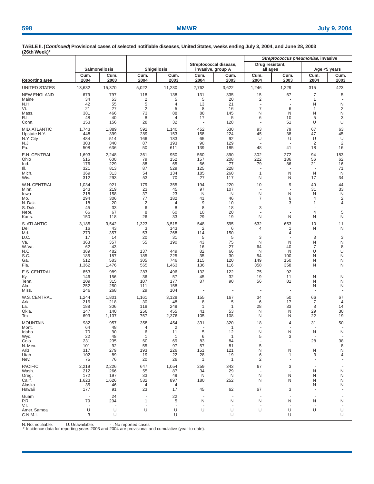| . <del>.</del>          |                                |                          |                     |                      |                                             |                          | Streptococcus pneumoniae, invasive |              |                               |                     |  |
|-------------------------|--------------------------------|--------------------------|---------------------|----------------------|---------------------------------------------|--------------------------|------------------------------------|--------------|-------------------------------|---------------------|--|
|                         |                                | Salmonellosis            | <b>Shigellosis</b>  |                      | Streptococcal disease,<br>invasive, group A |                          | Drug resistant,<br>all ages        |              | Age <5 years                  |                     |  |
| <b>Reporting area</b>   | Cum.<br>2004                   | Cum.<br>2003             | Cum.<br>2004        | Cum.<br>2003         | Cum.<br>2004                                | Cum.<br>2003             | Cum.<br>2004                       | Cum.<br>2003 | Cum.<br>2004                  | Cum.<br>2003        |  |
| UNITED STATES           | 13,632                         | 15,370                   | 5,022               | 11,230               | 2,762                                       | 3,622                    | 1,246                              | 1,229        | 315                           | 423                 |  |
| <b>NEW ENGLAND</b>      | 679                            | 797                      | 118                 | 138                  | 131                                         | 335                      | 15                                 | 67           | 7                             | 5                   |  |
| Maine<br>N.H.           | 34<br>42                       | 53<br>55                 | $\overline{c}$<br>5 | 5<br>4               | 5<br>13                                     | 20<br>21                 | $\overline{2}$<br>٠.               |              | $\mathbf 1$<br>N              | N                   |  |
| Vt.                     | 21                             | 27                       | $\overline{2}$      | 5                    | 8                                           | 16                       | 7                                  | 6            | $\mathbf 1$                   | 2                   |  |
| Mass.                   | 381                            | 466                      | 73                  | 88                   | 88                                          | 145                      | N                                  | N            | N                             | N                   |  |
| R.I.<br>Conn.           | 48<br>153                      | 40<br>156                | 8<br>28             | $\overline{4}$<br>32 | 17<br>÷,                                    | 5<br>128                 | 6<br>$\ddot{\phantom{1}}$          | 10<br>51     | 5<br>U                        | 3<br>U              |  |
| <b>MID. ATLANTIC</b>    | 1,743                          | 1,889                    | 592                 | 1,140                | 452                                         | 630                      | 93                                 | 79           | 67                            | 63                  |  |
| Upstate N.Y.            | 448                            | 399                      | 289                 | 153                  | 158                                         | 224                      | 45                                 | 38           | 47                            | 45                  |  |
| N.Y. City<br>N.J.       | 484<br>303                     | 514<br>340               | 166<br>87           | 183<br>193           | 65<br>90                                    | 92<br>129                | U<br>÷,                            | U            | U<br>$\overline{2}$           | U<br>$\overline{2}$ |  |
| Pa.                     | 508                            | 636                      | 50                  | 611                  | 139                                         | 185                      | 48                                 | 41           | 18                            | 16                  |  |
| E.N. CENTRAL            | 1,693                          | 2,248                    | 361                 | 950                  | 560                                         | 890                      | 302                                | 272          | 94                            | 183                 |  |
| Ohio<br>Ind.            | 515<br>176                     | 600<br>229               | 79<br>88            | 152<br>65            | 157<br>66                                   | 208<br>77                | 222<br>79                          | 186<br>86    | 56<br>21                      | 62<br>16            |  |
| III.                    | 321                            | 813                      | 87                  | 529                  | 125                                         | 228                      | $\overline{\phantom{a}}$           |              |                               | 71                  |  |
| Mich.<br>Wis.           | 369<br>312                     | 313<br>293               | 54<br>53            | 134<br>70            | 185<br>27                                   | 260<br>117               | $\mathbf{1}$<br>N                  | N<br>N       | N<br>17                       | N<br>34             |  |
| W.N. CENTRAL            | 1,034                          | 921                      | 179                 | 355                  | 194                                         | 220                      | 10                                 | 9            | 40                            | 44                  |  |
| Minn.                   | 243                            | 219                      | 23                  | 45                   | 97                                          | 107                      | $\overline{\phantom{a}}$           |              | 31                            | 33                  |  |
| lowa<br>Mo.             | 218<br>294                     | 158<br>306               | 37<br>77            | 23<br>182            | N<br>41                                     | N<br>46                  | N<br>7                             | N<br>6       | N<br>4                        | N<br>2              |  |
| N. Dak.                 | 18                             | 20                       | $\overline{2}$      | 4                    | 9                                           | 10                       |                                    | 3            | 1                             | 4                   |  |
| S. Dak.                 | 45                             | 33                       | 6                   | 8                    | 8                                           | 18                       | 3                                  | ä,           |                               |                     |  |
| Nebr.<br>Kans.          | 66<br>150                      | 67<br>118                | 8<br>26             | 60<br>33             | 10<br>29                                    | 20<br>19                 | N                                  | N            | 4<br>N                        | 5<br>N              |  |
| S. ATLANTIC             | 3,185                          | 3,542                    | 1,323               | 3,515                | 548                                         | 595                      | 632                                | 653          | 10                            | 11                  |  |
| Del.                    | 16                             | 43                       | 3                   | 143                  | 2                                           | 6                        | 4                                  | 1            | N                             | N                   |  |
| Md.<br>D.C.             | 279<br>17                      | 357<br>14                | 53<br>20            | 268<br>31            | 114<br>5                                    | 150<br>5                 | 3                                  | 4            | 3                             | 3                   |  |
| Va.                     | 363                            | 357                      | 55                  | 190                  | 43                                          | 75                       | N                                  | N            | N                             | N                   |  |
| W. Va.<br>N.C.          | 62<br>389                      | 43<br>482                | 137                 | 449                  | 16<br>82                                    | 27<br>66                 | 64<br>N                            | 40<br>N      | 7<br>U                        | 8<br>U              |  |
| S.C.                    | 185                            | 187                      | 185                 | 225                  | 35                                          | 30                       | 54                                 | 100          | N                             | N                   |  |
| Ga.<br>Fla.             | 512<br>1,362                   | 583<br>1,476             | 305<br>565          | 746<br>1,463         | 115<br>136                                  | 120<br>116               | 149<br>358                         | 150<br>358   | N<br>N                        | N<br>N              |  |
| E.S. CENTRAL            | 853                            | 989                      | 283                 | 496                  | 132                                         | 122                      | 75                                 | 92           |                               |                     |  |
| Ky.                     | 146                            | 156                      | 36                  | 57                   | 45                                          | 32                       | 19                                 | 11           | N                             | N                   |  |
| Tenn.<br>Ala.           | 209<br>252                     | 315<br>250               | 107<br>111          | 177<br>158           | 87<br>÷,                                    | 90                       | 56                                 | 81           | N<br>N                        | N<br>N              |  |
| Miss.                   | 246                            | 268                      | 29                  | 104                  | ä,                                          |                          |                                    | ÷,           | ÷                             |                     |  |
| W.S. CENTRAL            | 1,244                          | 1,801                    | 1,161               | 3,128                | 155                                         | 167                      | 34                                 | 50           | 66                            | 67                  |  |
| Ark.<br>La.             | 216<br>188                     | 218<br>306               | 30<br>118           | 48<br>249            | 8<br>1                                      | 5<br>$\mathbf 1$         | 6<br>28                            | 17<br>33     | 7<br>8                        | 4<br>14             |  |
| Okla.                   | 147                            | 140                      | 256                 | 455                  | 41                                          | 53                       | N                                  | N            | 29                            | 30                  |  |
| Tex.                    | 693                            | 1,137                    | 757                 | 2,376                | 105                                         | 108                      | N                                  | N            | 22                            | 19                  |  |
| <b>MOUNTAIN</b>         | 982<br>64                      | 957<br>48                | 358                 | 454<br>2             | 331                                         | 320<br>1                 | 18                                 | 4            | 31                            | 50                  |  |
| Mont.<br>Idaho          | 70                             | 90                       | 6                   | 11                   | 5                                           | 12                       | N                                  | N            | N                             | N                   |  |
| Wyo.                    | 22                             | 48                       | $\mathbf{1}$        | $\mathbf{1}$         | 6                                           | $\overline{1}$           | 5                                  | 3            |                               |                     |  |
| Colo.<br>N. Mex.        | 231<br>101                     | 235<br>92                | 60<br>55            | 69<br>97             | 83<br>57                                    | 84<br>81                 | 5                                  | ٠            | 28                            | 38<br>8             |  |
| Ariz.                   | 317                            | 279                      | 193                 | 226                  | 151                                         | 121                      | N                                  | N            | N                             | N                   |  |
| Utah<br>Nev.            | 102<br>75                      | 89<br>76                 | 19<br>20            | 22<br>26             | 28<br>$\mathbf{1}$                          | 19<br>$\mathbf 1$        | 6<br>2                             | 1            | 3<br>$\overline{\phantom{a}}$ | 4                   |  |
| <b>PACIFIC</b>          | 2,219                          | 2,226                    | 647                 | 1,054                | 259                                         | 343                      | 67                                 | 3            |                               |                     |  |
| Wash.                   | 212                            | 266                      | 55                  | 87                   | 34                                          | 29                       |                                    |              | N                             | N                   |  |
| Oreg.<br>Calif.         | 172<br>1,623                   | 197<br>1,626             | 33<br>532           | 49<br>897            | N<br>180                                    | N<br>252                 | N<br>N                             | N<br>N       | N<br>N                        | N<br>N              |  |
| Alaska                  | 35                             | 46                       | 4                   | 4                    |                                             | $\overline{\phantom{a}}$ | $\overline{\phantom{a}}$           |              | N                             | N                   |  |
| Hawaii                  | 177                            | 91                       | 23                  | 17                   | 45                                          | 62                       | 67                                 | 3            |                               |                     |  |
| Guam<br>P.R.            | $\overline{\phantom{a}}$<br>79 | 24<br>294                | 1                   | 22<br>5              | N                                           | N                        | $\overline{\phantom{a}}$<br>N      | N            | N                             | N                   |  |
| V.I.                    | $\overline{\phantom{a}}$       | $\overline{\phantom{a}}$ |                     | $\sim$               | $\overline{\phantom{a}}$                    |                          |                                    |              |                               |                     |  |
| Amer. Samoa<br>C.N.M.I. | U<br>3                         | U<br>U                   | U                   | U<br>U               | U                                           | U<br>U                   | U                                  | U<br>U       | U                             | U<br>U              |  |

N: Not notifiable. U: Unavailable.  $\qquad \qquad -$ : No reported cases.<br>\* Incidence data for reporting years 2003 and 2004 are provisional and cumulative (year-to-date).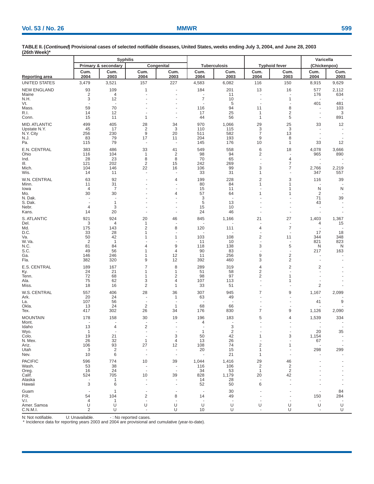| (∠otn week)                 |                                 | <b>Syphilis</b>                |                                             |                      |                                |                                |                      |                                           | Varicella                       |                                 |  |
|-----------------------------|---------------------------------|--------------------------------|---------------------------------------------|----------------------|--------------------------------|--------------------------------|----------------------|-------------------------------------------|---------------------------------|---------------------------------|--|
|                             |                                 | Primary & secondary            |                                             | Congenital           |                                | <b>Tuberculosis</b>            |                      | <b>Typhoid fever</b>                      | (Chickenpox)                    |                                 |  |
| Reporting area              | Cum.<br>2004                    | Cum.<br>2003                   | Cum.<br>2004                                | Cum.<br>2003         | Cum.<br>2004                   | Cum.<br>2003                   | Cum.<br>2004         | Cum.<br>2003                              | Cum.<br>2004                    | Cum.<br>2003                    |  |
| UNITED STATES               | 3,479                           | 3,521                          | 157                                         | 227                  | 4,583                          | 6,082                          | 116                  | 150                                       | 8,915                           | 9,629                           |  |
| <b>NEW ENGLAND</b><br>Maine | 93<br>$\overline{2}$            | 109<br>4                       | 1                                           |                      | 184<br>$\sim$                  | 201<br>11                      | 13                   | 16<br>÷,                                  | 577<br>176                      | 2,112<br>634                    |  |
| N.H.<br>Vt.                 | 3<br>$\overline{a}$             | 12<br>$\overline{a}$           |                                             |                      | 7                              | 10<br>5                        |                      | 1                                         | 401                             | 481                             |  |
| Mass.                       | 59                              | 70                             |                                             | ÷                    | 116                            | 94                             | 11                   | 8                                         | $\overline{a}$                  | 103                             |  |
| R.I.<br>Conn.               | 14<br>15                        | 12<br>11                       | 1                                           | ä,                   | 17<br>44                       | 25<br>56                       | 1<br>1               | $\overline{c}$<br>5                       | $\overline{\phantom{a}}$        | 3<br>891                        |  |
| MID. ATLANTIC               | 499                             | 405                            | 28                                          | 34                   | 970                            | 1,066                          | 29                   | 25                                        | 33                              | 12                              |  |
| Upstate N.Y.<br>N.Y. City   | 45<br>256                       | 17<br>230                      | $\overline{\mathbf{c}}$<br>$\boldsymbol{9}$ | 3<br>20              | 110<br>511                     | 115<br>582                     | 3<br>$\overline{7}$  | 3<br>13                                   | $\overline{a}$<br>÷,            |                                 |  |
| N.J.                        | 83                              | 79                             | 17                                          | 11                   | 204                            | 193                            | 9                    | 8                                         | $\overline{\phantom{a}}$        |                                 |  |
| Pa.                         | 115                             | 79                             |                                             |                      | 145                            | 176                            | 10                   | 1                                         | 33                              | 12                              |  |
| E.N. CENTRAL<br>Ohio        | 383<br>116                      | 486<br>104                     | 33<br>1                                     | 41<br>$\overline{2}$ | 549<br>98                      | 558<br>94                      | 6<br>2               | 18                                        | 4,078<br>965                    | 3,666<br>890                    |  |
| Ind.                        | 28                              | 23                             | 8                                           | 8                    | 70                             | 65                             | ä,                   | 4                                         | ÷,                              |                                 |  |
| III.<br>Mich.               | 121<br>104                      | 202<br>146                     | $\overline{2}$<br>22                        | 15<br>16             | 242<br>106                     | 269<br>99                      | 3                    | $\overline{7}$<br>7                       | 2,766                           | 2,219                           |  |
| Wis.                        | 14                              | 11                             | ÷,                                          | Ĭ.                   | 33                             | 31                             | 1                    |                                           | 347                             | 557                             |  |
| W.N. CENTRAL<br>Minn.       | 63<br>11                        | 92<br>31                       |                                             | 4<br>٠               | 199<br>80                      | 228<br>84                      | 2<br>1               | 3<br>1                                    | 116<br>$\overline{\phantom{a}}$ | 39                              |  |
| lowa                        | 4                               | 7                              |                                             | ä,                   | 15                             | 11                             |                      | 1                                         | N                               | N                               |  |
| Mo.<br>N. Dak.              | 30<br>$\overline{a}$            | 30<br>$\overline{\phantom{a}}$ |                                             | 4<br>٠               | 57<br>3                        | 64<br>$\overline{\phantom{a}}$ | 1                    | 1                                         | 2<br>71                         | 39                              |  |
| S. Dak.                     | $\blacksquare$                  | 1                              |                                             |                      | 5                              | 13                             |                      |                                           | 43                              |                                 |  |
| Nebr.<br>Kans.              | $\overline{4}$<br>14            | 3<br>20                        |                                             | $\overline{a}$<br>٠  | 15<br>24                       | 10<br>46                       |                      |                                           | ÷<br>$\sim$                     |                                 |  |
| S. ATLANTIC                 | 921                             | 924                            | 20                                          | 46                   | 845                            | 1,166                          | 21                   | 27                                        | 1,403                           | 1,367                           |  |
| Del.<br>Md.                 | 3<br>175                        | 4<br>143                       | 1<br>$\overline{c}$                         | 8                    | 120                            | 111                            | 4                    | $\overline{7}$                            | 4<br>÷,                         | 15                              |  |
| D.C.                        | 33                              | 28                             | 1                                           |                      |                                |                                |                      |                                           | 17                              | 18                              |  |
| Va.<br>W.Va.                | 50<br>$\overline{2}$            | 42<br>$\overline{1}$           | 1                                           | 1                    | 103<br>11                      | 108<br>10                      | 2<br>$\sim$          | 11                                        | 344<br>821                      | 348<br>823                      |  |
| N.C.                        | 81                              | 84                             | 4                                           | 9                    | 118                            | 138                            | 3                    | 5                                         | N                               | N                               |  |
| S.C.<br>Ga.                 | 49<br>146                       | 56<br>246                      | 1<br>1                                      | 4<br>12              | 90<br>11                       | 83<br>256                      | 9                    | $\overline{\mathbf{c}}$                   | 217<br>$\overline{\phantom{a}}$ | 163                             |  |
| Fla.                        | 382                             | 320                            | 9                                           | 12                   | 392                            | 460                            | 3                    | $\overline{\mathbf{c}}$                   |                                 |                                 |  |
| E.S. CENTRAL                | 189                             | 167                            | $\overline{7}$<br>1                         | 8<br>1               | 289<br>51                      | 319                            | 4                    | $\overline{c}$                            | 2                               |                                 |  |
| Ky.<br>Tenn.                | 24<br>72                        | 21<br>68                       | 1                                           | 2                    | 98                             | 58<br>97                       | 2<br>$\overline{c}$  | 1                                         |                                 |                                 |  |
| Ala.<br>Miss.               | 75<br>18                        | 62<br>16                       | 3<br>2                                      | 4<br>1               | 107<br>33                      | 113<br>51                      | $\overline{a}$       | 1                                         | 2                               |                                 |  |
| W.S. CENTRAL                | 557                             | 406                            | 28                                          | 36                   | 307                            | 945                            | 7                    | 9                                         | 1,167                           | 2,099                           |  |
| Ark.                        | 20                              | 24                             | $\overline{\phantom{a}}$                    | 1                    | 63                             | 49                             |                      |                                           |                                 |                                 |  |
| La.<br>Okla.                | 107<br>13                       | 56<br>24                       | $\overline{\phantom{a}}$<br>$\overline{2}$  | 1                    | $\sim$<br>68                   | ÷.<br>66                       |                      |                                           | 41                              | 9                               |  |
| Tex.                        | 417                             | 302                            | 26                                          | 34                   | 176                            | 830                            | 7                    | 9                                         | 1,126                           | 2,090                           |  |
| <b>MOUNTAIN</b><br>Mont.    | 178                             | 158                            | 30                                          | 19                   | 196<br>4                       | 183                            | 5                    | 4                                         | 1,539                           | 334                             |  |
| Idaho                       | 13                              | 4                              | 2                                           |                      |                                | 3                              |                      |                                           |                                 |                                 |  |
| Wyo.<br>Colo.               | $\overline{1}$<br>19            | 21                             |                                             | 3                    | $\overline{1}$<br>50           | $\overline{c}$<br>42           | 1                    | 3                                         | 20<br>1,154                     | 35                              |  |
| N. Mex.                     | 26                              | 32                             | 1                                           | 4                    | 13                             | 26                             |                      |                                           | 67                              |                                 |  |
| Ariz.<br>Utah               | 106<br>3                        | 93<br>2                        | 27                                          | 12                   | 108<br>20                      | 74<br>15                       | $\overline{c}$<br>1  | 1                                         | $\overline{\phantom{a}}$<br>298 | 299                             |  |
| Nev.                        | 10                              | 6                              |                                             |                      |                                | 21                             | 1                    |                                           |                                 |                                 |  |
| <b>PACIFIC</b>              | 596                             | 774                            | 10                                          | 39                   | 1,044                          | 1,416                          | 29<br>$\overline{c}$ | 46                                        |                                 |                                 |  |
| Wash.<br>Oreg.              | 53<br>16                        | 38<br>24                       |                                             |                      | 116<br>34                      | 106<br>53                      | $\mathbf{1}$         | $\overline{\mathbf{c}}$<br>$\overline{2}$ |                                 |                                 |  |
| Calif.<br>Alaska            | 524<br>$\overline{\phantom{a}}$ | 705<br>1                       | 10                                          | 39                   | 828<br>14                      | 1,179<br>28                    | 20                   | 42                                        |                                 |                                 |  |
| Hawaii                      | 3                               | 6                              |                                             |                      | 52                             | 50                             | 6                    |                                           |                                 |                                 |  |
| Guam                        |                                 | -1                             |                                             |                      |                                | 30                             |                      |                                           |                                 | 84                              |  |
| P.R.<br>V.I.                | 54<br>4                         | 104<br>1                       | 2                                           | 8                    | 14<br>$\overline{\phantom{a}}$ | 49<br>٠.                       |                      |                                           | 150                             | 284<br>$\overline{\phantom{a}}$ |  |
| Amer. Samoa<br>C.N.M.I.     | U<br>2                          | U<br>U                         | U<br>$\overline{\phantom{a}}$               | U<br>U               | U<br>10                        | U<br>U                         | U                    | U<br>U                                    | U<br>$\sim$                     | U<br>U                          |  |

N: Not notifiable. U: Unavailable.  $\cdot$  : No reported cases.<br>\* Incidence data for reporting years 2003 and 2004 are provisional and cumulative (year-to-date).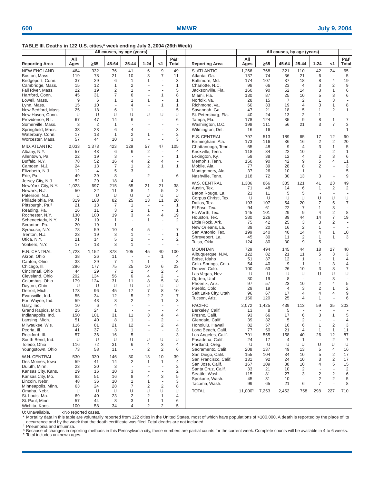## **TABLE III. Deaths in 122 U.S. cities,\* week ending July 3, 2004 (26th Week)**

|                                       | All causes, by age (years) |                |                |                          |                               |                              |                                 | All causes, by age (years)           |                     |           |                |                      |                 |                                |                           |
|---------------------------------------|----------------------------|----------------|----------------|--------------------------|-------------------------------|------------------------------|---------------------------------|--------------------------------------|---------------------|-----------|----------------|----------------------|-----------------|--------------------------------|---------------------------|
| <b>Reporting Area</b>                 | All<br>Ages                | >65            | 45-64          | 25-44                    | $1 - 24$                      | <1                           | $P&I^{\dagger}$<br><b>Total</b> | <b>Reporting Area</b>                | All<br>Ages         | $\geq 65$ | 45-64          | 25-44                | $1 - 24$        | <1                             | P&I <sup>t</sup><br>Total |
| <b>NEW ENGLAND</b>                    | 464                        | 332            | 76             | 41                       | 6                             | 9                            | 49                              | S. ATLANTIC                          | 1,266               | 768       | 321            | 110                  | 42              | 24                             | 65                        |
| Boston, Mass.                         | 119                        | 78             | 21             | 10                       | 3                             | 7                            | 11                              | Atlanta, Ga.                         | 137                 | 74        | 36             | 21                   | 6               | $\sim$                         | 5                         |
| Bridgeport, Conn.                     | 37                         | 29             | 6              | $\mathbf{1}$             | 1                             | ÷,                           | 3                               | Baltimore, Md.                       | 174                 | 107       | 37             | 18                   | 8               | $\overline{4}$                 | 19                        |
| Cambridge, Mass.<br>Fall River, Mass. | 15<br>22                   | 12<br>19       | 1<br>2         | $\overline{2}$<br>1      |                               | ÷,<br>÷,                     | 1<br>5                          | Charlotte, N.C.                      | 98<br>160           | 66<br>90  | 23<br>52       | $\overline{4}$<br>14 | 3<br>3          | $\overline{2}$<br>$\mathbf{1}$ | $\boldsymbol{9}$<br>6     |
| Hartford, Conn.                       | 45                         | 31             | $\overline{7}$ | 6                        |                               | 1                            | 8                               | Jacksonville, Fla.<br>Miami, Fla.    | 130                 | 87        | 25             | 10                   | 5               | 3                              | 6                         |
| Lowell, Mass.                         | 9                          | 6              | 1              | 1                        | 1                             |                              | 1                               | Norfolk, Va.                         | 28                  | 15        | $\overline{7}$ | $\overline{2}$       | 1               | 3                              | ÷,                        |
| Lynn, Mass.                           | 15                         | 10             |                | 4                        |                               | $\mathbf{1}$                 | 1                               | Richmond, Va.                        | 60                  | 33        | 19             | $\overline{4}$       | 3               | $\mathbf{1}$                   | 8                         |
| New Bedford, Mass.                    | 25                         | 18             | 6              | 1                        |                               | ÷,                           | 5                               | Savannah, Ga.                        | 47                  | 21        | 18             | 5                    | $\mathbf{1}$    | $\overline{2}$                 | $\mathbf{1}$              |
| New Haven, Conn.                      | U                          | U              | U              | U                        | U                             | U                            | U                               | St. Petersburg, Fla.                 | 40                  | 24        | 13             | $\overline{2}$       | 1               | $\sim$                         |                           |
| Providence, R.I.                      | 67                         | 47             | 14             | 6                        |                               | L.                           | 6                               | Tampa, Fla.                          | 178                 | 124       | 35             | 9                    | 8               | $\mathbf{1}$                   | $\overline{7}$            |
| Somerville, Mass.                     | 3                          | $\overline{2}$ | $\mathbf{1}$   | ÷,                       |                               |                              | $\overline{\phantom{a}}$        | Washington, D.C.                     | 198                 | 111       | 56             | 21                   | 3               | $\overline{7}$                 | 3                         |
| Springfield, Mass.                    | 33                         | 23             | 6              | 4<br>$\overline{2}$      |                               | J.                           | 3                               | Wilmington, Del.                     | 16                  | 16        | ÷,             |                      |                 |                                | $\mathbf{1}$              |
| Waterbury, Conn.<br>Worcester, Mass.  | 17<br>57                   | 13<br>44       | 1<br>10        | 3                        | 1<br>$\overline{\phantom{a}}$ | ÷,                           | 2<br>3                          | E.S. CENTRAL                         | 797                 | 513       | 189            | 65                   | 17              | 12                             | 60                        |
|                                       |                            |                |                |                          |                               |                              |                                 | Birmingham, Ala.                     | 173                 | 116       | 36             | 16                   | $\overline{2}$  | $\overline{2}$                 | 20                        |
| <b>MID. ATLANTIC</b>                  | 2,033                      | 1,373          | 423            | 129                      | 57                            | 47                           | 105                             | Chattanooga, Tenn.                   | 65                  | 48        | 9              | $\overline{4}$       | 3               | $\mathbf{1}$                   | $\sqrt{5}$                |
| Albany, N.Y.                          | 57                         | 43             | 6              | 6                        | $\overline{c}$                | ä,<br>ä,                     | 4                               | Knoxville, Tenn.                     | 118                 | 84        | 22             | 10                   |                 | $\overline{2}$                 | $\mathbf{1}$              |
| Allentown, Pa.<br>Buffalo, N.Y.       | 22<br>78                   | 19<br>52       | 3<br>16        | ÷.<br>4                  | $\sim$<br>$\overline{2}$      | $\overline{4}$               | 1<br>$\blacksquare$             | Lexington, Ky.<br>Memphis, Tenn.     | 59<br>150           | 38<br>90  | 12<br>42       | $\overline{4}$<br>9  | $\sqrt{2}$<br>5 | 3<br>4                         | 6<br>11                   |
| Camden, N.J.                          | 24                         | 13             | 7              | 1                        | $\overline{c}$                | $\mathbf{1}$                 | $\mathbf{1}$                    | Mobile, Ala.                         | 77                  | 39        | 28             | 8                    | $\sqrt{2}$      | $\sim$                         | 3                         |
| Elizabeth, N.J.                       | 12                         | $\overline{4}$ | 5              | 3                        | ÷,                            |                              | ÷.                              | Montgomery, Ala.                     | 37                  | 26        | 10             | $\mathbf{1}$         | $\sim$          |                                | 5                         |
| Erie, Pa.                             | 49                         | 39             | 8              | ÷,                       | $\overline{2}$                | $\overline{\phantom{a}}$     | 6                               | Nashville, Tenn.                     | 118                 | 72        | 30             | 13                   | 3               | $\overline{\phantom{a}}$       | 9                         |
| Jersey City, N.J.                     | 52                         | 29             | 18             | $\overline{4}$           | ÷.                            | 1                            | ÷.                              |                                      |                     |           |                |                      |                 |                                |                           |
| New York City, N.Y.                   | 1,023                      | 697            | 215            | 65                       | 21                            | 21                           | 38                              | W.S. CENTRAL<br>Austin, Tex.         | 1,386<br>71         | 866<br>48 | 335<br>14      | 121<br>6             | 41<br>1         | 23<br>$\overline{2}$           | 49<br>$\sqrt{2}$          |
| Newark, N.J.                          | 50                         | 22             | 11             | 8                        | $\overline{4}$                | 5                            | 2                               | Baton Rouge, La.                     | 21                  | 11        | 5              | 5                    |                 | ÷,                             | $\sim$                    |
| Paterson, N.J.                        | U                          | U              | U              | U                        | U                             | U                            | U                               | Corpus Christi, Tex.                 | U                   | U         | U              | U                    | U               | U                              | U                         |
| Philadelphia, Pa.                     | 319                        | 188            | 82             | 25                       | 13                            | 11                           | 20                              | Dallas, Tex.                         | 193                 | 107       | 54             | 20                   | 7               | 5                              | $\overline{7}$            |
| Pittsburgh, Pa. <sup>§</sup>          | 21                         | 13             | $\overline{7}$ | $\mathbf{1}$             |                               | ÷,                           | $\mathbf{1}$<br>$\mathbf{1}$    | El Paso, Tex.                        | 94                  | 61        | 22             | 7                    | $\mathbf{1}$    | 3                              | $\overline{\phantom{a}}$  |
| Reading, Pa.<br>Rochester, N.Y.       | 16<br>130                  | 11<br>100      | 3<br>19        | 1<br>3                   | 1<br>$\overline{4}$           | $\overline{4}$               | 19                              | Ft. Worth, Tex.                      | 145                 | 101       | 29             | 9                    | $\overline{4}$  | $\overline{2}$                 | 8                         |
| Schenectady, N.Y.                     | 21                         | 19             | $\mathbf{1}$   | $\overline{a}$           | 1                             | ä,                           | $\overline{2}$                  | Houston, Tex.                        | 380                 | 226       | 89             | 44                   | 14              | $\overline{7}$                 | 19                        |
| Scranton, Pa.                         | 20                         | 19             | $\mathbf{1}$   |                          |                               |                              | $\omega$                        | Little Rock, Ark.                    | 75                  | 42        | 25             | 3                    | 3               | $\overline{2}$                 | $\mathcal{L}$             |
| Syracuse, N.Y.                        | 78                         | 59             | 10             | 4                        | 5                             |                              | $\overline{7}$                  | New Orleans, La.                     | 39                  | 20        | 16             | 2                    | 1               | $\overline{\phantom{a}}$       | $\sim$                    |
| Trenton, N.J.                         | 23                         | 19             | 3              | 1                        | ÷.                            | ä,                           | $\mathbf{1}$                    | San Antonio, Tex.<br>Shreveport, La. | 199<br>45           | 140<br>30 | 40<br>11       | 14<br>2              | 4<br>1          | $\mathbf{1}$<br>$\mathbf{1}$   | 10<br>3                   |
| Utica, N.Y.                           | 21                         | 14             | 5              | 2                        |                               |                              | $\overline{2}$                  | Tulsa, Okla.                         | 124                 | 80        | 30             | 9                    | 5               | $\overline{\phantom{a}}$       | $\overline{\phantom{a}}$  |
| Yonkers, N.Y.                         | 17                         | 13             | 3              | 1                        | ÷,                            | $\overline{\phantom{a}}$     | $\overline{\phantom{a}}$        |                                      |                     |           |                |                      |                 |                                |                           |
| E.N. CENTRAL                          | 1,723                      | 1,152          | 378            | 105                      | 45                            | 40                           | 100                             | <b>MOUNTAIN</b>                      | 729                 | 494       | 145            | 44                   | 18<br>5         | 27<br>3                        | 40<br>3                   |
| Akron, Ohio                           | 38                         | 26             | 11             | $\overline{\phantom{a}}$ | ÷.                            | 1                            | 4                               | Albuquerque, N.M.<br>Boise, Idaho    | 122<br>51           | 82<br>37  | 21<br>12       | 11<br>1              |                 | $\mathbf{1}$                   | 4                         |
| Canton, Ohio                          | 38                         | 29             | 7              | $\mathbf{1}$             | $\mathbf{1}$                  | ÷,                           | 3                               | Colo. Springs, Colo.                 | 54                  | 40        | 9              | $\mathbf{1}$         | $\mathbf{1}$    | 3                              | $\overline{4}$            |
| Chicago, III.                         | 296                        | 177            | 75             | 25                       | 10                            | 6                            | 23                              | Denver, Colo.                        | 100                 | 53        | 26             | 10                   | 3               | 8                              | $\overline{7}$            |
| Cincinnati, Ohio                      | 44                         | 29             | 7              | $\overline{2}$           | $\overline{4}$                | $\overline{2}$               | $\overline{4}$                  | Las Vegas, Nev.                      | U                   | U         | U              | U                    | U               | U                              | U                         |
| Cleveland, Ohio<br>Columbus, Ohio     | 202<br>179                 | 134<br>124     | 56<br>31       | 6<br>11                  | 4<br>8                        | $\overline{2}$<br>5          | $\overline{\phantom{a}}$<br>18  | Ogden, Utah                          | 30                  | 19        | 8              | ÷,                   |                 | 3                              | $\sim$                    |
| Dayton, Ohio                          | U                          | U              | U              | U                        | U                             | U                            | U                               | Phoenix, Ariz.                       | 97                  | 57        | 23             | 10                   | $\sqrt{2}$      | $\overline{4}$                 | 5                         |
| Detroit, Mich.                        | 173                        | 96             | 45             | 17                       | $\overline{7}$                | 8                            | 10                              | Pueblo, Colo.                        | 29                  | 19        | $\overline{4}$ | 3                    | $\overline{2}$  | 1                              | $\overline{2}$            |
| Evansville, Ind.                      | 55                         | 34             | 12             | 5                        | 2                             | 2                            | 7                               | Salt Lake City, Utah                 | 96                  | 67        | 17             | $\overline{4}$       | 4               | $\overline{4}$                 | 9                         |
| Fort Wayne, Ind.                      | 59                         | 48             | 8              | 2                        | $\sim$                        | $\mathbf{1}$                 | 3                               | Tucson, Ariz.                        | 150                 | 120       | 25             | $\overline{4}$       | $\mathbf{1}$    |                                | 6                         |
| Gary, Ind.                            | 10                         | 6              | 4              |                          |                               |                              | $\sim$                          | <b>PACIFIC</b>                       | 2,072               | 1,425     | 439            | 113                  | 59              | 35                             | 203                       |
| Grand Rapids, Mich.                   | 25                         | 24             | $\mathbf{1}$   | ÷.                       |                               |                              | 4                               | Berkeley, Calif.                     | 13                  | 8         | 5              |                      |                 |                                |                           |
| Indianapolis, Ind.                    | 150                        | 101            | 31             | 11                       | 3                             | 4                            | 4                               | Fresno, Calif.                       | 93                  | 66        | 17             | 6                    | 3               | $\mathbf{1}$                   | 5                         |
| Lansing, Mich.<br>Milwaukee, Wis.     | 51<br>116                  | 40<br>81       | 8<br>21        | 1<br>12                  |                               | 2<br>2                       | 4                               | Glendale, Calif.<br>Honolulu, Hawaii | 39<br>82            | 32<br>57  | 5<br>16        | $\overline{2}$<br>6  | 1               | 2                              | $\overline{4}$<br>3       |
| Peoria, III.                          | 41                         | 37             | 3              | 1                        |                               | ÷,                           | 3                               | Long Beach, Calif.                   | 77                  | 50        | 21             | 4                    | $\mathbf{1}$    | $\mathbf{1}$                   | 11                        |
| Rockford, III.                        | 57                         | 36             | 16             | 5                        |                               | ÷,                           | 3                               | Los Angeles, Calif.                  | 791                 | 555       | 158            | 40                   | 26              | 12                             | 87                        |
| South Bend, Ind.                      | U                          | U              | U              | U                        | U                             | U                            | U                               | Pasadena, Calif.                     | 24                  | 17        | 4              | $\mathbf{1}$         |                 | 2                              | $\overline{7}$            |
| Toledo, Ohio                          | 116                        | 72             | 31             | 6                        | 4                             | 3                            | 4                               | Portland, Oreg.                      | U                   | U         | U              | U                    | U               | U                              | U                         |
| Youngstown, Ohio                      | 73                         | 58             | 11             | $\sim$                   | 2                             | $\overline{2}$               | 6                               | Sacramento, Calif.                   | 208                 | 137       | 49             | 13                   | 5               | $\overline{4}$                 | 16                        |
| W.N. CENTRAL                          | 530                        | 330            | 146            | 30                       | 13                            | 10                           | 39                              | San Diego, Calif.                    | 155                 | 104       | 34             | 10                   | 5               | $\overline{2}$                 | 17                        |
| Des Moines, Iowa                      | 59                         | 41             | 14             | 2                        | $\mathbf{1}$                  | 1                            | 4                               | San Francisco, Calif.                | 131                 | 92        | 24             | 10                   | 3               | $\overline{2}$                 | 17                        |
| Duluth, Minn.                         | 23                         | 20             | 3              |                          |                               | ÷,                           | 2                               | San Jose, Calif.                     | 167                 | 109       | 38             | 10                   | $\overline{4}$  | 5                              | 15                        |
| Kansas City, Kans.                    | 29                         | 16             | 10             | 3                        |                               | ÷,                           | $\overline{2}$                  | Santa Cruz, Calif.<br>Seattle, Wash. | 33<br>115           | 21<br>81  | 10<br>27       | 2<br>3               | $\overline{c}$  | ÷,<br>$\overline{c}$           | $\sqrt{2}$<br>6           |
| Kansas City, Mo.                      | 82                         | 51             | 16             | 8                        | $\overline{4}$                | 3                            | 5                               | Spokane, Wash.                       | 45                  | 31        | 10             | ÷,                   | $\overline{c}$  | 2                              | 5                         |
| Lincoln, Nebr.                        | 48                         | 36             | 10             | 1                        | $\mathbf{1}$                  | $\overline{\phantom{a}}$     | 3                               | Tacoma, Wash.                        | 99                  | 65        | 21             | 6                    | $\overline{7}$  |                                | 8                         |
| Minneapolis, Minn.                    | 63                         | 24             | 28             | 7                        | $\overline{c}$                | $\overline{2}$               | 8                               |                                      |                     |           |                |                      |                 |                                |                           |
| Omaha, Nebr.                          | U                          | U              | U              | U                        | U                             | U                            | U                               | <b>TOTAL</b>                         | 11,000 <sup>1</sup> | 7,253     | 2,452          | 758                  | 298             | 227                            | 710                       |
| St. Louis, Mo.<br>St. Paul, Minn.     | 69<br>57                   | 40<br>44       | 23<br>8        | $\overline{c}$<br>3      | 2<br>$\mathbf{1}$             | $\mathbf{1}$<br>$\mathbf{1}$ | 4<br>6                          |                                      |                     |           |                |                      |                 |                                |                           |
| Wichita, Kans.                        | 100                        | 58             | 34             | 4                        | $\overline{2}$                | 2                            | 5                               |                                      |                     |           |                |                      |                 |                                |                           |

U: Unavailable. -:No reported cases.<br>\* Mortality data in this table are voluntarily reported from 122 cities in the United States, most of which have populations of ≥100,000. A death is reported by the place of its

occurrence and by the week that the death certificate was filed. Fetal deaths are not included.<br>† Pneumonia and influenza.<br>§ Because of changes in reporting methods in this Pennsylvania city, these numbers are partial cou